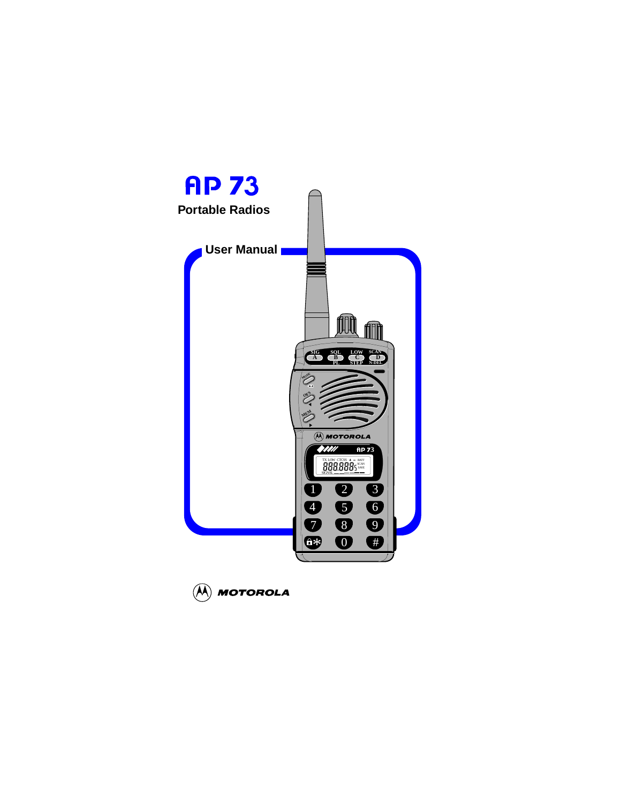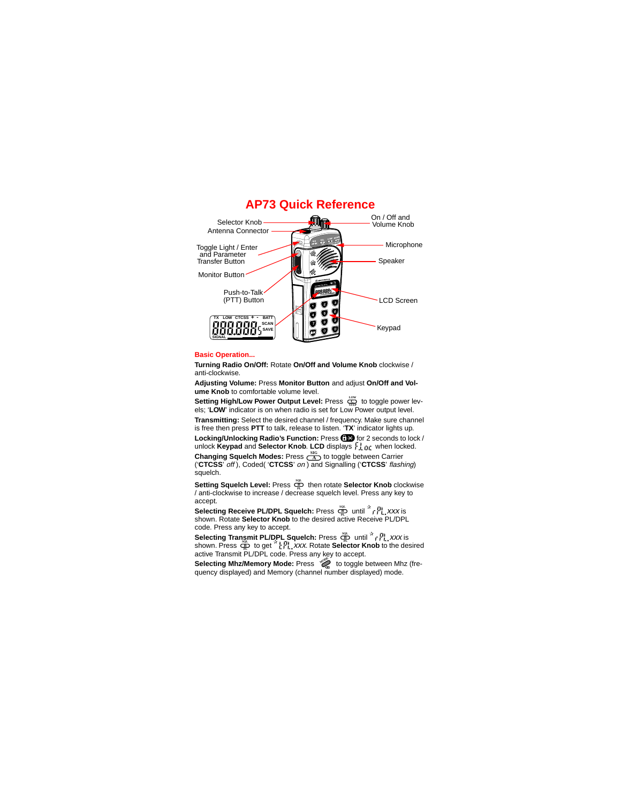

# **AP73 Quick Reference**

#### **Basic Operation...**

**Turning Radio On/Off:** Rotate **On/Off and Volume Knob** clockwise / anti-clockwise.

**Adjusting Volume:** Press **Monitor Button** and adjust **On/Off and Volume Knob** to comfortable volume level.

**Setting High/Low Power Output Level:** Press  $Q_{\text{max}}$  to toggle power lev-**Setting High/Low Power Output Level:** Press  $\overline{\mathbf{C}}$  to toggle power lot less; 'LOW' indicator is on when radio is set for Low Power output level.

**Transmitting:** Select the desired channel / frequency. Make sure channel is free then press **PTT** to talk, release to listen. '**TX**' indicator lights up.

Locking/Unlocking Radio's Function: Press **GEO** for 2 seconds to lock / unlock **Keypad** and **Selector Knob. LCD** displays  $\frac{1}{2}$  or when locked.

**Changing Squelch Modes:** Press  $\frac{\text{SfG}}{\text{A}}$  to toggle between Carrier ('**CTCSS**' *flashing*) squelch.

**Setting Squelch Level:** Press  $\overline{Q}^{\text{SOL}}$  then rotate Selector Knob clockwise / anti-clockwise to increase / decrease squelch level. Press any key to **PL** accept.

**Selecting Receive PL/DPL Squelch:** Press strainting the *N<sub>L</sub>YXX* is<br>shown. Rotate Selector Knob to the desired active Receive PL/DPL code. Press any key to accept.

Selecting Transmit PL/DPL Squelch: Press  $\stackrel{\infty}{\bullet}$  until  $\stackrel{x}{\circ}$   $\stackrel{P_1}{\circ}$ , xxx is<br>shown. Press  $\stackrel{\infty}{\bullet}$  to get  $\stackrel{x}{\circ}$   $\stackrel{P_1}{\circ}$ , xxx. Rotate Selector Knob to the desired<br>active Transmit PL/DPL code. **PL B SQL PL B SQL**

to toggle between Mhz (fre-<br>**Selecting Mhz/Memory Mode:** Press  $\stackrel{\sim}{\gg}$  to toggle between Mhz (frequency displayed) and Memory (channel number displayed) mode.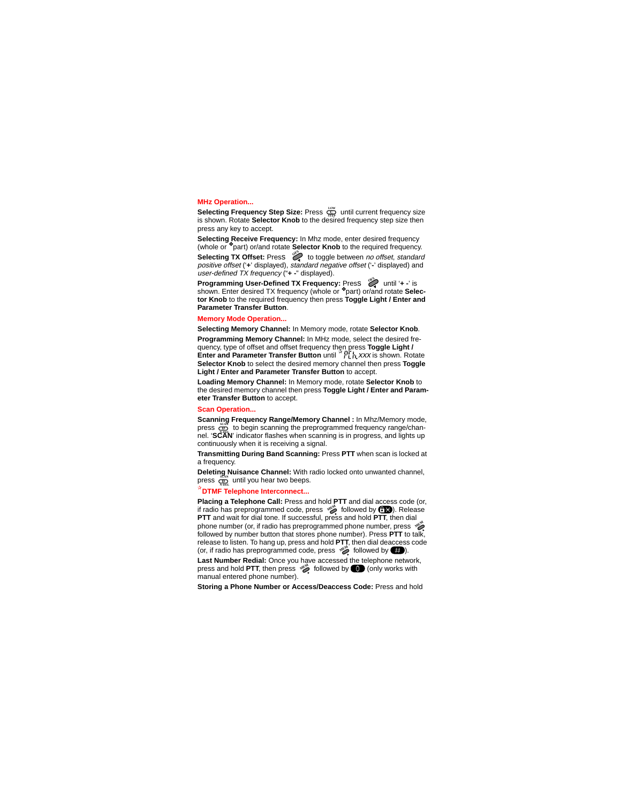#### **MHz Operation...**

**Selecting Frequency Step Size: Press**  $\mathbb{C}^{\mathbb{C}}$  **until current frequency size** is shown. Rotate **Selector Knob** to the desired frequency step size then press any key to accept.

**Selecting Receive Frequency:** In Mhz mode, enter desired frequency (whole or ❖part) or/and rotate **Selector Knob** to the required frequency. **Selecting TX Offset:** Press  $\overset{\circ}{\diamond}$  to toggle between no offset, standard positive offset ('**+**' displayed), standard negative offset ('**-**' displayed) and user-defined TX frequency ("**+ -**" displayed).

**Programming User-Defined TX Frequency:** Press  $\bigotimes$  until '+ -' is<br>shown. Enter desired TX frequency (whole or <sup>\*</sup>part) or/and rotate Selec**tor Knob** to the required frequency then press **Toggle Light / Enter and Parameter Transfer Button**. **OFS**

#### **Memory Mode Operation...**

**Selecting Memory Channel:** In Memory mode, rotate **Selector Knob**. **Programming Memory Channel:** In MHz mode, select the desired frequency, type of offset and offset frequency then press **Toggle Light / Enter and Parameter Transfer Button** until <sup>x</sup> FIT It, XXX is shown. Rotate **Selector Knob** to select the desired memory channel then press **Toggle Light / Enter and Parameter Transfer Button** to accept.

**Loading Memory Channel:** In Memory mode, rotate **Selector Knob** to the desired memory channel then press **Toggle Light / Enter and Parameter Transfer Button** to accept.

#### **Scan Operation...**

**Scanning Frequency Range/Memory Channel :** In Mhz/Memory mode, press  $\overline{\text{CD}}$  to begin scanning the preprogrammed frequency range/channel. '**SCAN**' indicator flashes when scanning is in progress, and lights up **N-DEL** continuously when it is receiving a signal.

**Transmitting During Band Scanning:** Press **PTT** when scan is locked at a frequency

**Deleting Nuisance Channel:** With radio locked onto unwanted channel, press  $\frac{dS_{NN}}{N_{NDEL}}$  until you hear two beeps.

#### ✰**DTMF Telephone Interconnect...**

**Placing a Telephone Call:** Press and hold **PTT** and dial access code (or, f radio has preprogrammed code, press  $\gg$  followed by  $\bigcirc$  ). Release **PTT** and wait for dial tone. If successful, press and hold **PTT**, then dial phone number (or, if radio has preprogrammed phone number, press  $\sqrt{2}$ followed by number button that stores phone number). Press **PTT** to talk, release to listen. To hang up, press and hold **PTT**, then dial deaccess code (or, if radio has preprogrammed code, press  $\mathcal{L}$  followed by  $\blacksquare$ ).

Last Number Redial: Once you have accessed the telephone network, press and hold PTT, then press  $\gg$  followed by  $\bullet$  (only works with manual entered phone number).

**Storing a Phone Number or Access/Deaccess Code:** Press and hold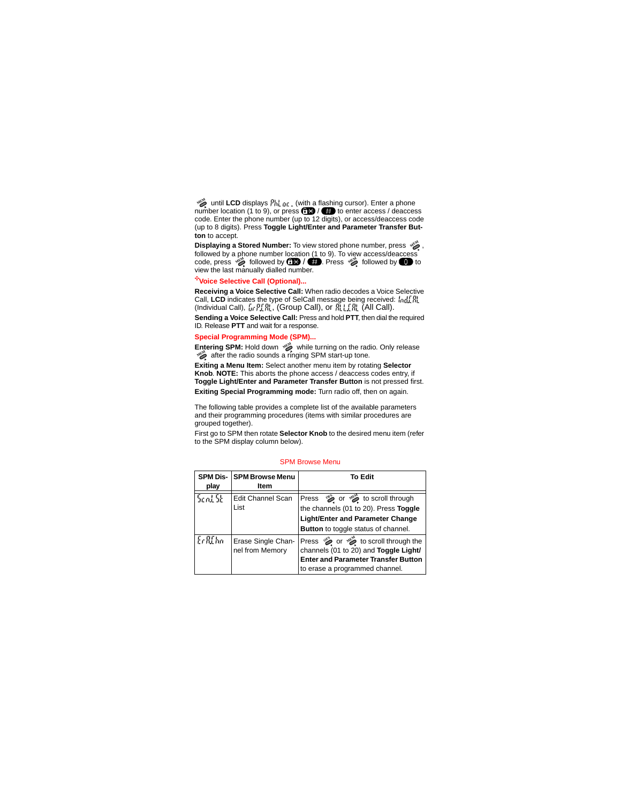until **LCD** displays (with a flashing cursor). Enter a phone **MEM** number location (1 to 9), or press  $\overline{a}$  /  $\overline{a}$  to enter access / deaccess code. Enter the phone number (up to 12 digits), or access/deaccess code (up to 8 digits). Press **Toggle Light/Enter and Parameter Transfer Button** to accept.

, Displaying a Stored Number: To view stored phone number, press  $\sqrt{2}$ , followed by a phone number location (1 to 9). To view access/deaccess<br>code, press  $\gg$  followed by **CEM** / **CED**. Press  $\gg$  followed by **OD** to view the last manually dialled number.

#### ✣**Voice Selective Call (Optional)...**

**Receiving a Voice Selective Call:** When radio decodes a Voice Selective Call, **LCD** indicates the type of SelCall message being received: (Individual Call), , (Group Call), or (All Call). di.

**Sending a Voice Selective Call:** Press and hold **PTT**, then dial the required ID. Release **PTT** and wait for a response.

#### **Special Programming Mode (SPM)...**

**Entering SPM:** Hold down will turning on the radio. Only release after the radio sounds a ringing SPM start-up tone. **MEM MEM**

**Exiting a Menu Item:** Select another menu item by rotating **Selector Knob**. **NOTE:** This aborts the phone access / deaccess codes entry, if **Toggle Light/Enter and Parameter Transfer Button** is not pressed first. **Exiting Special Programming mode:** Turn radio off, then on again.

The following table provides a complete list of the available parameters and their programming procedures (items with similar procedures are grouped together).

First go to SPM then rotate **Selector Knob** to the desired menu item (refer to the SPM display column below).

#### SPM Browse Menu

| play    | <b>SPM Dis- SPM Browse Menu</b><br>Item | To Edit                                                                                                                                                                                                           |
|---------|-----------------------------------------|-------------------------------------------------------------------------------------------------------------------------------------------------------------------------------------------------------------------|
| 5cnl 5b | Edit Channel Scan<br>List               | Press $\mathfrak{S}$ or $\mathfrak{S}$ to scroll through<br>the channels (01 to 20). Press Toggle<br><b>Light/Enter and Parameter Change</b><br><b>Button</b> to toggle status of channel.                        |
| ErREhn  | Erase Single Chan-<br>nel from Memory   | Press $\stackrel{\text{op}}{\sim}$ or $\stackrel{\text{op}}{\sim}$ to scroll through the<br>channels (01 to 20) and Toggle Light/<br><b>Enter and Parameter Transfer Button</b><br>to erase a programmed channel. |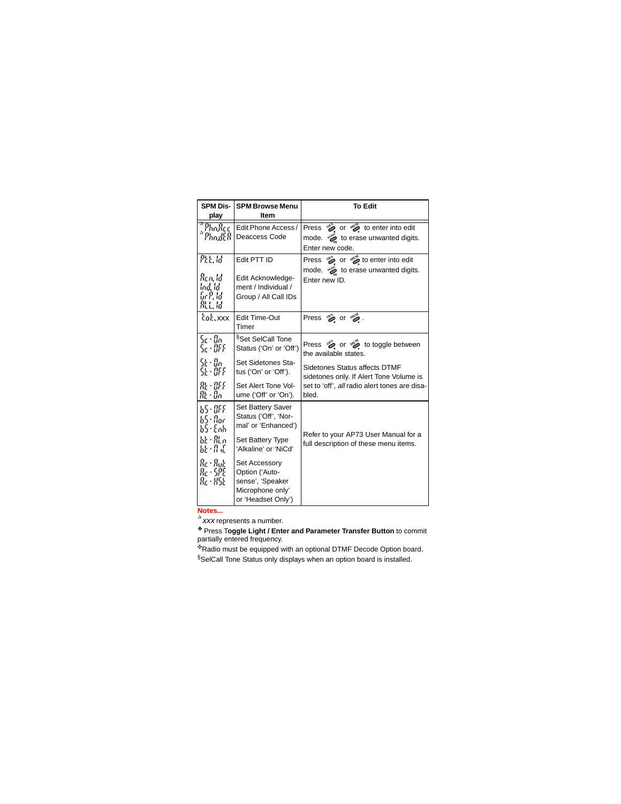| <b>SPM Dis-</b>                             | <b>SPM Browse Menu</b>                                                                        | <b>To Edit</b>                                                                                                                  |
|---------------------------------------------|-----------------------------------------------------------------------------------------------|---------------------------------------------------------------------------------------------------------------------------------|
| play                                        | <b>Item</b>                                                                                   |                                                                                                                                 |
| *malice<br>*malice                          | Edit Phone Access /<br>Deaccess Code                                                          | Press $\mathcal{O}_2$ or $\mathcal{O}_2$ to enter into edit<br>node. $\frac{1}{2}$ to erase unwanted digits.<br>Enter new code. |
| Ptt. 1d<br>Ren, Id<br>lod, ld<br>玩耍易<br>龍島局 | Edit PTT ID<br>Edit Acknowledge-<br>ment / Individual /<br>Group / All Call IDs               | Press $\bullet$ or $\bullet$ to enter into edit<br>to erase unwanted digits.<br>Enter new ID.                                   |
| rot.xxx                                     | <b>Edit Time-Out</b><br>Timer                                                                 | Press 哆 or 嘮.                                                                                                                   |
| Sa - Bo<br>5c - 9FF                         | <sup>§</sup> Set SelCall Tone<br>Status ('On' or 'Off')                                       | Press $\bullet$ or $\bullet$ to toggle between<br>the available states.                                                         |
| SE - Bo<br>SE - OFF                         | Set Sidetones Sta-<br>tus ('On' or 'Off').                                                    | Sidetones Status affects DTMF<br>sidetones only. If Alert Tone Volume is                                                        |
| 跟·群<br>Rt - Bn                              | Set Alert Tone Vol-<br>ume ('Off' or 'On').                                                   | set to 'off', all radio alert tones are disa-<br>bled.                                                                          |
| 55-BFF<br>65- flor<br>65-Enh                | Set Battery Saver<br>Status ('Off', 'Nor-<br>mal' or 'Enhanced')                              |                                                                                                                                 |
| bk - 開 n<br>疑·#正                            | Set Battery Type<br>'Alkaline' or 'NiCd'                                                      | Refer to your AP73 User Manual for a<br>full description of these menu items.                                                   |
| 品・品店<br>Rc - SPE<br>Re - XSk                | Set Accessory<br>Option ('Auto-<br>sense', 'Speaker<br>Microphone only'<br>or 'Headset Only') |                                                                                                                                 |

**Notes...** ✰xxx represents a number.

❖ Press T**oggle Light / Enter and Parameter Transfer Button** to commit partially entered frequency.

✣Radio must be equipped with an optional DTMF Decode Option board. §SelCall Tone Status only displays when an option board is installed.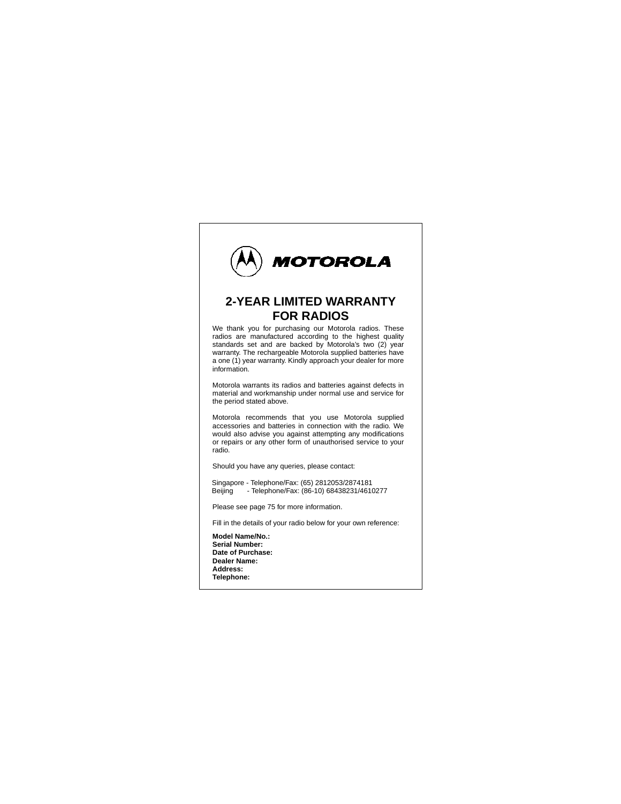

# **2-YEAR LIMITED WARRANTY FOR RADIOS**

We thank you for purchasing our Motorola radios. These radios are manufactured according to the highest quality standards set and are backed by Motorola's two (2) year warranty. The rechargeable Motorola supplied batteries have a one (1) year warranty. Kindly approach your dealer for more information.

Motorola warrants its radios and batteries against defects in material and workmanship under normal use and service for the period stated above.

Motorola recommends that you use Motorola supplied accessories and batteries in connection with the radio. We would also advise you against attempting any modifications or repairs or any other form of unauthorised service to your radio.

Should you have any queries, please contact:

Singapore - Telephone/Fax: (65) 2812053/2874181 Beijing - Telephone/Fax: (86-10) 68438231/4610277

Please see page 75 for more information.

Fill in the details of your radio below for your own reference:

**Model Name/No.: Serial Number: Date of Purchase: Dealer Name: Address: Telephone:**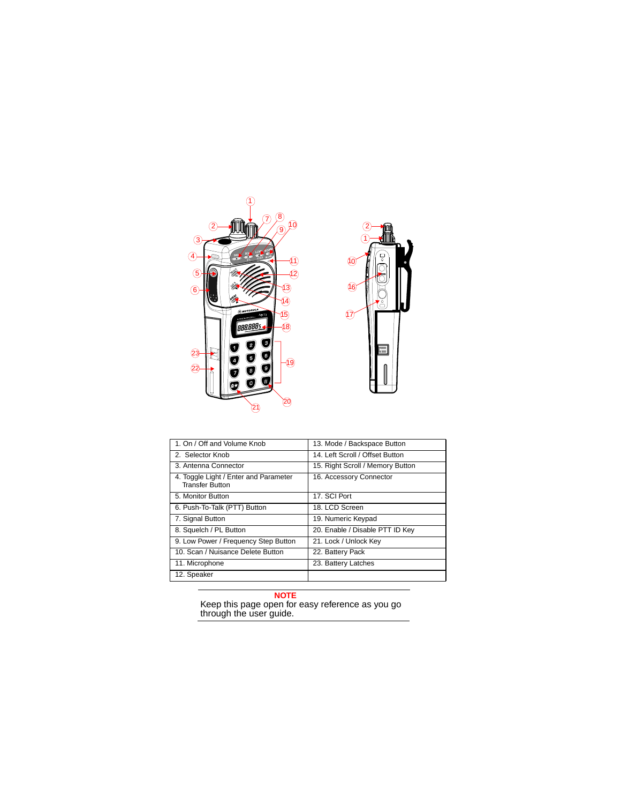



| 1. On / Off and Volume Knob                                     | 13. Mode / Backspace Button      |  |
|-----------------------------------------------------------------|----------------------------------|--|
| 2. Selector Knob                                                | 14. Left Scroll / Offset Button  |  |
| 3. Antenna Connector                                            | 15. Right Scroll / Memory Button |  |
| 4. Toggle Light / Enter and Parameter<br><b>Transfer Button</b> | 16. Accessory Connector          |  |
| 5. Monitor Button                                               | 17. SCI Port                     |  |
| 6. Push-To-Talk (PTT) Button                                    | 18. LCD Screen                   |  |
| 7. Signal Button                                                | 19. Numeric Keypad               |  |
| 8. Squelch / PL Button                                          | 20. Enable / Disable PTT ID Key  |  |
| 9. Low Power / Frequency Step Button                            | 21. Lock / Unlock Key            |  |
| 10. Scan / Nuisance Delete Button                               | 22. Battery Pack                 |  |
| 11. Microphone                                                  | 23. Battery Latches              |  |
| 12. Speaker                                                     |                                  |  |

#### **NOTE**

Keep this page open for easy reference as you go through the user guide.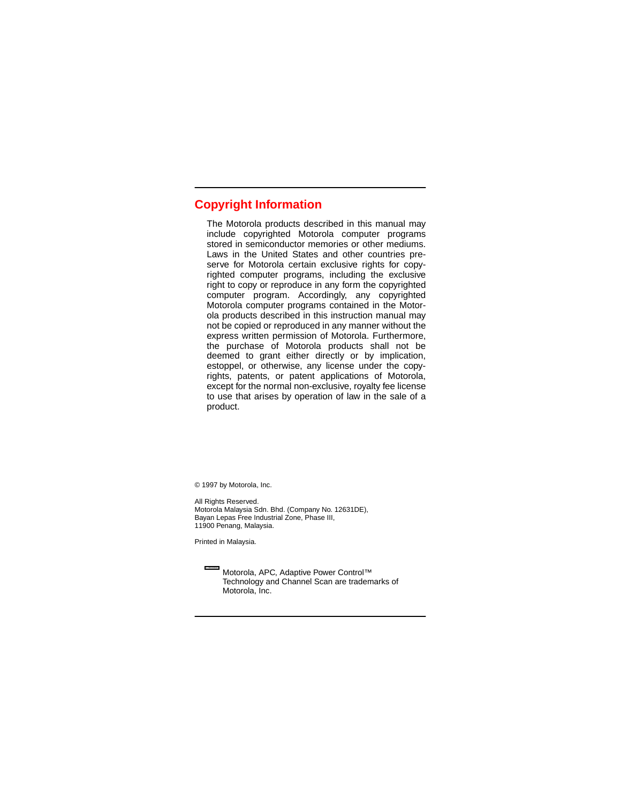# **Copyright Information**

The Motorola products described in this manual may include copyrighted Motorola computer programs stored in semiconductor memories or other mediums. Laws in the United States and other countries preserve for Motorola certain exclusive rights for copyrighted computer programs, including the exclusive right to copy or reproduce in any form the copyrighted computer program. Accordingly, any copyrighted Motorola computer programs contained in the Motorola products described in this instruction manual may not be copied or reproduced in any manner without the express written permission of Motorola. Furthermore, the purchase of Motorola products shall not be deemed to grant either directly or by implication, estoppel, or otherwise, any license under the copyrights, patents, or patent applications of Motorola, except for the normal non-exclusive, royalty fee license to use that arises by operation of law in the sale of a product.

© 1997 by Motorola, Inc.

All Rights Reserved. Motorola Malaysia Sdn. Bhd. (Company No. 12631DE), Bayan Lepas Free Industrial Zone, Phase III, 11900 Penang, Malaysia.

Printed in Malaysia.

Motorola, APC, Adaptive Power Control™ Technology and Channel Scan are trademarks of Motorola, Inc.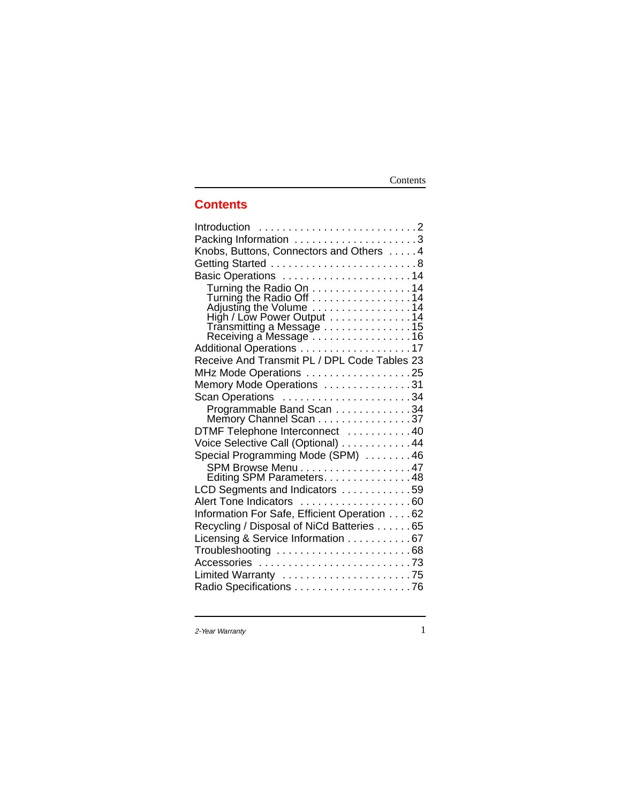# Contents

# **Contents**

| Introduction 2                                        |  |
|-------------------------------------------------------|--|
| Packing Information 3                                 |  |
| Knobs, Buttons, Connectors and Others 4               |  |
|                                                       |  |
| Basic Operations 14                                   |  |
|                                                       |  |
| Turning the Radio On 14<br>Turning the Radio Off 14   |  |
| Adjusting the Volume<br>High / Low Power Output<br>14 |  |
|                                                       |  |
| Transmitting a Message 15<br>Receiving a Message 16   |  |
| Additional Operations 17                              |  |
| Receive And Transmit PL / DPL Code Tables 23          |  |
| MHz Mode Operations 25                                |  |
| Memory Mode Operations 31                             |  |
| Scan Operations 34                                    |  |
| Programmable Band Scan 34                             |  |
| Memory Channel Scan 37                                |  |
| DTMF Telephone Interconnect 40                        |  |
| Voice Selective Call (Optional) 44                    |  |
| Special Programming Mode (SPM) 46                     |  |
| SPM Browse Menu 47<br>Editing SPM Parameters. 48      |  |
|                                                       |  |
| LCD Segments and Indicators 59                        |  |
| Alert Tone Indicators 60                              |  |
| Information For Safe, Efficient Operation 62          |  |
| Recycling / Disposal of NiCd Batteries 65             |  |
| Licensing & Service Information 67                    |  |
| Troubleshooting 68                                    |  |
|                                                       |  |
| Limited Warranty 75                                   |  |
|                                                       |  |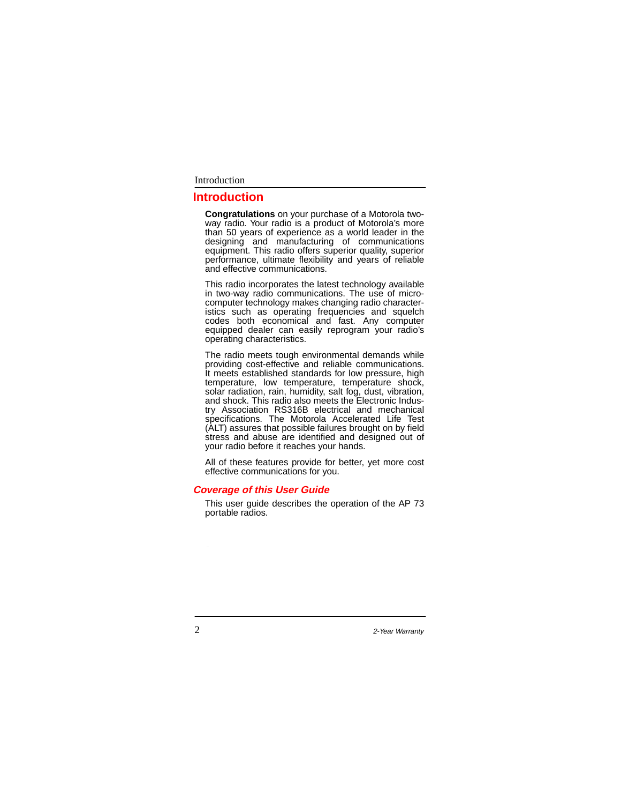# Introduction

# **Introduction**

**Congratulations** on your purchase of a Motorola twoway radio. Your radio is a product of Motorola's more than 50 years of experience as a world leader in the designing and manufacturing of communications equipment. This radio offers superior quality, superior performance, ultimate flexibility and years of reliable and effective communications.

This radio incorporates the latest technology available in two-way radio communications. The use of microcomputer technology makes changing radio characteristics such as operating frequencies and squelch codes both economical and fast. Any computer equipped dealer can easily reprogram your radio's operating characteristics.

The radio meets tough environmental demands while providing cost-effective and reliable communications. It meets established standards for low pressure, high temperature, low temperature, temperature shock, solar radiation, rain, humidity, salt fog, dust, vibration, and shock. This radio also meets the Electronic Industry Association RS316B electrical and mechanical specifications. The Motorola Accelerated Life Test (ALT) assures that possible failures brought on by field stress and abuse are identified and designed out of your radio before it reaches your hands.

All of these features provide for better, yet more cost effective communications for you.

#### **Coverage of this User Guide**

This user guide describes the operation of the AP 73 portable radios.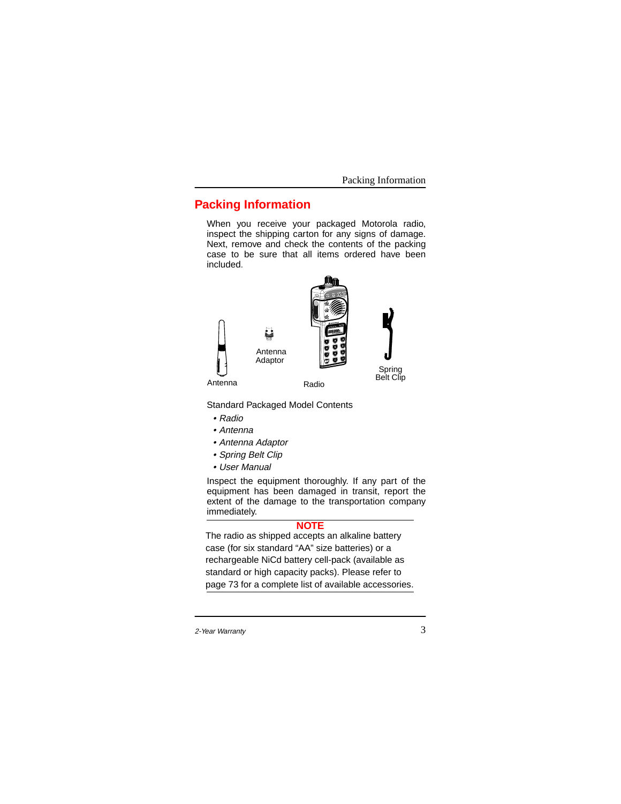Packing Information

# **Packing Information**

When you receive your packaged Motorola radio, inspect the shipping carton for any signs of damage. Next, remove and check the contents of the packing case to be sure that all items ordered have been included.



Standard Packaged Model Contents

- Radio
- Antenna
- Antenna Adaptor
- Spring Belt Clip
- User Manual

Inspect the equipment thoroughly. If any part of the equipment has been damaged in transit, report the extent of the damage to the transportation company immediately.

## **NOTE**

The radio as shipped accepts an alkaline battery case (for six standard "AA" size batteries) or a rechargeable NiCd battery cell-pack (available as standard or high capacity packs). Please refer to page 73 for a complete list of available accessories.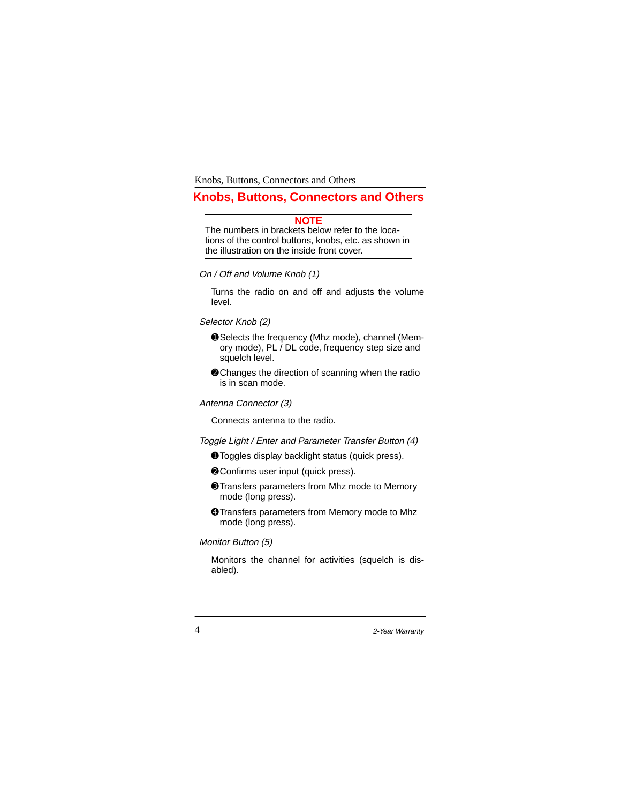# **Knobs, Buttons, Connectors and Others**

# **NOTE**

The numbers in brackets below refer to the locations of the control buttons, knobs, etc. as shown in the illustration on the inside front cover.

On / Off and Volume Knob (1)

Turns the radio on and off and adjusts the volume level.

Selector Knob (2)

- ➊Selects the frequency (Mhz mode), channel (Memory mode), PL / DL code, frequency step size and squelch level.
- ➋Changes the direction of scanning when the radio is in scan mode.

Antenna Connector (3)

Connects antenna to the radio.

Toggle Light / Enter and Parameter Transfer Button (4)

- ➊Toggles display backlight status (quick press).
- ➋Confirms user input (quick press).
- ➌Transfers parameters from Mhz mode to Memory mode (long press).
- ➍Transfers parameters from Memory mode to Mhz mode (long press).

# Monitor Button (5)

Monitors the channel for activities (squelch is disabled).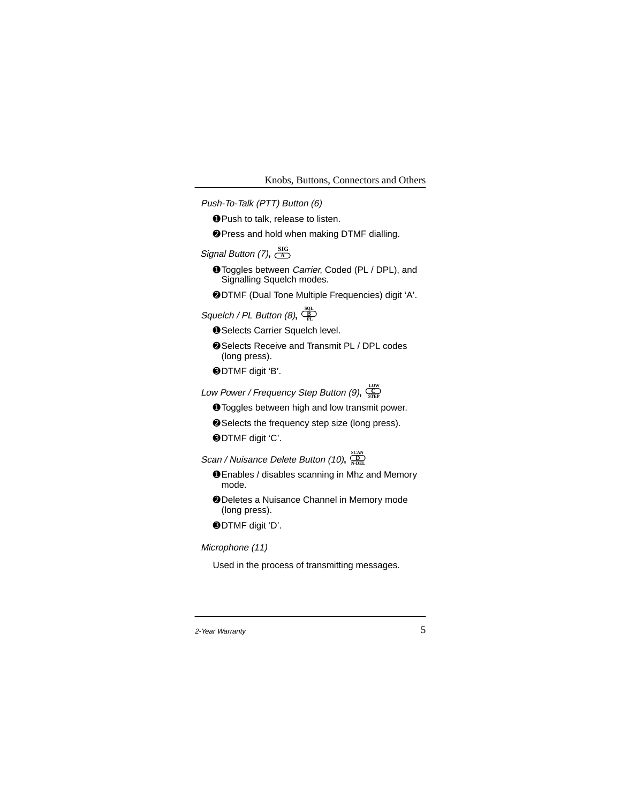Push-To-Talk (PTT) Button (6)

- ➊Push to talk, release to listen.
- ➋Press and hold when making DTMF dialling.

# Signal Button (7),  $\frac{SIG}{A}$

- **O** Toggles between *Carrier*, Coded (PL / DPL), and Signalling Squelch modes.
- ➋DTMF (Dual Tone Multiple Frequencies) digit 'A'.
- $\mathsf{Squelch}$  /  $\mathsf{PL}\ \mathsf{Button}\ (\mathsf{8}),\ \frac{\mathsf{SQL}}{\mathsf{PL}}$ 
	- ➊Selects Carrier Squelch level.
	- ➋Selects Receive and Transmit PL / DPL codes (long press).
	- ➌DTMF digit 'B'.
- Low Power / Frequency Step Button (9)**, STEP C LOW**
	- ➊Toggles between high and low transmit power.
	- ➋Selects the frequency step size (long press).
	- ➌DTMF digit 'C'.
- $\mathcal{S}$ can / Nuisance Delete Button (10),  $\frac{\text{SDAN}}{\text{NDEL}}$ 
	- ➊Enables / disables scanning in Mhz and Memory mode.
	- ➋Deletes a Nuisance Channel in Memory mode (long press).
	- ➌DTMF digit 'D'.

# Microphone (11)

Used in the process of transmitting messages.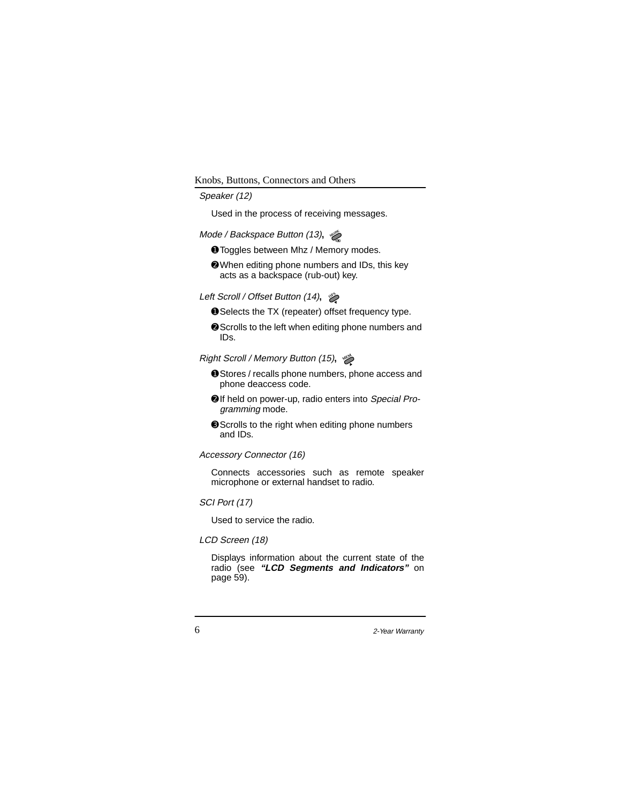# Speaker (12)

Used in the process of receiving messages.

#### *Mode / Backspace Button (13),* ﴾

- ➊Toggles between Mhz / Memory modes.
- ➋When editing phone numbers and IDs, this key acts as a backspace (rub-out) key.

#### $Left$  Scroll / Offset Button (14),  $%$

- ➊Selects the TX (repeater) offset frequency type.
- ➋Scrolls to the left when editing phone numbers and IDs.

#### $R$ ight Scroll / Memory Button (15),  $\gg$

- ➊Stores / recalls phone numbers, phone access and phone deaccess code.
- ➋If held on power-up, radio enters into Special Programming mode.
- ➌Scrolls to the right when editing phone numbers and IDs.

#### Accessory Connector (16)

Connects accessories such as remote speaker microphone or external handset to radio.

# SCI Port (17)

Used to service the radio.

# LCD Screen (18)

Displays information about the current state of the radio (see **"LCD Segments and Indicators"** on page 59).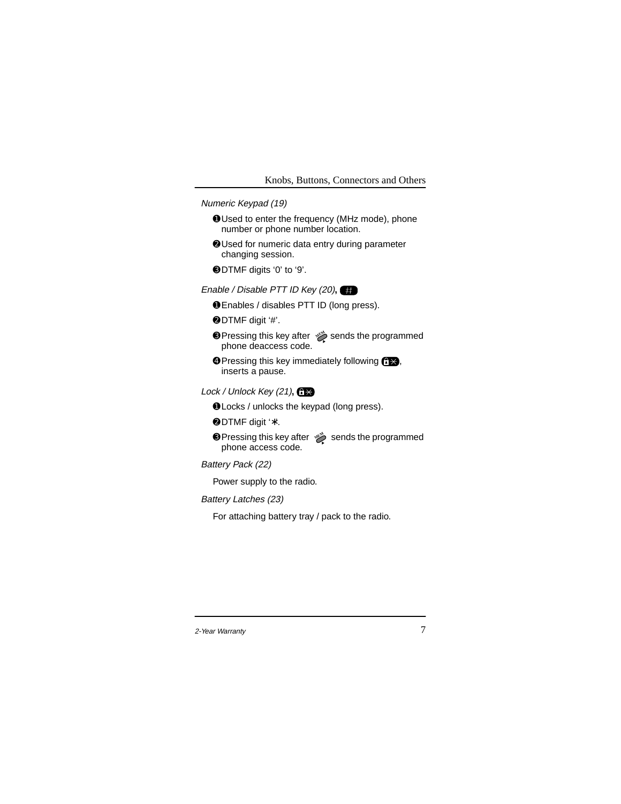### Numeric Keypad (19)

- ➊Used to enter the frequency (MHz mode), phone number or phone number location.
- ➋Used for numeric data entry during parameter changing session.
- ➌DTMF digits '0' to '9'.
- Enable / Disable PTT ID Key (20)**,**
	- ➊Enables / disables PTT ID (long press).
	- ➋DTMF digit '#'.
	- **O** Pressing this key after  $\gg$  sends the programmed phone deaccess code.
	- **O** Pressing this key immediately following <del>∩  $\rightarrow$ </del>, inserts a pause.
- Lock / Unlock Key (21)**,**
	- ➊Locks / unlocks the keypad (long press).
	- ➋DTMF digit '∗'.
	- **O** Pressing this key after  $\gg$  sends the programmed phone access code.

# Battery Pack (22)

Power supply to the radio.

### Battery Latches (23)

For attaching battery tray / pack to the radio.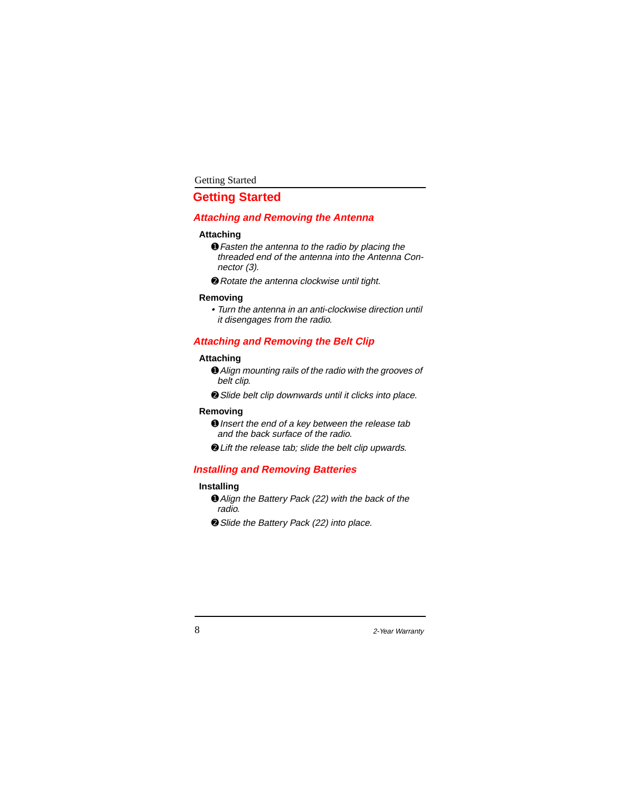# **Getting Started**

# **Attaching and Removing the Antenna**

# **Attaching**

- ➊Fasten the antenna to the radio by placing the threaded end of the antenna into the Antenna Connector (3).
- **<sup>●</sup>** Rotate the antenna clockwise until tight.

#### **Removing**

• Turn the antenna in an anti-clockwise direction until it disengages from the radio.

# **Attaching and Removing the Belt Clip**

### **Attaching**

- ➊Align mounting rails of the radio with the grooves of belt clip.
- ➋Slide belt clip downwards until it clicks into place.

#### **Removing**

- **O** Insert the end of a key between the release tab and the back surface of the radio.
- ➋Lift the release tab; slide the belt clip upwards.

# **Installing and Removing Batteries**

### **Installing**

- ➊Align the Battery Pack (22) with the back of the radio.
- ➋Slide the Battery Pack (22) into place.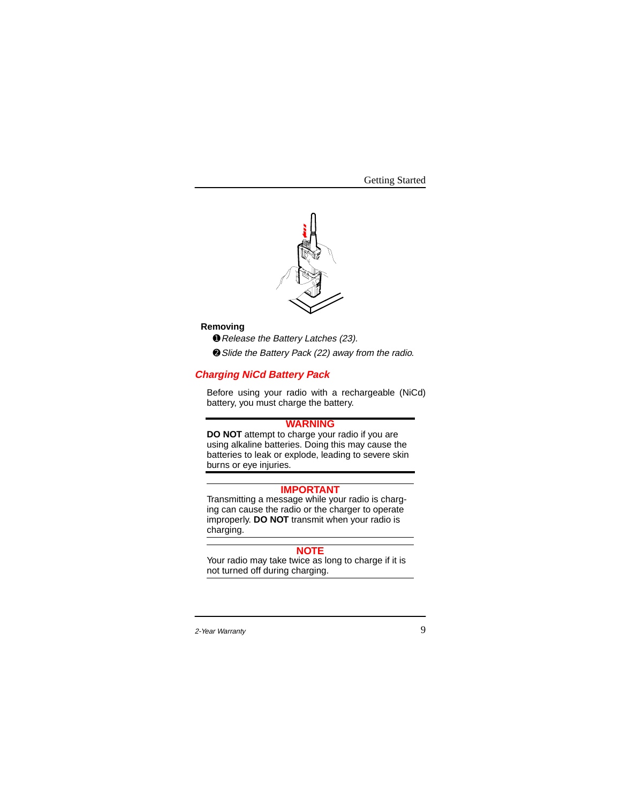

# **Removing**

➊Release the Battery Latches (23).

➋Slide the Battery Pack (22) away from the radio.

# **Charging NiCd Battery Pack**

Before using your radio with a rechargeable (NiCd) battery, you must charge the battery.

# **WARNING**

**DO NOT** attempt to charge your radio if you are using alkaline batteries. Doing this may cause the batteries to leak or explode, leading to severe skin burns or eye injuries.

#### **IMPORTANT**

Transmitting a message while your radio is charging can cause the radio or the charger to operate improperly. **DO NOT** transmit when your radio is charging.

# **NOTE**

Your radio may take twice as long to charge if it is not turned off during charging.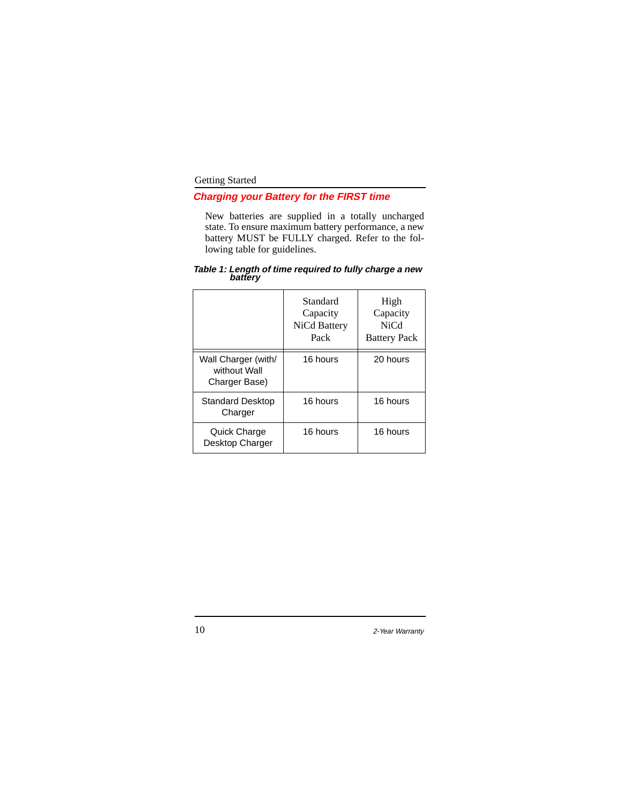# **Charging your Battery for the FIRST time**

New batteries are supplied in a totally uncharged state. To ensure maximum battery performance, a new battery MUST be FULLY charged. Refer to the following table for guidelines.

|                                                      | Standard<br>Capacity<br>NiCd Battery<br>Pack | High<br>Capacity<br><b>NiCd</b><br><b>Battery Pack</b> |
|------------------------------------------------------|----------------------------------------------|--------------------------------------------------------|
| Wall Charger (with/<br>without Wall<br>Charger Base) | 16 hours                                     | 20 hours                                               |
| <b>Standard Desktop</b><br>Charger                   | 16 hours                                     | 16 hours                                               |
| Quick Charge<br>Desktop Charger                      | 16 hours                                     | 16 hours                                               |

# **Table 1: Length of time required to fully charge a new battery**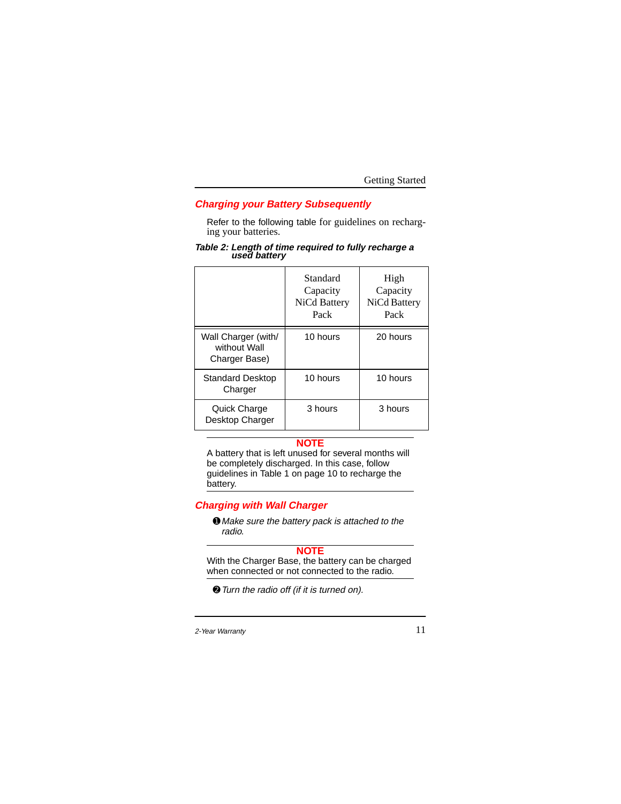# **Charging your Battery Subsequently**

Refer to the following table for guidelines on recharging your batteries.

# **Table 2: Length of time required to fully recharge a used battery**

|                                                      | Standard<br>Capacity<br>NiCd Battery<br>Pack | High<br>Capacity<br>NiCd Battery<br>Pack |
|------------------------------------------------------|----------------------------------------------|------------------------------------------|
| Wall Charger (with/<br>without Wall<br>Charger Base) | 10 hours                                     | 20 hours                                 |
| <b>Standard Desktop</b><br>Charger                   | 10 hours                                     | 10 hours                                 |
| Quick Charge<br>Desktop Charger                      | 3 hours                                      | 3 hours                                  |

# **NOTE**

A battery that is left unused for several months will be completely discharged. In this case, follow guidelines in Table 1 on page 10 to recharge the battery.

# **Charging with Wall Charger**

➊ Make sure the battery pack is attached to the radio.

## **NOTE**

With the Charger Base, the battery can be charged when connected or not connected to the radio.

➋Turn the radio off (if it is turned on).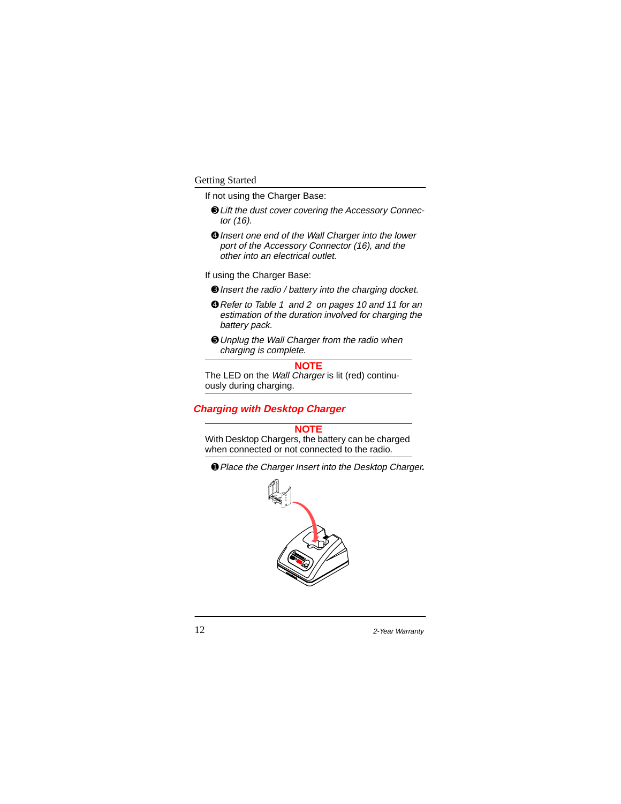If not using the Charger Base:

- ➌Lift the dust cover covering the Accessory Connector (16).
- ➍Insert one end of the Wall Charger into the lower port of the Accessory Connector (16), and the other into an electrical outlet.

If using the Charger Base:

- ➌Insert the radio / battery into the charging docket.
- ➍Refer to Table 1 and 2 on pages 10 and 11 for an estimation of the duration involved for charging the battery pack.
- ➎Unplug the Wall Charger from the radio when charging is complete.

**NOTE**

The LED on the Wall Charger is lit (red) continuously during charging.

# **Charging with Desktop Charger**

# **NOTE**

With Desktop Chargers, the battery can be charged when connected or not connected to the radio.

➊Place the Charger Insert into the Desktop Charger**.**

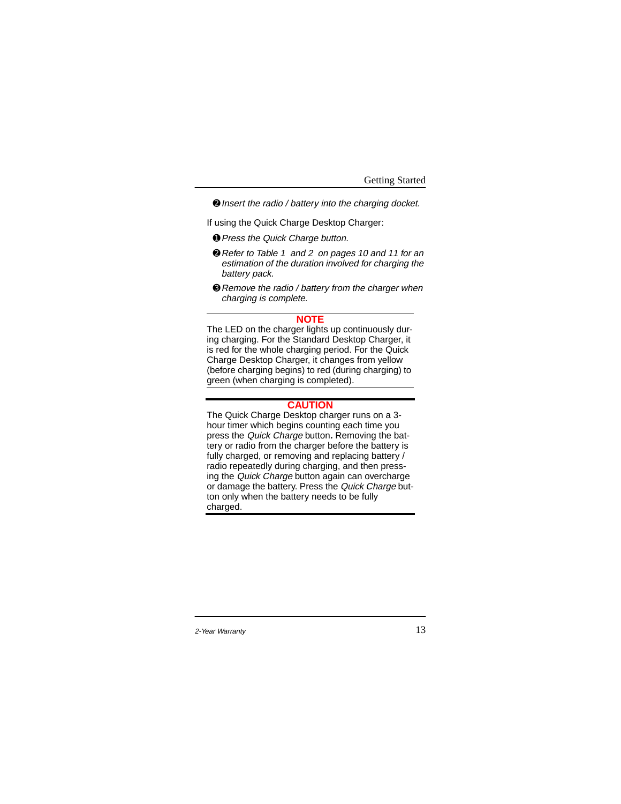➋Insert the radio / battery into the charging docket.

If using the Quick Charge Desktop Charger:

- ➊Press the Quick Charge button.
- ➋Refer to Table 1 and 2 on pages 10 and 11 for an estimation of the duration involved for charging the battery pack.
- ➌Remove the radio / battery from the charger when charging is complete.

#### **NOTE**

The LED on the charger lights up continuously during charging. For the Standard Desktop Charger, it is red for the whole charging period. For the Quick Charge Desktop Charger, it changes from yellow (before charging begins) to red (during charging) to green (when charging is completed).

# **CAUTION**

The Quick Charge Desktop charger runs on a 3 hour timer which begins counting each time you press the Quick Charge button**.** Removing the battery or radio from the charger before the battery is fully charged, or removing and replacing battery / radio repeatedly during charging, and then pressing the Quick Charge button again can overcharge or damage the battery. Press the Quick Charge button only when the battery needs to be fully charged.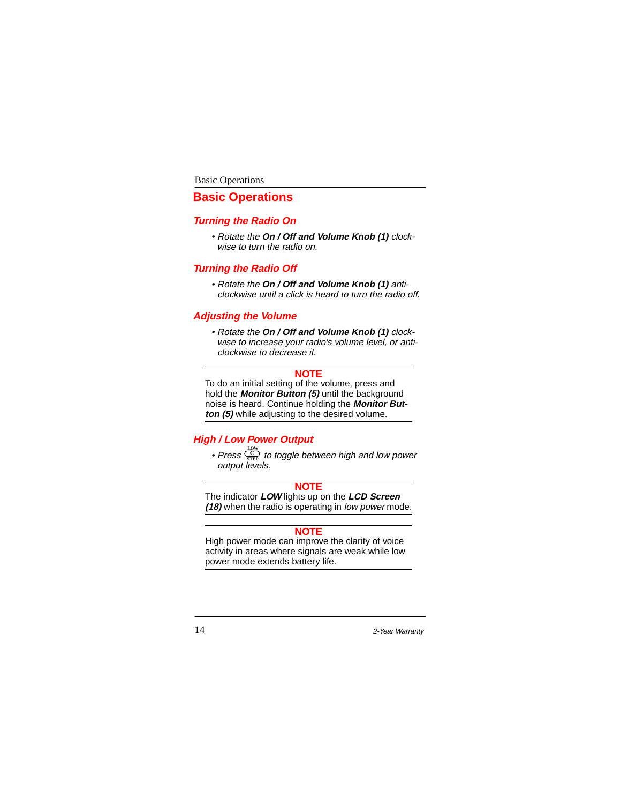#### Basic Operations

# **Basic Operations**

### **Turning the Radio On**

• Rotate the **On / Off and Volume Knob (1)** clockwise to turn the radio on.

# **Turning the Radio Off**

• Rotate the **On / Off and Volume Knob (1)** anticlockwise until a click is heard to turn the radio off.

#### **Adjusting the Volume**

• Rotate the **On / Off and Volume Knob (1)** clockwise to increase your radio's volume level, or anticlockwise to decrease it.

# **NOTE**

To do an initial setting of the volume, press and hold the **Monitor Button (5)** until the background noise is heard. Continue holding the **Monitor Button (5)** while adjusting to the desired volume.

# **High / Low Power Output**

• Press  $\frac{C}{STFP}$  to toggle between high and low power output levels. **STEP C LOW**

#### **NOTE**

The indicator **LOW** lights up on the **LCD Screen (18)** when the radio is operating in low power mode.

# **NOTE**

High power mode can improve the clarity of voice activity in areas where signals are weak while low power mode extends battery life.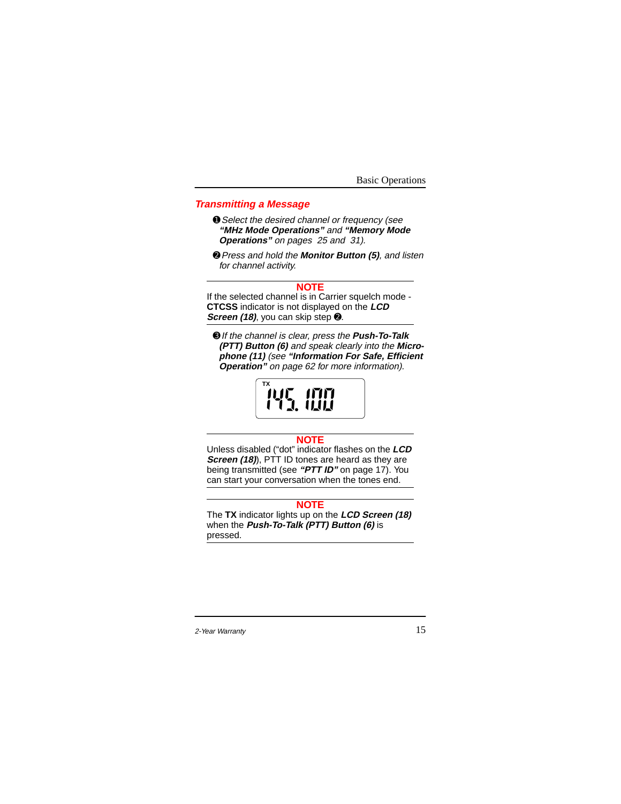Basic Operations

# **Transmitting a Message**

- ➊Select the desired channel or frequency (see **"MHz Mode Operations"** and **"Memory Mode Operations"** on pages 25 and 31).
- ➋Press and hold the **Monitor Button (5)**, and listen for channel activity.

#### **NOTE**

If the selected channel is in Carrier squelch mode - **CTCSS** indicator is not displayed on the **LCD Screen (18)**, you can skip step ➋.

➌If the channel is clear, press the **Push-To-Talk (PTT) Button (6)** and speak clearly into the **Microphone (11)** (see **"Information For Safe, Efficient Operation"** on page 62 for more information).

> **TX**UJE IMM 1 J. ILIU .

#### **NOTE**

Unless disabled ("dot" indicator flashes on the **LCD Screen (18)**, PTT ID tones are heard as they are being transmitted (see **"PTT ID"** on page 17). You can start your conversation when the tones end.

# **NOTE**

The **TX** indicator lights up on the **LCD Screen (18)** when the **Push-To-Talk (PTT) Button (6)** is pressed.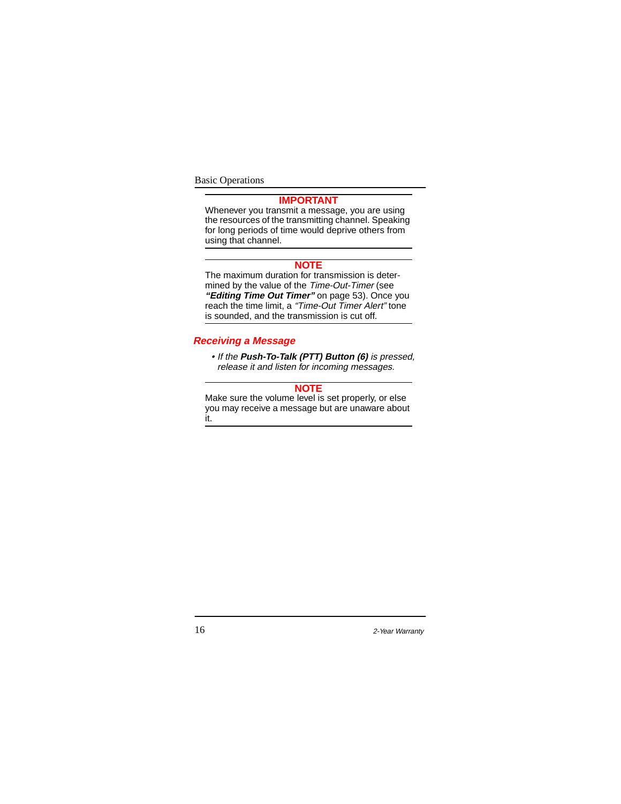Basic Operations

# **IMPORTANT**

Whenever you transmit a message, you are using the resources of the transmitting channel. Speaking for long periods of time would deprive others from using that channel.

#### **NOTE**

The maximum duration for transmission is determined by the value of the Time-Out-Timer (see **"Editing Time Out Timer"** on page 53). Once you reach the time limit, a "Time-Out Timer Alert" tone is sounded, and the transmission is cut off.

# **Receiving a Message**

• If the **Push-To-Talk (PTT) Button (6)** is pressed, release it and listen for incoming messages.

#### **NOTE**

Make sure the volume level is set properly, or else you may receive a message but are unaware about it.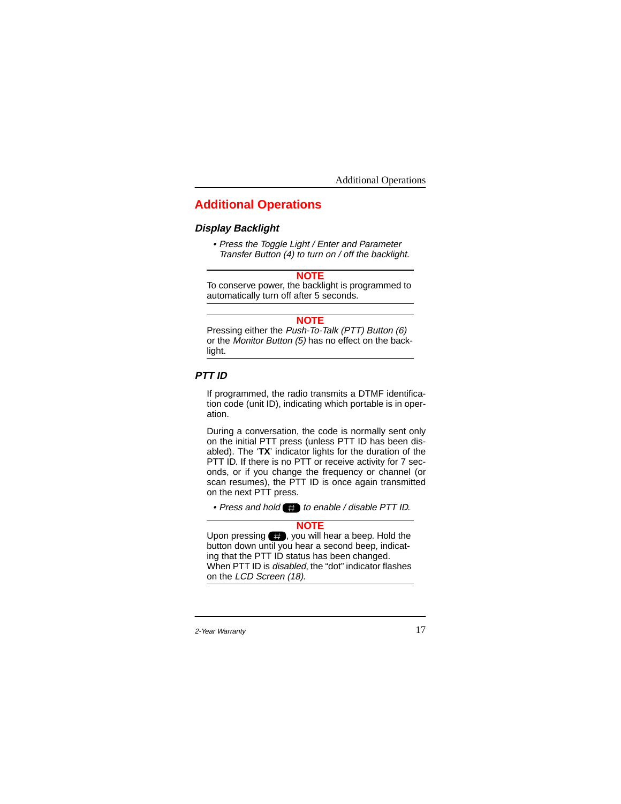# **Additional Operations**

# **Display Backlight**

• Press the Toggle Light / Enter and Parameter Transfer Button (4) to turn on / off the backlight.

**NOTE**

To conserve power, the backlight is programmed to automatically turn off after 5 seconds.

#### **NOTE**

Pressing either the Push-To-Talk (PTT) Button (6) or the Monitor Button (5) has no effect on the backlight.

#### **PTT ID**

If programmed, the radio transmits a DTMF identification code (unit ID), indicating which portable is in operation.

During a conversation, the code is normally sent only on the initial PTT press (unless PTT ID has been disabled). The '**TX**' indicator lights for the duration of the PTT ID. If there is no PTT or receive activity for 7 seconds, or if you change the frequency or channel (or scan resumes), the PTT ID is once again transmitted on the next PTT press.

• Press and hold  $\blacksquare$  to enable / disable PTT ID.

#### **NOTE**

Upon pressing  $\Box$ , you will hear a beep. Hold the button down until you hear a second beep, indicating that the PTT ID status has been changed. When PTT ID is *disabled*, the "dot" indicator flashes on the LCD Screen (18).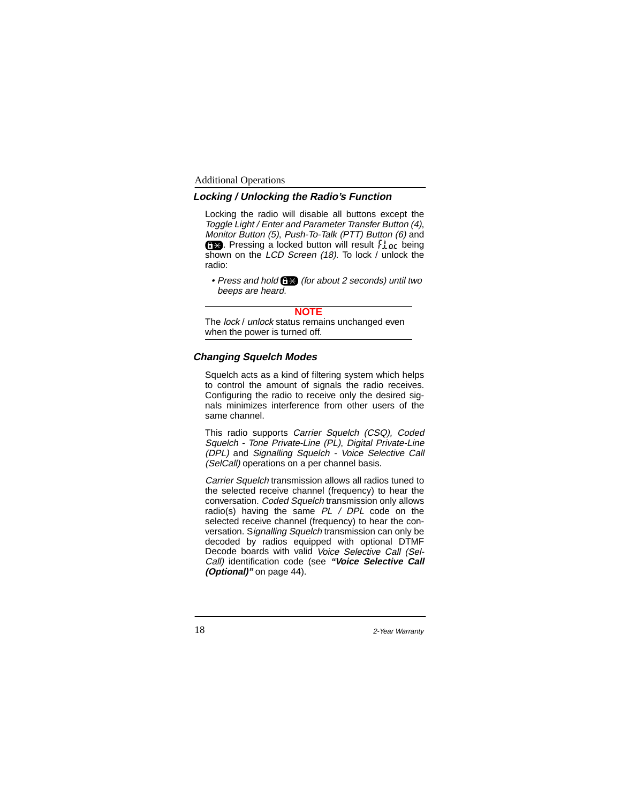### **Locking / Unlocking the Radio's Function**

Locking the radio will disable all buttons except the Toggle Light / Enter and Parameter Transfer Button (4), Monitor Button (5), Push-To-Talk (PTT) Button (6) and  $6 \times$ . Pressing a locked button will result  $\frac{1}{2}$  or being shown on the LCD Screen (18). To lock / unlock the radio:

• Press and hold  $f(x)$  (for about 2 seconds) until two beeps are heard.

#### **NOTE**

The lock / unlock status remains unchanged even when the power is turned off.

# **Changing Squelch Modes**

Squelch acts as a kind of filtering system which helps to control the amount of signals the radio receives. Configuring the radio to receive only the desired signals minimizes interference from other users of the same channel.

This radio supports Carrier Squelch (CSQ), Coded Squelch - Tone Private-Line (PL), Digital Private-Line (DPL) and Signalling Squelch - Voice Selective Call (SelCall) operations on a per channel basis.

Carrier Squelch transmission allows all radios tuned to the selected receive channel (frequency) to hear the conversation. Coded Squelch transmission only allows radio(s) having the same  $PL / DPL$  code on the selected receive channel (frequency) to hear the conversation. Signalling Squelch transmission can only be decoded by radios equipped with optional DTMF Decode boards with valid Voice Selective Call (Sel-Call) identification code (see **"Voice Selective Call (Optional)"** on page 44).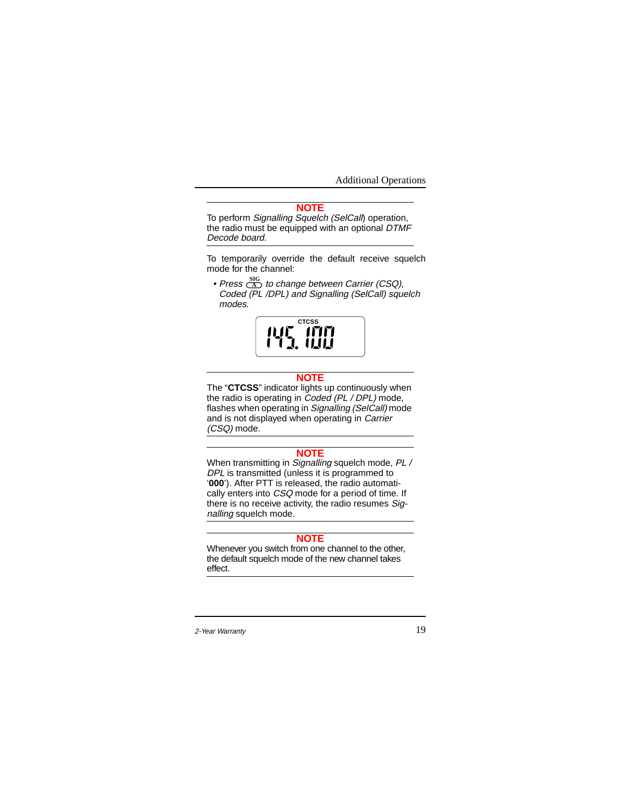# **NOTE**

To perform Signalling Squelch (SelCall) operation, the radio must be equipped with an optional DTMF Decode board.

To temporarily override the default receive squelch mode for the channel:

• Press  $\overline{\text{in}}$  to change between Carrier (CSQ), Coded (PL /DPL) and Signalling (SelCall) squelch modes. **A SIG**



#### **NOTE**

The "**CTCSS**" indicator lights up continuously when the radio is operating in Coded (PL / DPL) mode, flashes when operating in Signalling (SelCall) mode and is not displayed when operating in Carrier (CSQ) mode.

# **NOTE**

When transmitting in Signalling squelch mode, PL / DPL is transmitted (unless it is programmed to '**000**'). After PTT is released, the radio automatically enters into CSQ mode for a period of time. If there is no receive activity, the radio resumes Signalling squelch mode.

#### **NOTE**

Whenever you switch from one channel to the other, the default squelch mode of the new channel takes effect.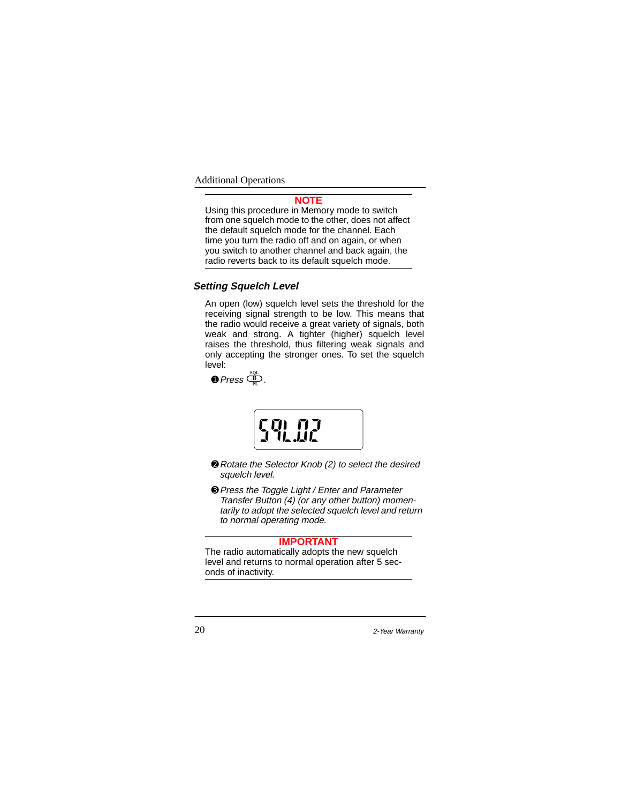# **NOTE**

Using this procedure in Memory mode to switch from one squelch mode to the other, does not affect the default squelch mode for the channel. Each time you turn the radio off and on again, or when you switch to another channel and back again, the radio reverts back to its default squelch mode.

# **Setting Squelch Level**

An open (low) squelch level sets the threshold for the receiving signal strength to be low. This means that the radio would receive a great variety of signals, both weak and strong. A tighter (higher) squelch level raises the threshold, thus filtering weak signals and only accepting the stronger ones. To set the squelch level:

 $\bullet$  Press  $\frac{SOL}{PL}$ .



- ➋Rotate the Selector Knob (2) to select the desired squelch level.
- ➌Press the Toggle Light / Enter and Parameter Transfer Button (4) (or any other button) momentarily to adopt the selected squelch level and return to normal operating mode.

# **IMPORTANT**

The radio automatically adopts the new squelch level and returns to normal operation after 5 seconds of inactivity.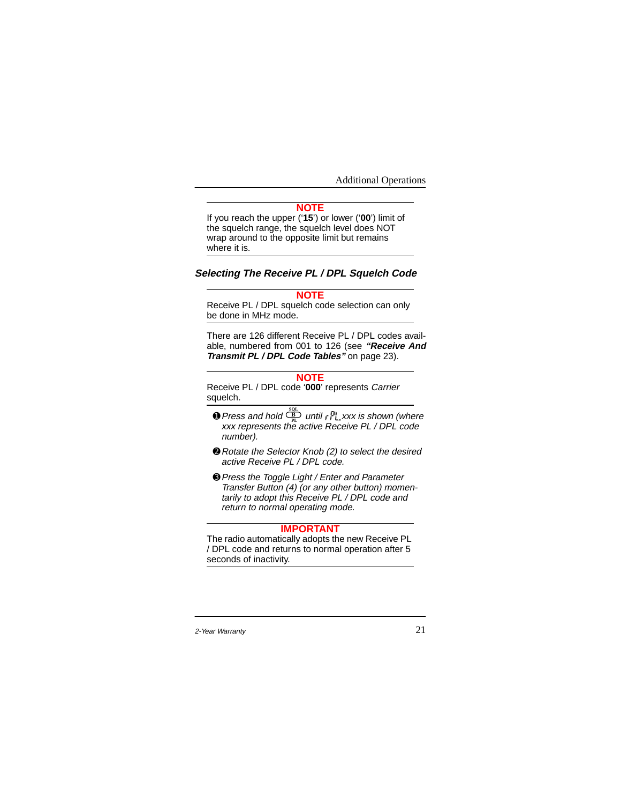# **NOTE**

If you reach the upper ('**15**') or lower ('**00**') limit of the squelch range, the squelch level does NOT wrap around to the opposite limit but remains where it is.

# **Selecting The Receive PL / DPL Squelch Code**

# **NOTE**

Receive PL / DPL squelch code selection can only be done in MHz mode.

There are 126 different Receive PL / DPL codes available, numbered from 001 to 126 (see **"Receive And Transmit PL / DPL Code Tables"** on page 23).

#### **NOTE**

Receive PL / DPL code '**000**' represents Carrier squelch.

- $\bullet$  Press and hold  $\frac{\overline{B}}{\overline{B}}$  until  $\overline{F}^{\text{PI}}_{\text{L}}$ , xxx is shown (where xxx represents the active Receive PL / DPL code number).
- ➋Rotate the Selector Knob (2) to select the desired active Receive PL / DPL code.
- ➌Press the Toggle Light / Enter and Parameter Transfer Button (4) (or any other button) momentarily to adopt this Receive PL / DPL code and return to normal operating mode.

#### **IMPORTANT**

The radio automatically adopts the new Receive PL / DPL code and returns to normal operation after 5 seconds of inactivity.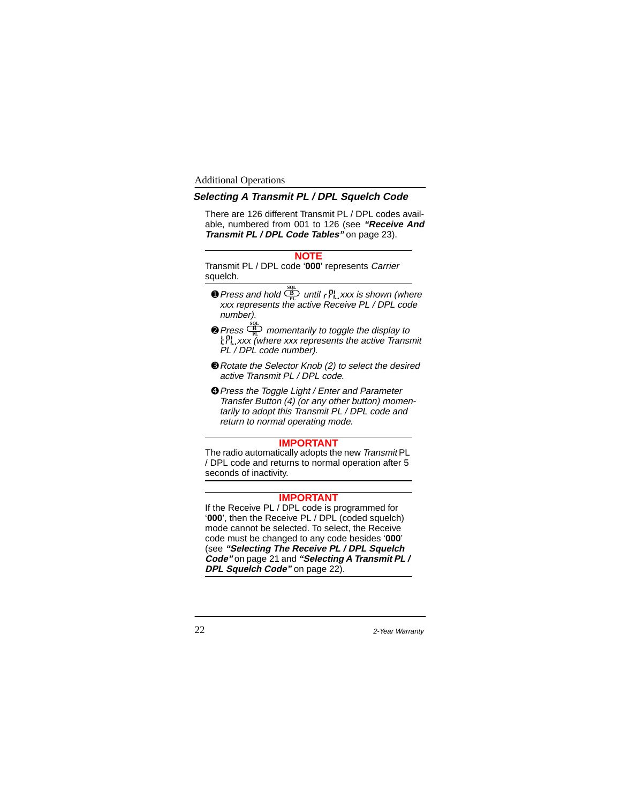# **Selecting A Transmit PL / DPL Squelch Code**

There are 126 different Transmit PL / DPL codes available, numbered from 001 to 126 (see **"Receive And Transmit PL / DPL Code Tables"** on page 23).

#### **NOTE**

Transmit PL / DPL code '**000**' represents Carrier squelch.

- $\bullet$  Press and hold  $\frac{\mathfrak{B}_{\rm E}}{\rm PL}$  until  $\left| \cdot \right|^{\rm Pl}_{\rm L}$ , xxx is shown (where xxx represents the active Receive PL / DPL code number).
- $\bigcirc$  Press  $\frac{C_{\text{BL}}}{PL}$  momentarily to toggle the display to **Xxx (where xxx represents the active Transmit** PL / DPL code number).
- ➌Rotate the Selector Knob (2) to select the desired active Transmit PL / DPL code.
- ➍Press the Toggle Light / Enter and Parameter Transfer Button (4) (or any other button) momentarily to adopt this Transmit PL / DPL code and return to normal operating mode.

# **IMPORTANT**

The radio automatically adopts the new Transmit PL / DPL code and returns to normal operation after 5 seconds of inactivity.

# **IMPORTANT**

If the Receive PL / DPL code is programmed for '**000**', then the Receive PL / DPL (coded squelch) mode cannot be selected. To select, the Receive code must be changed to any code besides '**000**' (see **"Selecting The Receive PL / DPL Squelch Code"** on page 21 and **"Selecting A Transmit PL / DPL Squelch Code"** on page 22).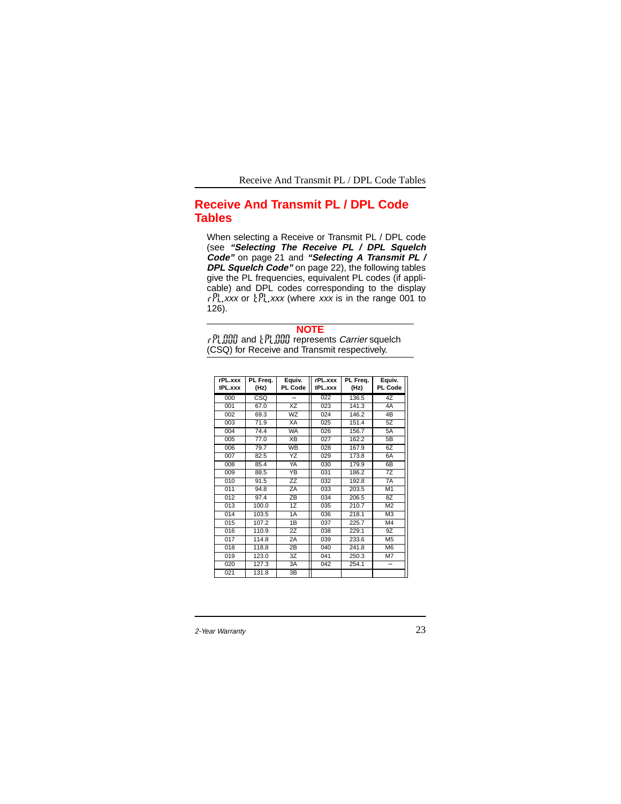Receive And Transmit PL / DPL Code Tables

# **Receive And Transmit PL / DPL Code Tables**

When selecting a Receive or Transmit PL / DPL code (see **"Selecting The Receive PL / DPL Squelch Code"** on page 21 and **"Selecting A Transmit PL / DPL Squelch Code"** on page 22), the following tables give the PL frequencies, equivalent PL codes (if applicable) and DPL codes corresponding to the display  $r_1^{[1]}$ , xxx or  $r_2^{[1]}$ , xxx (where xxx is in the range 001 to 126).

| <b>NOTE</b>                                                        |
|--------------------------------------------------------------------|
| <b>DUTION</b> and <b>APLININ</b> represents <i>Carrier</i> squelch |
| (CSQ) for Receive and Transmit respectively.                       |

| rPL.xxx<br>tPL.xxx | PL Freq.<br>(Hz) | Equiv.<br>PL Code          | rPL.xxx<br>tPL.xxx | PL Freq.<br>(Hz) | Equiv.<br>PL Code |
|--------------------|------------------|----------------------------|--------------------|------------------|-------------------|
| 000                | CSQ              |                            | 022                | 136.5            | 4Z                |
| 001                | 67.0             | $\overline{\text{XZ}}$     | 023                | 141.3            | 4A                |
| 002                | 69.3             | WZ                         | 024                | 146.2            | $\overline{AB}$   |
| 003                | 71.9             | <b>XA</b>                  | 025                | 151.4            | 5Z                |
| 004                | 74.4             | <b>WA</b>                  | 026                | 156.7            | 5A                |
| 005                | 77.0             | XB                         | 027                | 162.2            | 5B                |
| 006                | 79.7             | <b>WB</b>                  | 028                | 167.9            | 6Z                |
| 007                | 82.5             | ΥZ                         | 029                | 173.8            | 6A                |
| 008                | 85.4             | YA                         | 030                | 179.9            | 6B                |
| 009                | 88.5             | YB                         | 031                | 186.2            | 7Z                |
| 010                | 91.5             | $\overline{z}\overline{z}$ | 032                | 192.8            | 7A                |
| 011                | 94.8             | ZA                         | 033                | 203.5            | M1                |
| 012                | 97.4             | $\overline{Z}$ B           | 034                | 206.5            | 8Z                |
| 013                | 100.0            | 1Z                         | 035                | 210.7            | M <sub>2</sub>    |
| 014                | 103.5            | 1A                         | 036                | 218.1            | M <sub>3</sub>    |
| 015                | 107.2            | 1B                         | 037                | 225.7            | M4                |
| 016                | 110.9            | $\overline{2Z}$            | 038                | 229.1            | 9Z                |
| 017                | 114.8            | 2A                         | 039                | 233.6            | M <sub>5</sub>    |
| 018                | 118.8            | 2B                         | 040                | 241.8            | M <sub>6</sub>    |
| 019                | 123.0            | 3Z                         | 041                | 250.3            | M <sub>7</sub>    |
| 020                | 127.3            | 3A                         | 042                | 254.1            | ÷                 |
| 021                | 131.8            | 3B                         |                    |                  |                   |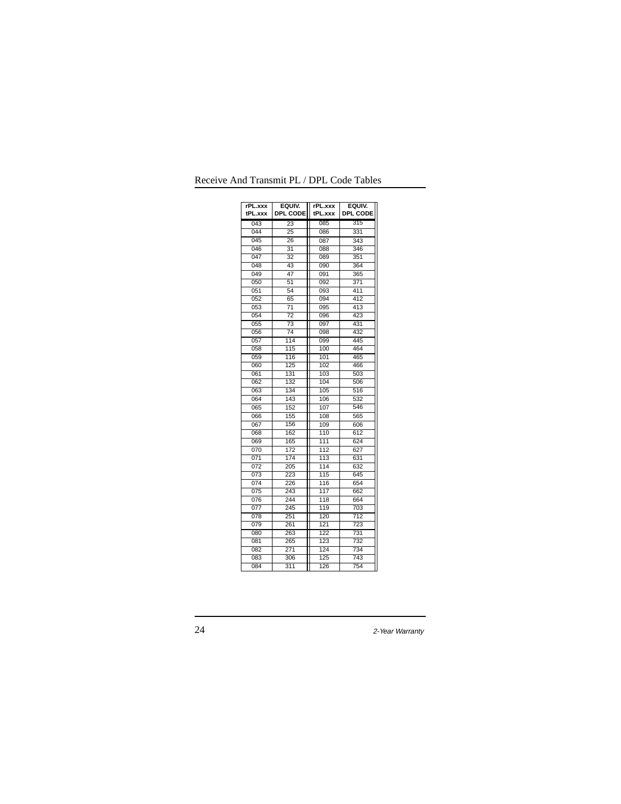| rPL.xxx<br>tPL.xxx | EQUIV.<br>DPL CODE | rPL.xxx<br>tPL.xxx | EQUIV.<br>DPL CODE |
|--------------------|--------------------|--------------------|--------------------|
| 043                | $\overline{23}$    | 085                | 315                |
| 044                | 25                 | 086                | 331                |
| 045                | 26                 | 087                | 343                |
| 046                | 31                 | 088                | 346                |
| 047                | $\overline{32}$    | 089                | 351                |
| 048                | 43                 | 090                | 364                |
| 049                | 47                 | 091                | 365                |
| 050                | 51                 | 092                | 371                |
| 051                | 54                 | 093                | 411                |
| 052                | 65                 | 094                | 412                |
| 053                | $\overline{71}$    | 095                | 413                |
| 054                | $\overline{72}$    | 096                | 423                |
| 055                | $\overline{73}$    | 097                | 431                |
| 056                | $\overline{74}$    | 098                | 432                |
| 057                | 114                | 099                | 445                |
| 058                | 115                | 100                | 464                |
| 059                | 116                | 101                | 465                |
| 060                | 125                | 102                | 466                |
| 061                | 131                | 103                | 503                |
| 062                | 132                | 104                | 506                |
| 063                | 134                | 105                | 516                |
| 064                | 143                | 106                | 532                |
| 065                | 152                | 107                | 546                |
| 066                | 155                | 108                | 565                |
| 067                | 156                | 109                | 606                |
| 068                | 162                | 110                | 612                |
| 069                | 165                | 111                | 624                |
| 070                | 172                | 112                | 627                |
| 071                | 174                | 113                | 631                |
| 072                | 205                | 114                | 632                |
| 073                | 223                | 115                | 645                |
| 074                | 226                | 116                | 654                |
| 075                | 243                | 117                | 662                |
| 076                | 244                | 118                | 664                |
| 077                | 245                | 119                | 703                |
| 078                | 251                | 120                | 712                |
| 079                | 261                | 121                | 723                |
| 080                | 263                | 122                | 731                |
| 081                | 265                | 123                | 732                |
| 082                | 271                | 124                | 734                |
| 083                | 306                | 125                | 743                |
| 084                | 311                | 126                | 754                |

Receive And Transmit PL / DPL Code Tables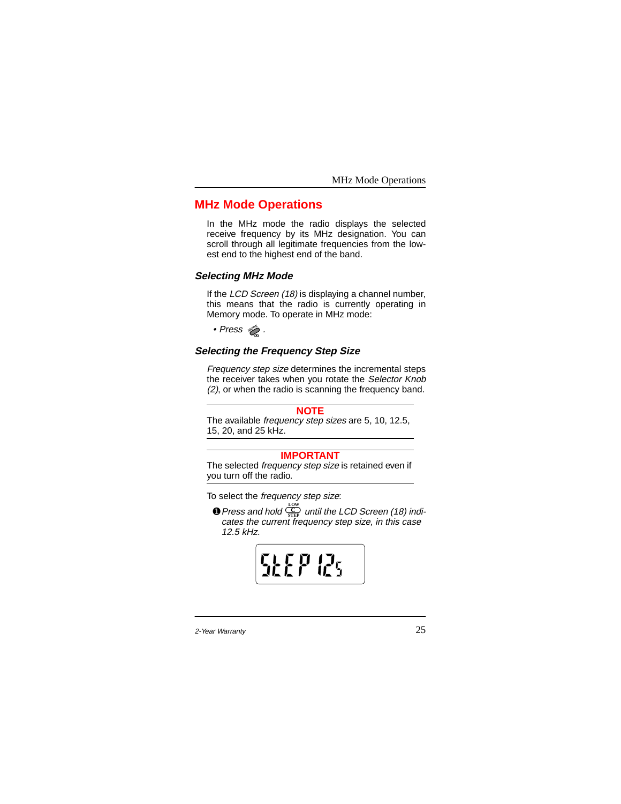# **MHz Mode Operations**

In the MHz mode the radio displays the selected receive frequency by its MHz designation. You can scroll through all legitimate frequencies from the lowest end to the highest end of the band.

#### **Selecting MHz Mode**

If the *LCD Screen (18)* is displaying a channel number, this means that the radio is currently operating in Memory mode. To operate in MHz mode:

• Press . **MODE**

# **Selecting the Frequency Step Size**

Frequency step size determines the incremental steps the receiver takes when you rotate the Selector Knob (2), or when the radio is scanning the frequency band.

#### **NOTE**

The available frequency step sizes are 5, 10, 12.5, 15, 20, and 25 kHz.

# **IMPORTANT**

The selected frequency step size is retained even if you turn off the radio.

To select the frequency step size:

**O** Press and hold  $\overline{\mathbb{C}}$  until the LCD Screen (18) indi-Press and hold  $\frac{\frac{10W}{\text{STEP}}}{{\text{STEP}}}$  until the LCD Screen (18) ind<br>cates the current frequency step size, in this case 12.5 kHz.

 $\mathcal{L}_5$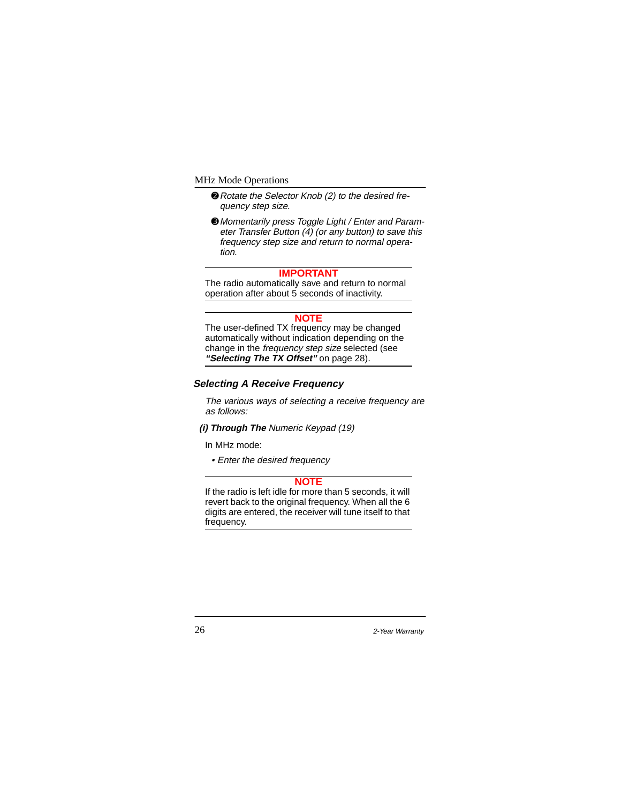- ➋Rotate the Selector Knob (2) to the desired frequency step size.
- ➌ Momentarily press Toggle Light / Enter and Parameter Transfer Button  $\overline{(4)}$  (or any button) to save this frequency step size and return to normal operation.

# **IMPORTANT**

The radio automatically save and return to normal operation after about 5 seconds of inactivity.

#### **NOTE**

The user-defined TX frequency may be changed automatically without indication depending on the change in the frequency step size selected (see **"Selecting The TX Offset"** on page 28).

### **Selecting A Receive Frequency**

The various ways of selecting a receive frequency are as follows:

**(i) Through The** Numeric Keypad (19)

In MHz mode:

• Enter the desired frequency

#### **NOTE**

If the radio is left idle for more than 5 seconds, it will revert back to the original frequency. When all the 6 digits are entered, the receiver will tune itself to that frequency.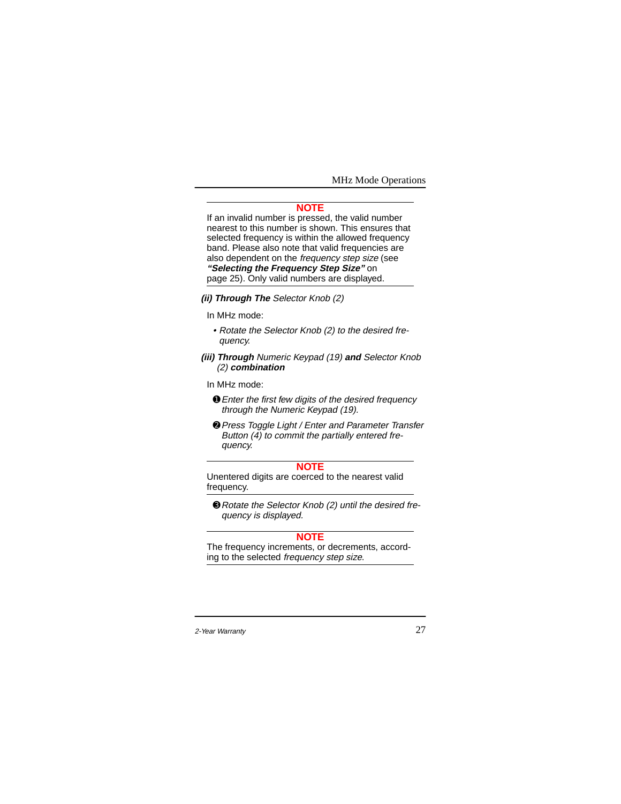#### **NOTE**

If an invalid number is pressed, the valid number nearest to this number is shown. This ensures that selected frequency is within the allowed frequency band. Please also note that valid frequencies are also dependent on the frequency step size (see **"Selecting the Frequency Step Size"** on page 25). Only valid numbers are displayed.

# **(ii) Through The** Selector Knob (2)

In MHz mode:

- Rotate the Selector Knob (2) to the desired frequency.
- **(iii) Through** Numeric Keypad (19) **and** Selector Knob (2) **combination**

In MHz mode:

- ➊Enter the first few digits of the desired frequency through the Numeric Keypad (19).
- ➋Press Toggle Light / Enter and Parameter Transfer Button (4) to commit the partially entered frequency.

# **NOTE**

Unentered digits are coerced to the nearest valid frequency.

➌Rotate the Selector Knob (2) until the desired frequency is displayed.

# **NOTE**

The frequency increments, or decrements, according to the selected frequency step size.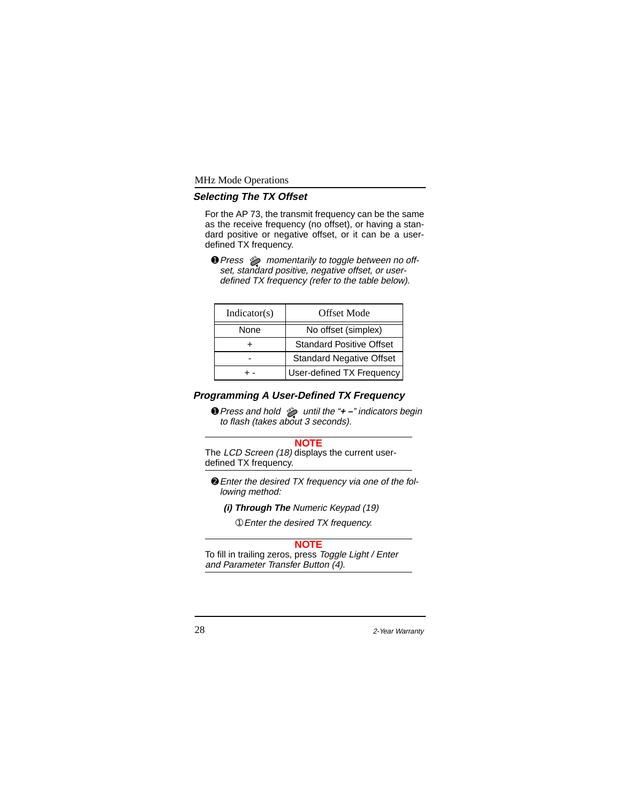# **Selecting The TX Offset**

For the AP 73, the transmit frequency can be the same as the receive frequency (no offset), or having a standard positive or negative offset, or it can be a userdefined TX frequency.

**O** Press  $\gg$  momentarily to toggle between no offset, standard positive, negative offset, or userdefined TX frequency (refer to the table below).

| Indication(s) | Offset Mode                     |
|---------------|---------------------------------|
| None          | No offset (simplex)             |
|               | <b>Standard Positive Offset</b> |
|               | <b>Standard Negative Offset</b> |
|               | User-defined TX Frequency       |

# **Programming A User-Defined TX Frequency**

➊Press and hold until the "**+ –**" indicators begin **OFS**to flash (takes about 3 seconds).

#### **NOTE**

The LCD Screen (18) displays the current userdefined TX frequency.

➋Enter the desired TX frequency via one of the following method:

**(i) Through The** Numeric Keypad (19)

➀Enter the desired TX frequency.

#### **NOTE**

To fill in trailing zeros, press Toggle Light / Enter and Parameter Transfer Button (4).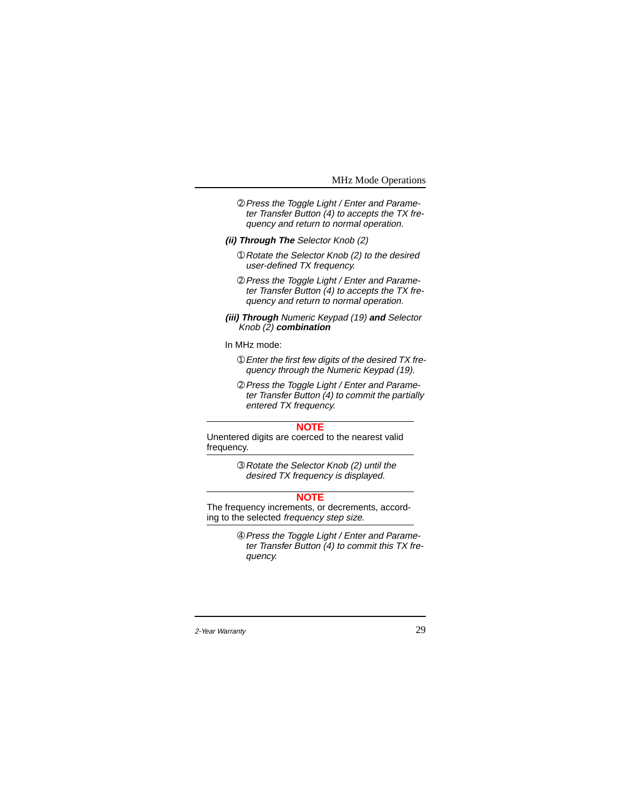#### MHz Mode Operations

- ➁Press the Toggle Light / Enter and Parameter Transfer Button (4) to accepts the TX frequency and return to normal operation.
- **(ii) Through The** Selector Knob (2)
	- ➀Rotate the Selector Knob (2) to the desired user-defined TX frequency.
	- ➁Press the Toggle Light / Enter and Parameter Transfer Button (4) to accepts the TX frequency and return to normal operation.
- **(iii) Through** Numeric Keypad (19) **and** Selector Knob (2) **combination**

#### In MHz mode:

- ➀Enter the first few digits of the desired TX frequency through the Numeric Keypad (19).
- ➁Press the Toggle Light / Enter and Parameter Transfer Button (4) to commit the partially entered TX frequency.

## **NOTE**

Unentered digits are coerced to the nearest valid frequency.

> ➂Rotate the Selector Knob (2) until the desired TX frequency is displayed.

### **NOTE**

The frequency increments, or decrements, according to the selected frequency step size.

> ➃Press the Toggle Light / Enter and Parameter Transfer Button (4) to commit this TX frequency.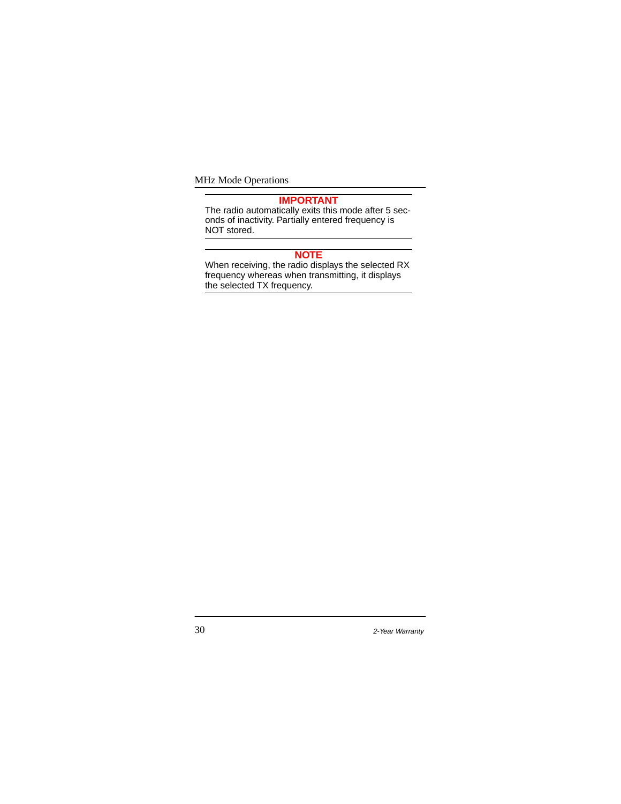MHz Mode Operations

#### **IMPORTANT**

The radio automatically exits this mode after 5 seconds of inactivity. Partially entered frequency is NOT stored.

#### **NOTE**

When receiving, the radio displays the selected RX frequency whereas when transmitting, it displays the selected TX frequency.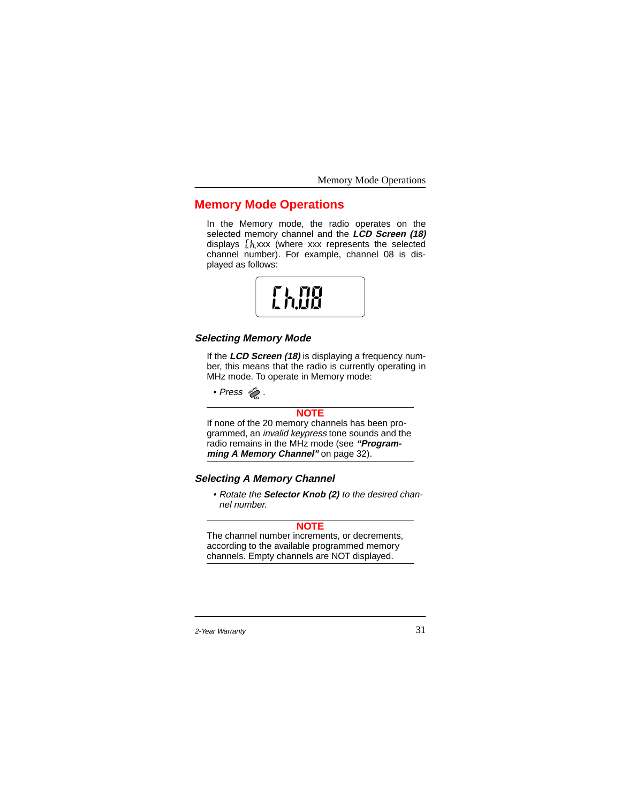Memory Mode Operations

# **Memory Mode Operations**

In the Memory mode, the radio operates on the selected memory channel and the **LCD Screen (18)** displays  $\frac{1}{2}$  xxx (where xxx represents the selected channel number). For example, channel 08 is displayed as follows:



# **Selecting Memory Mode**

If the **LCD Screen (18)** is displaying a frequency number, this means that the radio is currently operating in MHz mode. To operate in Memory mode:

• Press . **MODE**

# **NOTE**

If none of the 20 memory channels has been programmed, an invalid keypress tone sounds and the radio remains in the MHz mode (see **"Programming A Memory Channel"** on page 32).

# **Selecting A Memory Channel**

• Rotate the **Selector Knob (2)** to the desired channel number.

# **NOTE**

The channel number increments, or decrements, according to the available programmed memory channels. Empty channels are NOT displayed.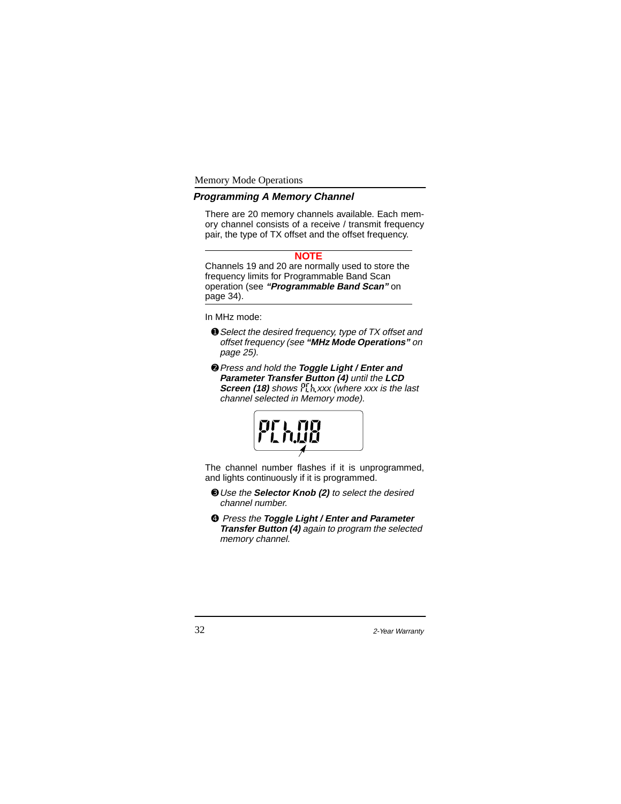Memory Mode Operations

# **Programming A Memory Channel**

There are 20 memory channels available. Each memory channel consists of a receive / transmit frequency pair, the type of TX offset and the offset frequency.

#### **NOTE**

Channels 19 and 20 are normally used to store the frequency limits for Programmable Band Scan operation (see **"Programmable Band Scan"** on page 34).

In MHz mode:

- ➊Select the desired frequency, type of TX offset and offset frequency (see **"MHz Mode Operations"** on page 25).
- ➋Press and hold the **Toggle Light / Enter and Parameter Transfer Button (4)** until the **LCD Screen (18)** shows  $\frac{1}{2}$ , xxx (where xxx is the last channel selected in Memory mode).



The channel number flashes if it is unprogrammed, and lights continuously if it is programmed.

- ➌Use the **Selector Knob (2)** to select the desired channel number.
- ➍ Press the **Toggle Light / Enter and Parameter Transfer Button (4)** again to program the selected memory channel.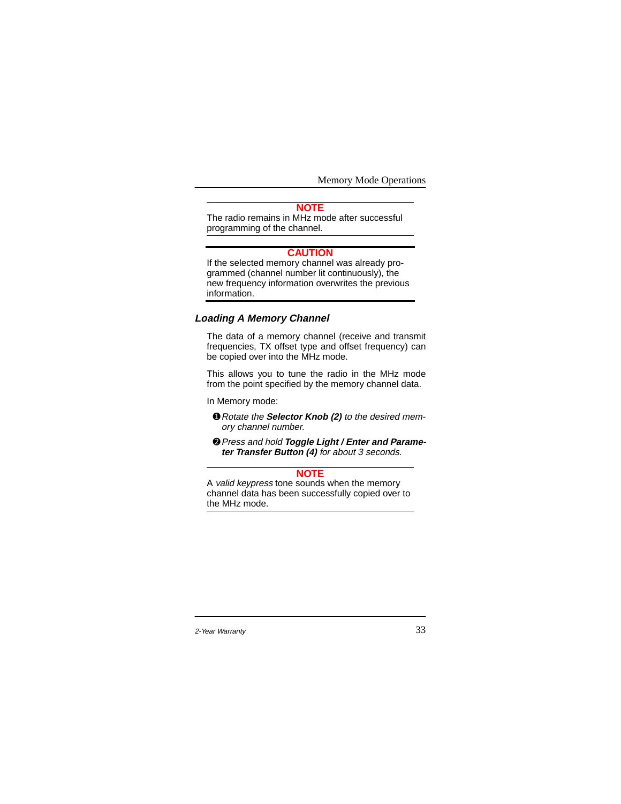Memory Mode Operations

# **NOTE**

The radio remains in MHz mode after successful programming of the channel.

## **CAUTION**

If the selected memory channel was already programmed (channel number lit continuously), the new frequency information overwrites the previous information.

# **Loading A Memory Channel**

The data of a memory channel (receive and transmit frequencies, TX offset type and offset frequency) can be copied over into the MHz mode.

This allows you to tune the radio in the MHz mode from the point specified by the memory channel data.

In Memory mode:

- ➊Rotate the **Selector Knob (2)** to the desired memory channel number.
- ➋Press and hold **Toggle Light / Enter and Parameter Transfer Button (4)** for about 3 seconds.

### **NOTE**

A valid keypress tone sounds when the memory channel data has been successfully copied over to the MHz mode.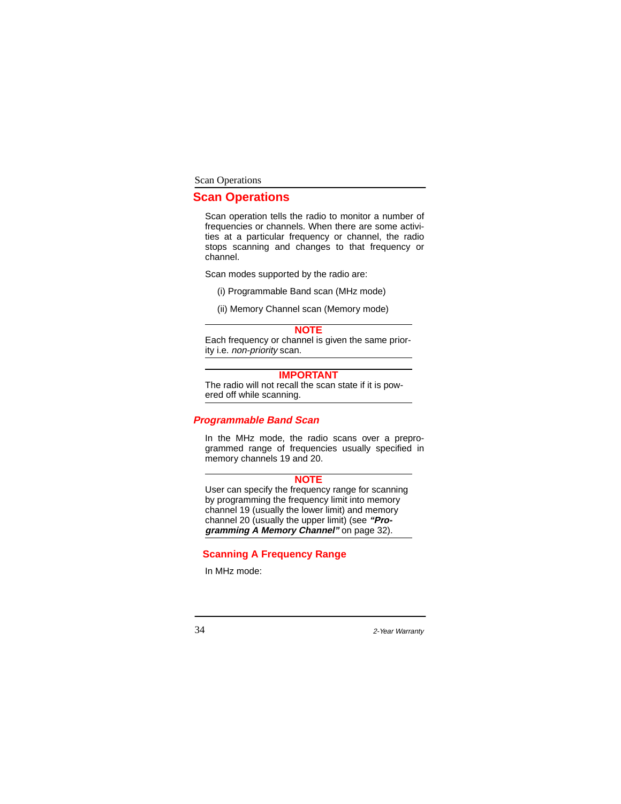# **Scan Operations**

Scan operation tells the radio to monitor a number of frequencies or channels. When there are some activities at a particular frequency or channel, the radio stops scanning and changes to that frequency or channel.

Scan modes supported by the radio are:

- (i) Programmable Band scan (MHz mode)
- (ii) Memory Channel scan (Memory mode)

#### **NOTE**

Each frequency or channel is given the same priority i.e. non-priority scan.

# **IMPORTANT**

The radio will not recall the scan state if it is powered off while scanning.

#### **Programmable Band Scan**

In the MHz mode, the radio scans over a preprogrammed range of frequencies usually specified in memory channels 19 and 20.

#### **NOTE**

User can specify the frequency range for scanning by programming the frequency limit into memory channel 19 (usually the lower limit) and memory channel 20 (usually the upper limit) (see **"Programming A Memory Channel"** on page 32).

# **Scanning A Frequency Range**

In MHz mode: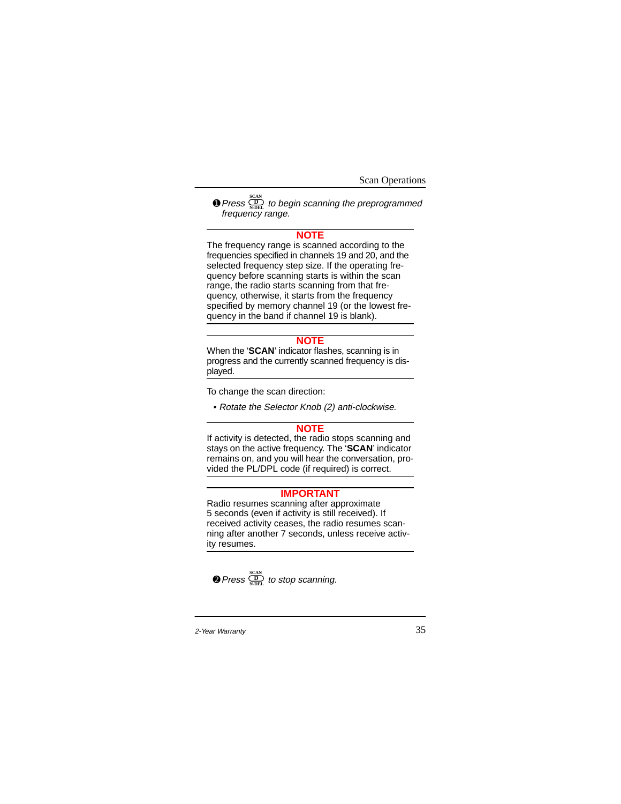$\bullet$  Press  $\frac{\overline{\text{CD}}}{\text{ADEL}}$  to begin scanning the preprogrammed frequency range.

# **NOTE**

The frequency range is scanned according to the frequencies specified in channels 19 and 20, and the selected frequency step size. If the operating frequency before scanning starts is within the scan range, the radio starts scanning from that frequency, otherwise, it starts from the frequency specified by memory channel 19 (or the lowest frequency in the band if channel 19 is blank).

# **NOTE**

When the '**SCAN**' indicator flashes, scanning is in progress and the currently scanned frequency is displayed.

To change the scan direction:

• Rotate the Selector Knob (2) anti-clockwise.

## **NOTE**

If activity is detected, the radio stops scanning and stays on the active frequency. The '**SCAN**' indicator remains on, and you will hear the conversation, provided the PL/DPL code (if required) is correct.

# **IMPORTANT**

Radio resumes scanning after approximate 5 seconds (even if activity is still received). If received activity ceases, the radio resumes scanning after another 7 seconds, unless receive activity resumes.

 $\bullet$  Press  $\frac{\text{SCAN}}{\text{N-DEL}}$  to stop scanning.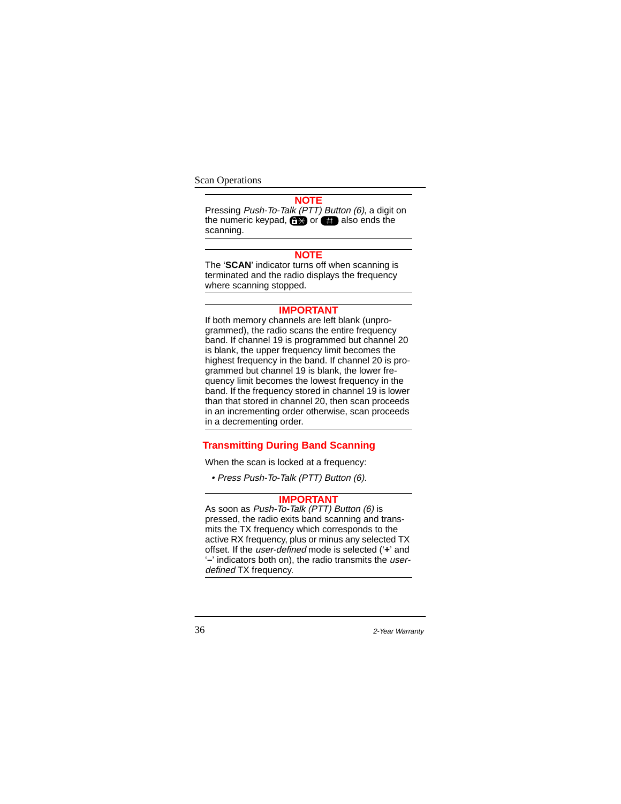# **NOTE**

Pressing Push-To-Talk (PTT) Button (6), a digit on the numeric keypad,  $\bigoplus$  or  $\bigoplus$  also ends the scanning.

#### **NOTE**

The '**SCAN**' indicator turns off when scanning is terminated and the radio displays the frequency where scanning stopped.

# **IMPORTANT**

If both memory channels are left blank (unprogrammed), the radio scans the entire frequency band. If channel 19 is programmed but channel 20 is blank, the upper frequency limit becomes the highest frequency in the band. If channel 20 is programmed but channel 19 is blank, the lower frequency limit becomes the lowest frequency in the band. If the frequency stored in channel 19 is lower than that stored in channel 20, then scan proceeds in an incrementing order otherwise, scan proceeds in a decrementing order.

# **Transmitting During Band Scanning**

When the scan is locked at a frequency:

• Press Push-To-Talk (PTT) Button (6).

#### **IMPORTANT**

As soon as Push-To-Talk (PTT) Button (6) is pressed, the radio exits band scanning and transmits the TX frequency which corresponds to the active RX frequency, plus or minus any selected TX offset. If the user-defined mode is selected ('**+**' and '**–**' indicators both on), the radio transmits the userdefined TX frequency.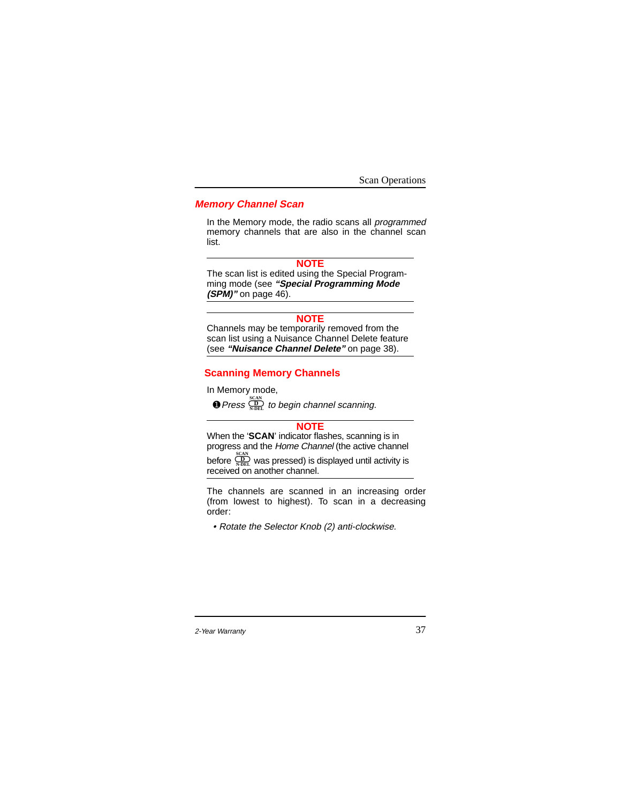# **Memory Channel Scan**

In the Memory mode, the radio scans all programmed memory channels that are also in the channel scan list.

#### **NOTE**

The scan list is edited using the Special Programming mode (see **"Special Programming Mode (SPM)"** on page 46).

#### **NOTE**

Channels may be temporarily removed from the scan list using a Nuisance Channel Delete feature (see **"Nuisance Channel Delete"** on page 38).

## **Scanning Memory Channels**

In Memory mode,

 $\bullet$  Press  $\frac{\sum\limits_{N-DEL}^{SCAN}}{N-DEL}$  to begin channel scanning.

#### **NOTE**

When the '**SCAN'** indicator flashes, scanning is in progress and the Home Channel (the active channel

before  $\overline{\mathcal{Q}}$  was pressed) is displayed until activity is before  $\frac{\sum\limits_{N-\text{DEL}}^{\text{SCAN}}}{{N-\text{DEL}}}$  was pressed) is a<br>**received on another channel.** 

The channels are scanned in an increasing order (from lowest to highest). To scan in a decreasing order:

• Rotate the Selector Knob (2) anti-clockwise.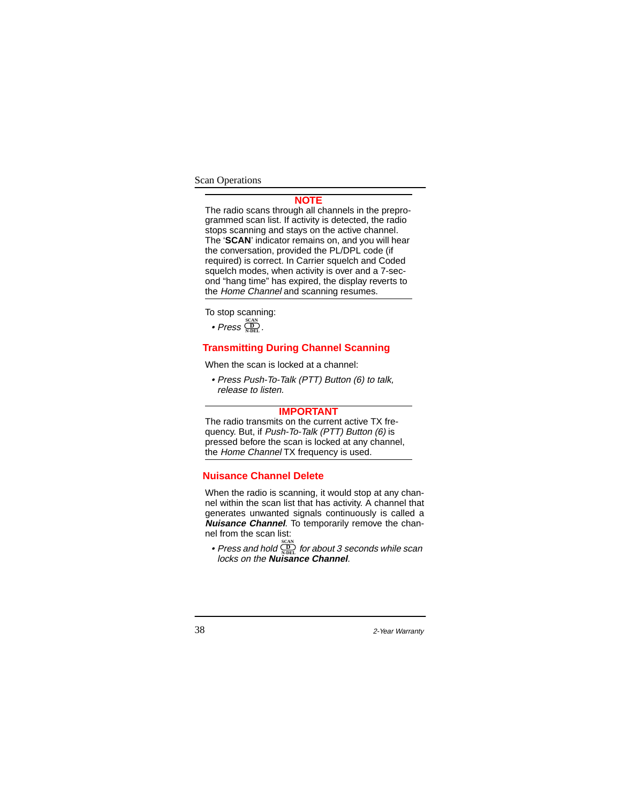#### **NOTE**

The radio scans through all channels in the preprogrammed scan list. If activity is detected, the radio stops scanning and stays on the active channel. The '**SCAN**' indicator remains on, and you will hear the conversation, provided the PL/DPL code (if required) is correct. In Carrier squelch and Coded squelch modes, when activity is over and a 7-second "hang time" has expired, the display reverts to the Home Channel and scanning resumes.

To stop scanning:

 $\bullet$  Press  $\frac{\text{scan}}{\text{N-DEL}}$ .

# **Transmitting During Channel Scanning**

When the scan is locked at a channel:

• Press Push-To-Talk (PTT) Button (6) to talk, release to listen.

# **IMPORTANT**

The radio transmits on the current active TX frequency. But, if Push-To-Talk (PTT) Button (6) is pressed before the scan is locked at any channel, the Home Channel TX frequency is used.

# **Nuisance Channel Delete**

When the radio is scanning, it would stop at any channel within the scan list that has activity. A channel that generates unwanted signals continuously is called a **Nuisance Channel**. To temporarily remove the channel from the scan list:

• Press and hold  $\overset{\text{\tiny{(1)}}}{\dots}$  for about 3 seconds while scan press and hold  $\frac{\sum\limits_{N-DEL}^{SCAN}}{N-DEL}$  for about 3 s<br>locks on the **Nuisance Channel**.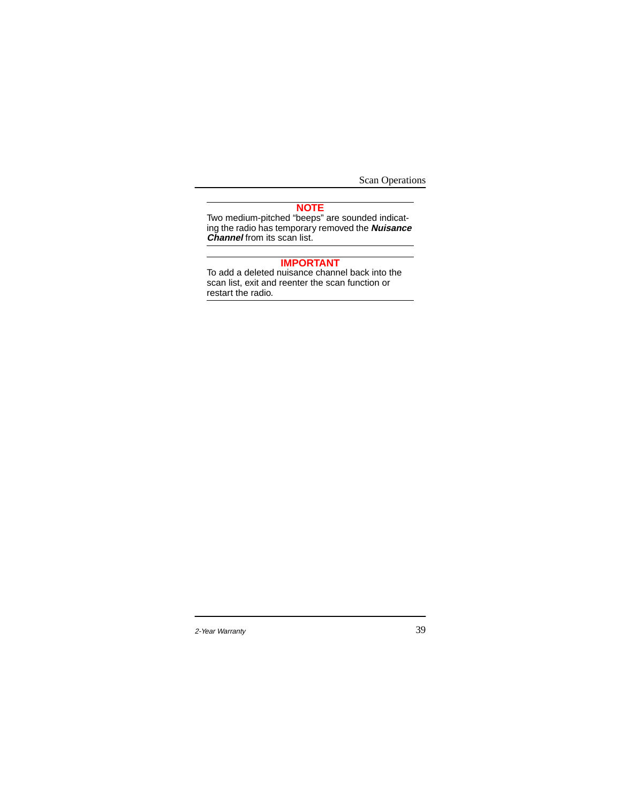#### **NOTE**

Two medium-pitched "beeps" are sounded indicating the radio has temporary removed the **Nuisance Channel** from its scan list.

#### **IMPORTANT**

To add a deleted nuisance channel back into the scan list, exit and reenter the scan function or restart the radio.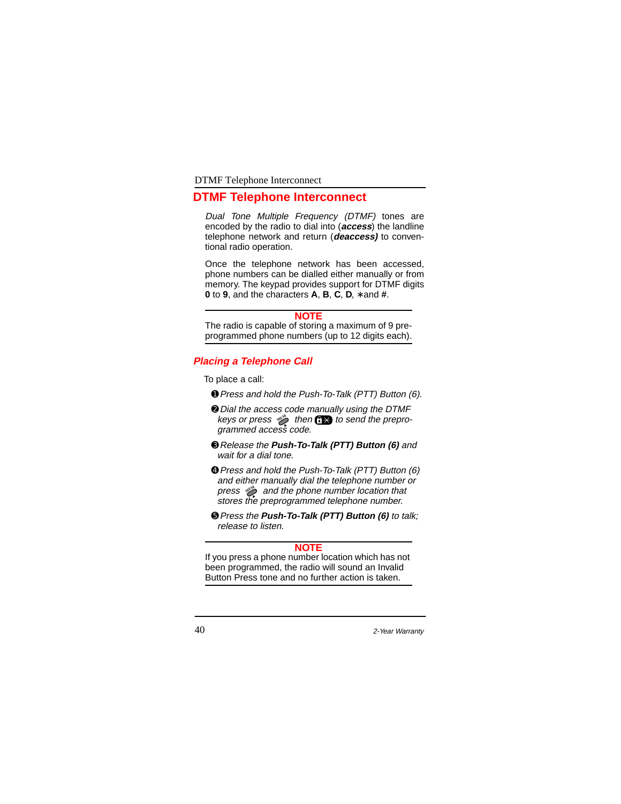# **DTMF Telephone Interconnect**

Dual Tone Multiple Frequency (DTMF) tones are encoded by the radio to dial into (**access**) the landline telephone network and return (**deaccess)** to conventional radio operation.

Once the telephone network has been accessed, phone numbers can be dialled either manually or from memory. The keypad provides support for DTMF digits **0** to **9**, and the characters **A**, **B**, **C**, **D**, ∗ and **#**.

#### **NOTE**

The radio is capable of storing a maximum of 9 preprogrammed phone numbers (up to 12 digits each).

## **Placing a Telephone Call**

To place a call:

- ➊Press and hold the Push-To-Talk (PTT) Button (6).
- ➋Dial the access code manually using the DTMF keys or press  $\gg$  then  $\bigoplus$  to send the preprogrammed access code.
- ➌Release the **Push-To-Talk (PTT) Button (6)** and wait for a dial tone.
- ➍Press and hold the Push-To-Talk (PTT) Button (6) and either manually dial the telephone number or press  $\gg$  and the phone number location that stores the preprogrammed telephone number.
- ➎Press the **Push-To-Talk (PTT) Button (6)** to talk; release to listen.

# **NOTE**

If you press a phone number location which has not been programmed, the radio will sound an Invalid Button Press tone and no further action is taken.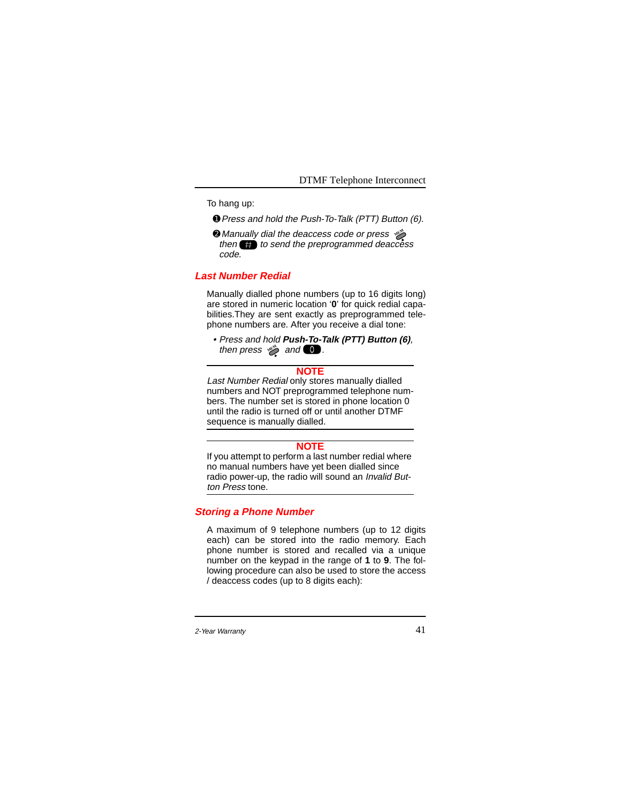To hang up:

- ➊Press and hold the Push-To-Talk (PTT) Button (6).
- ➋ Manually dial the deaccess code or press **MEM** then  $\leftarrow$  to send the preprogrammed deaccess code.

#### **Last Number Redial**

Manually dialled phone numbers (up to 16 digits long) are stored in numeric location '**0**' for quick redial capabilities.They are sent exactly as preprogrammed telephone numbers are. After you receive a dial tone:

• Press and hold **Push-To-Talk (PTT) Button (6)**, then press  $\gg$  and  $\bullet$ .

## **NOTE**

Last Number Redial only stores manually dialled numbers and NOT preprogrammed telephone numbers. The number set is stored in phone location 0 until the radio is turned off or until another DTMF sequence is manually dialled.

#### **NOTE**

If you attempt to perform a last number redial where no manual numbers have yet been dialled since radio power-up, the radio will sound an *Invalid But*ton Press tone.

### **Storing a Phone Number**

A maximum of 9 telephone numbers (up to 12 digits each) can be stored into the radio memory. Each phone number is stored and recalled via a unique number on the keypad in the range of **1** to **9**. The following procedure can also be used to store the access / deaccess codes (up to 8 digits each):

<sup>2-</sup>Year Warranty 2018 12:38 12:38 12:38 12:38 12:39 12:39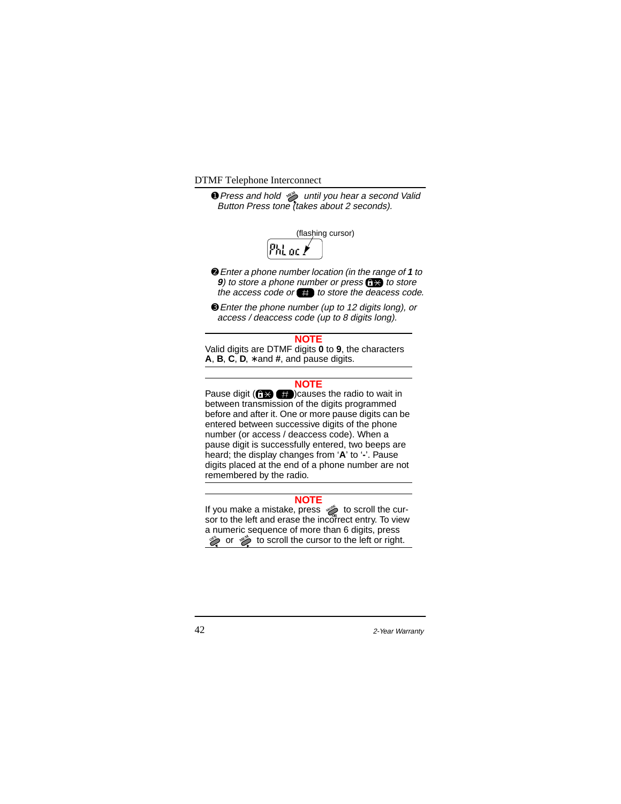**O** Press and hold  $\gg$  until you hear a second Valid Button Press tone (takes about 2 seconds).



- ➋Enter a phone number location (in the range of **<sup>1</sup>** to **9**) to store a phone number or press  $\left(\frac{1}{2}\right)$  to store the access code or  $\bullet$  to store the deacess code.
- ➌Enter the phone number (up to 12 digits long), or access / deaccess code (up to 8 digits long).

#### **NOTE**

Valid digits are DTMF digits **0** to **9**, the characters **A**, **B**, **C**, **D**, ∗ and **#**, and pause digits.

### **NOTE**

Pause digit  $($  $\rightarrow$   $($  $\rightarrow$   $($  $\rightarrow$   $)$ )causes the radio to wait in between transmission of the digits programmed before and after it. One or more pause digits can be entered between successive digits of the phone number (or access / deaccess code). When a pause digit is successfully entered, two beeps are heard; the display changes from '**A**' to '**-**'. Pause digits placed at the end of a phone number are not remembered by the radio.

#### **NOTE**

If you make a mistake, press  $\gg$  to scroll the cursor to the left and erase the incorrect entry. To view a numeric sequence of more than 6 digits, press for scroll the cursor to the left or right. **MODE**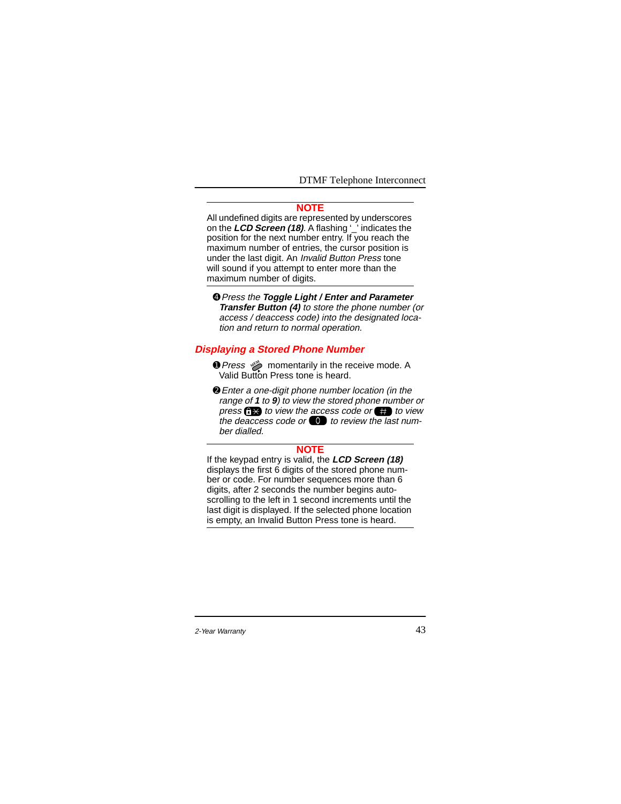#### **NOTE**

All undefined digits are represented by underscores on the **LCD Screen (18)**. A flashing '\_' indicates the position for the next number entry. If you reach the maximum number of entries, the cursor position is under the last digit. An Invalid Button Press tone will sound if you attempt to enter more than the maximum number of digits.

➍Press the **Toggle Light / Enter and Parameter Transfer Button (4)** to store the phone number (or access / deaccess code) into the designated location and return to normal operation.

# **Displaying a Stored Phone Number**

- **O** Press  $\gg$  momentarily in the receive mode. A Valid Button Press tone is heard.
- ➋Enter a one-digit phone number location (in the range of **1** to **9**) to view the stored phone number or press  $f(x)$  to view the access code or  $f(x)$  to view the deaccess code or  $\bullet$  to review the last number dialled.

### **NOTE**

If the keypad entry is valid, the **LCD Screen (18)** displays the first 6 digits of the stored phone number or code. For number sequences more than 6 digits, after 2 seconds the number begins autoscrolling to the left in 1 second increments until the last digit is displayed. If the selected phone location is empty, an Invalid Button Press tone is heard.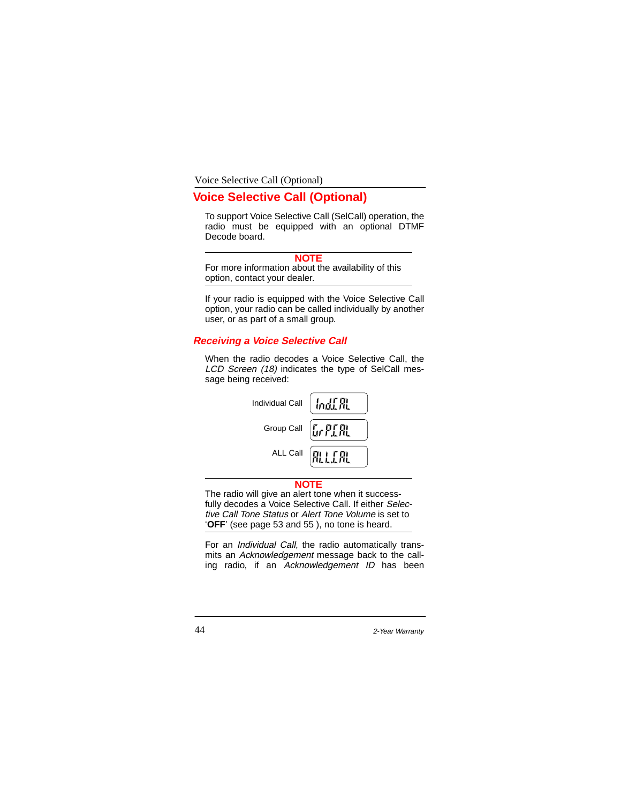Voice Selective Call (Optional)

# **Voice Selective Call (Optional)**

To support Voice Selective Call (SelCall) operation, the radio must be equipped with an optional DTMF Decode board.

# **NOTE**

For more information about the availability of this option, contact your dealer.

If your radio is equipped with the Voice Selective Call option, your radio can be called individually by another user, or as part of a small group.

# **Receiving a Voice Selective Call**

When the radio decodes a Voice Selective Call, the LCD Screen (18) indicates the type of SelCall message being received:

| Group Call [ F F F F F |                    |
|------------------------|--------------------|
|                        | ALL Call FILL FILL |

#### **NOTE**

The radio will give an alert tone when it successfully decodes a Voice Selective Call. If either Selective Call Tone Status or Alert Tone Volume is set to '**OFF**' (see page 53 and 55 ), no tone is heard.

For an Individual Call, the radio automatically transmits an Acknowledgement message back to the calling radio, if an Acknowledgement ID has been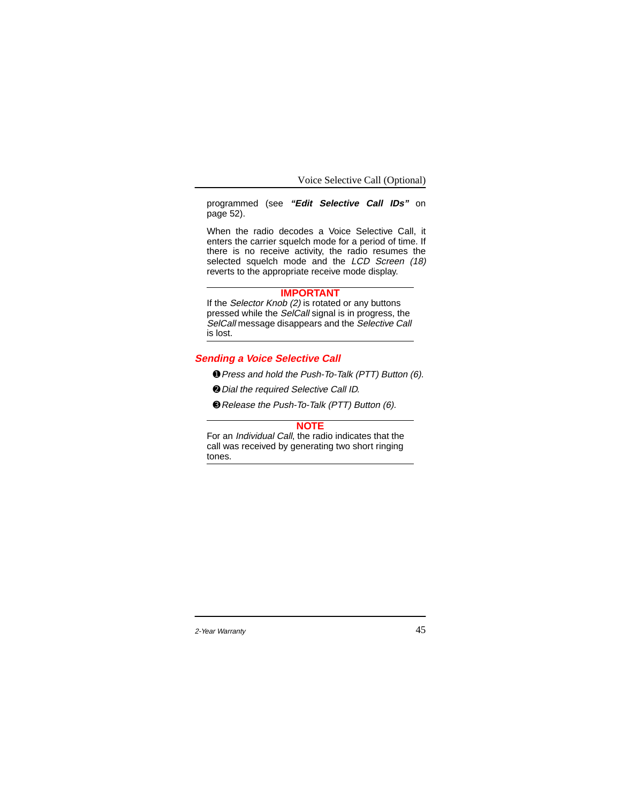Voice Selective Call (Optional)

programmed (see **"Edit Selective Call IDs"** on page 52).

When the radio decodes a Voice Selective Call, it enters the carrier squelch mode for a period of time. If there is no receive activity, the radio resumes the selected squelch mode and the LCD Screen (18) reverts to the appropriate receive mode display.

# **IMPORTANT**

If the Selector Knob (2) is rotated or any buttons pressed while the SelCall signal is in progress, the SelCall message disappears and the Selective Call is lost.

# **Sending a Voice Selective Call**

➊Press and hold the Push-To-Talk (PTT) Button (6).

➋Dial the required Selective Call ID.

➌Release the Push-To-Talk (PTT) Button (6).

#### **NOTE**

For an Individual Call, the radio indicates that the call was received by generating two short ringing tones.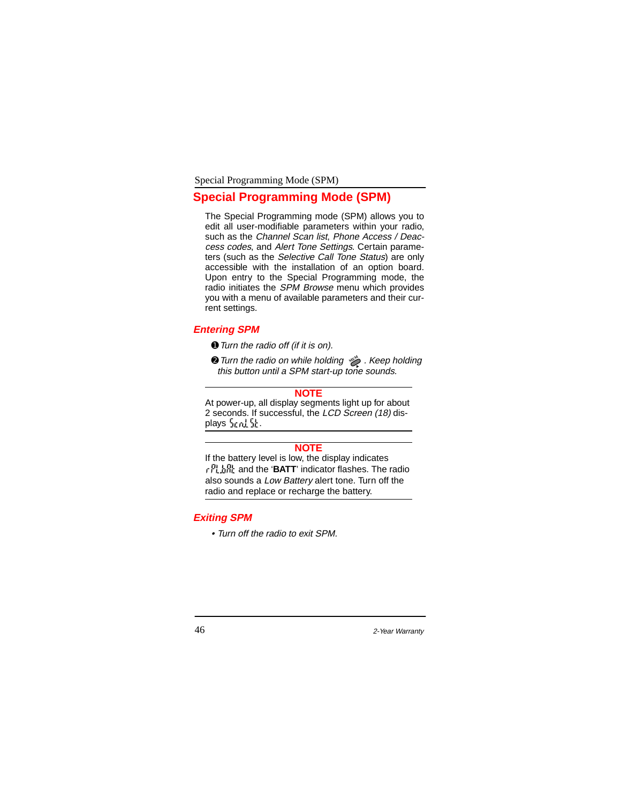# **Special Programming Mode (SPM)**

The Special Programming mode (SPM) allows you to edit all user-modifiable parameters within your radio, such as the Channel Scan list, Phone Access / Deaccess codes, and Alert Tone Settings. Certain parameters (such as the Selective Call Tone Status) are only accessible with the installation of an option board. Upon entry to the Special Programming mode, the radio initiates the SPM Browse menu which provides you with a menu of available parameters and their current settings.

# **Entering SPM**

- ➊Turn the radio off (if it is on).
- **<sup>2</sup>** Turn the radio on while holding  $\gg$  . Keep holding this button until a SPM start-up tone sounds.

#### **NOTE**

At power-up, all display segments light up for about 2 seconds. If successful, the LCD Screen (18) displays  $\ln n!$  if .

# **NOTE**

If the battery level is low, the display indicates r 門島盟 and the '**BATT'** indicator flashes. The radio also sounds a Low Battery alert tone. Turn off the radio and replace or recharge the battery.

# **Exiting SPM**

• Turn off the radio to exit SPM.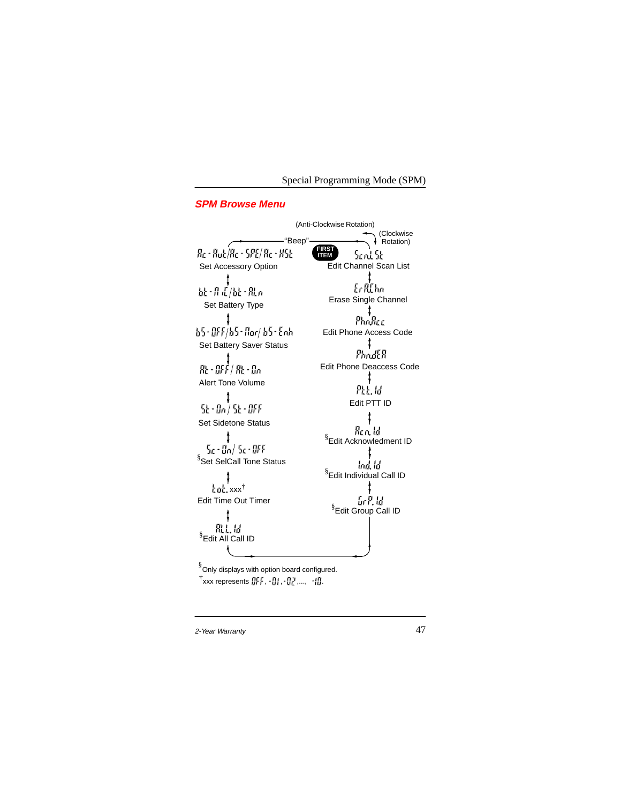# **SPM Browse Menu**

(Anti-Clockwise Rotation) (Clockwise "Beep" Rotation) Re - Rub/Re - 5PE/ Re - 85b **FIRST ITEM** Send St Set Accessory Option Edit Channel Scan List ţ  $E$ r R $E$ hm 最・作成/疑・限示 Erase Single Channel Set Battery Type 4 Pholice 65-0FF/65-flor/ 65-Enh. Edit Phone Access Code Set Battery Saver Status  $\ddot{\mathbf{r}}$  $Pnormal R$  $\frac{\displaystyle 1}{\displaystyle \mathcal{R} \varepsilon \cdot \mathcal{Q} \mathcal{F} \varepsilon'/\mathcal{R} \varepsilon \cdot \mathcal{G} \alpha}$ Edit Phone Deaccess Code ÷ Alert Tone Volume 咒层员  $\begin{matrix} &\texttt{\textbf{t}}\\ \texttt{St}\cdot\texttt{On}/\texttt{St}\cdot\texttt{OFF} \end{matrix}$ Edit PTT ID  $\ddagger$ Set Sidetone Status $\pmb{\ddagger}$ § Edit Acknowledment ID  $5c \cdot 00/5c \cdot 009$ <sup>§</sup>Set SelCall Tone Status Ind, Id § Edit Individual Call ID xxx†  $\ddagger$ Edit Time Out Timer § Edit Group Call ID 肌点圈 § Edit All Call ID § Only displays with option board configured.

 $^{\dagger}$ xxx represents  $\left\{ \left| \left| \cdot \right|, \cdot \left| \right| \right|, \cdot \left| \right| \right\}$  ,...,  $\left| \cdot \right| \right\}$ .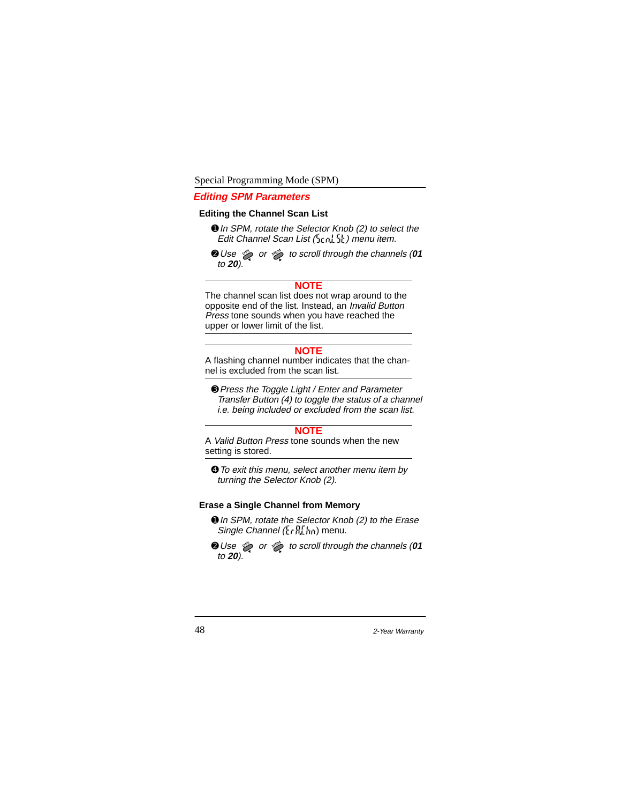### **Editing SPM Parameters**

## **Editing the Channel Scan List**

- **O** In SPM, rotate the Selector Knob (2) to select the Edit Channel Scan List (in milit) menu item.
- **Q** Use  $\gg$  or  $\gg$  to scroll through the channels (01 to **20**).

#### **NOTE**

The channel scan list does not wrap around to the opposite end of the list. Instead, an Invalid Button Press tone sounds when you have reached the upper or lower limit of the list.

#### **NOTE**

A flashing channel number indicates that the channel is excluded from the scan list.

➌Press the Toggle Light / Enter and Parameter Transfer Button (4) to toggle the status of a channel i.e. being included or excluded from the scan list.

#### **NOTE**

A Valid Button Press tone sounds when the new setting is stored.

➍To exit this menu, select another menu item by turning the Selector Knob (2).

## **Erase a Single Channel from Memory**

- **O** In SPM, rotate the Selector Knob (2) to the Erase Single Channel  $(\frac{1}{k} r \frac{N}{k} \cdot \frac{1}{k+1})$  menu.
- **O** Use  $\gg$  or  $\gg$  to scroll through the channels (01 to **20**).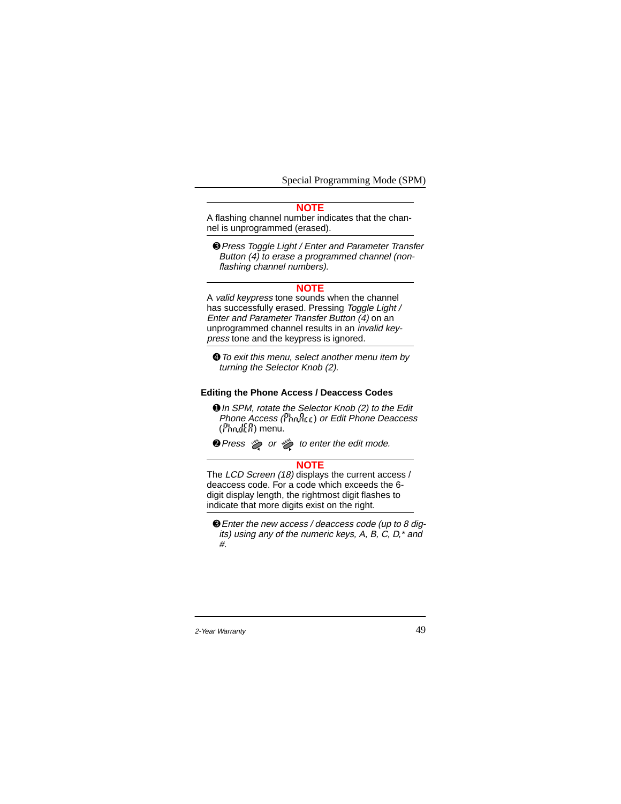### **NOTE**

A flashing channel number indicates that the channel is unprogrammed (erased).

➌Press Toggle Light / Enter and Parameter Transfer Button (4) to erase a programmed channel (nonflashing channel numbers).

### **NOTE**

A valid keypress tone sounds when the channel has successfully erased. Pressing Toggle Light / Enter and Parameter Transfer Button (4) on an unprogrammed channel results in an invalid keypress tone and the keypress is ignored.

➍To exit this menu, select another menu item by turning the Selector Knob (2).

#### **Editing the Phone Access / Deaccess Codes**

➊In SPM, rotate the Selector Knob (2) to the Edit Phone Access (*Phonec*) or Edit Phone Deaccess  $(P_{\text{bnd}}f_{\text{c}}R)$  menu.

**Q** Press  $\gg$  or  $\gg$  to enter the edit mode.

#### **NOTE**

The LCD Screen (18) displays the current access / deaccess code. For a code which exceeds the 6 digit display length, the rightmost digit flashes to indicate that more digits exist on the right.

➌Enter the new access / deaccess code (up to 8 digits) using any of the numeric keys, A, B, C, D,\* and #.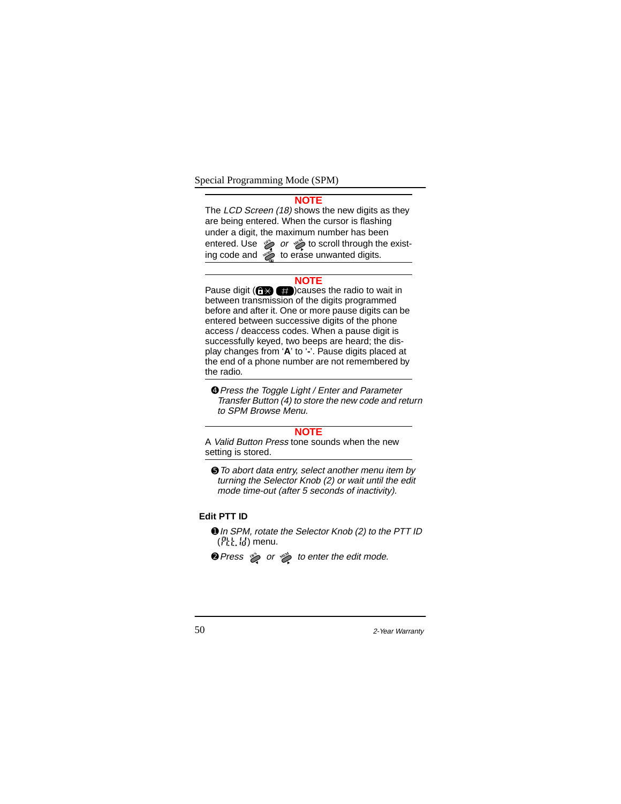#### **NOTE**

The LCD Screen (18) shows the new digits as they are being entered. When the cursor is flashing under a digit, the maximum number has been or  $\gg$  or  $\gg$  to scroll through the existto erase unwanted digits.

# **NOTE**

Pause digit  $($ <sup>2</sup> $($ <sup>3</sup> $($ <sup>3</sup> $)$ causes the radio to wait in between transmission of the digits programmed before and after it. One or more pause digits can be entered between successive digits of the phone access / deaccess codes. When a pause digit is successfully keyed, two beeps are heard; the display changes from '**A**' to '**-**'. Pause digits placed at the end of a phone number are not remembered by the radio.

➍Press the Toggle Light / Enter and Parameter Transfer Button (4) to store the new code and return to SPM Browse Menu.

#### **NOTE**

A Valid Button Press tone sounds when the new setting is stored.

➎To abort data entry, select another menu item by turning the Selector Knob (2) or wait until the edit mode time-out (after 5 seconds of inactivity).

# **Edit PTT ID**

- **O** In SPM, rotate the Selector Knob (2) to the PTT ID  $(F_k, k)$  menu.
- or  $\gg$  to enter the edit mode.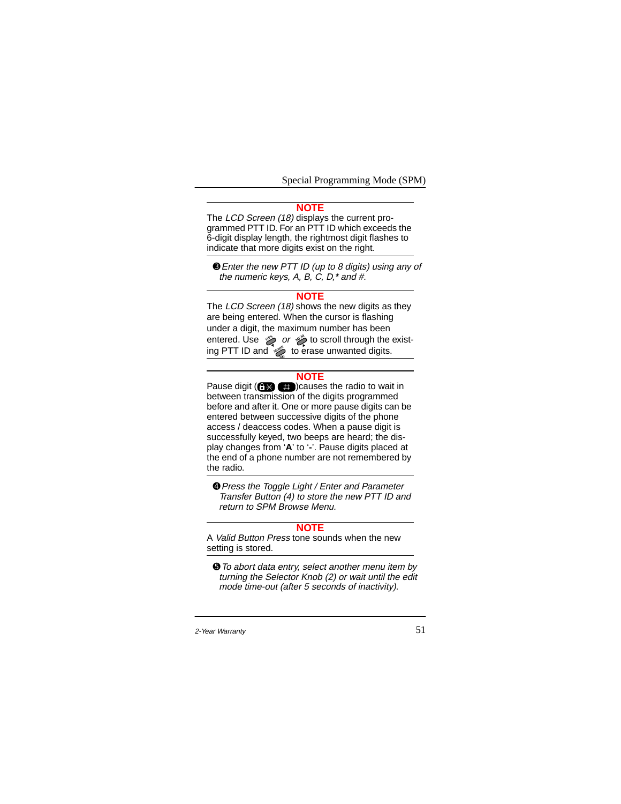#### **NOTE**

The LCD Screen (18) displays the current programmed PTT ID. For an PTT ID which exceeds the 6-digit display length, the rightmost digit flashes to indicate that more digits exist on the right.

➌Enter the new PTT ID (up to 8 digits) using any of the numeric keys, A, B, C, D,\* and #.

#### **NOTE**

The LCD Screen (18) shows the new digits as they are being entered. When the cursor is flashing under a digit, the maximum number has been or  $\gg$  to scroll through the existto erase unwanted digits.

#### **NOTE**

Pause digit  $($   $)$   $($   $)$   $($   $)$   $)$   $($   $)$   $)$   $($   $)$   $)$   $($   $)$   $)$   $($   $)$   $)$   $($   $)$   $)$   $($   $)$   $)$   $($   $)$   $($   $)$   $)$   $($   $)$   $($   $)$   $($   $)$   $($   $)$   $($   $)$   $($   $)$   $($   $)$   $($   $)$   $($   $)$   $($   $)$   $($   $)$  between transmission of the digits programmed before and after it. One or more pause digits can be entered between successive digits of the phone access / deaccess codes. When a pause digit is successfully keyed, two beeps are heard; the display changes from '**A**' to '**-**'. Pause digits placed at the end of a phone number are not remembered by the radio.

➍Press the Toggle Light / Enter and Parameter Transfer Button (4) to store the new PTT ID and return to SPM Browse Menu.

## **NOTE**

A Valid Button Press tone sounds when the new setting is stored.

➎To abort data entry, select another menu item by turning the Selector Knob (2) or wait until the edit mode time-out (after 5 seconds of inactivity).

<sup>2-</sup>Year Warranty 51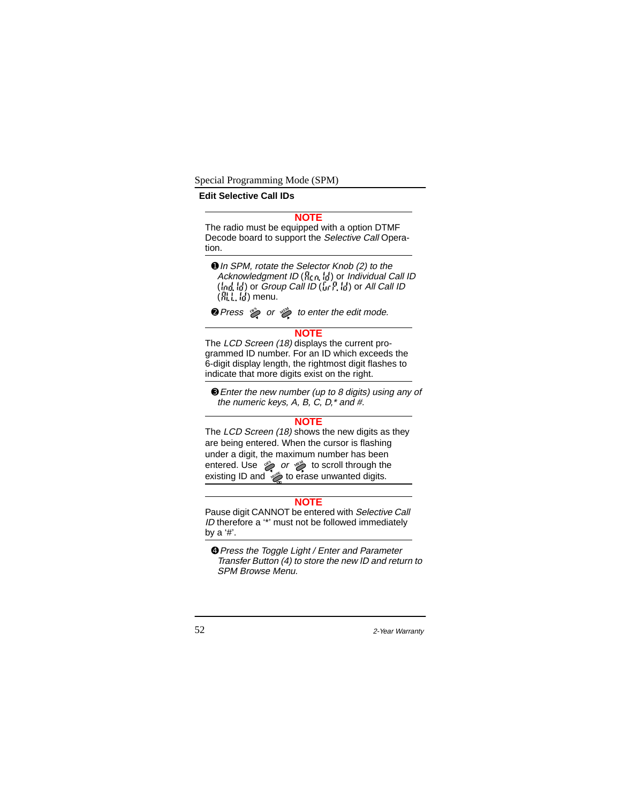**Edit Selective Call IDs**

# **NOTE**

The radio must be equipped with a option DTMF Decode board to support the Selective Call Operation.

**O** In SPM, rotate the Selector Knob (2) to the Acknowledgment ID ( $h(n, h_n)$ ) or Individual Call ID ( $\langle \phi_d, \phi \rangle$ ) or *Group Call ID* ( $\langle \phi_f, \phi \rangle$ ) or *All Call ID*  $(R, \mathbb{R})$  menu.

**Q** Press  $\gg$  or  $\gg$  to enter the edit mode.

### **NOTE**

The LCD Screen (18) displays the current programmed ID number. For an ID which exceeds the 6-digit display length, the rightmost digit flashes to indicate that more digits exist on the right.

➌Enter the new number (up to 8 digits) using any of the numeric keys, A, B, C, D,\* and #.

## **NOTE**

The LCD Screen (18) shows the new digits as they are being entered. When the cursor is flashing under a digit, the maximum number has been or  $\gg$  to scroll through the existing ID and  $\gg$  to erase unwanted digits. **OFS** OF JEM **MODE**

#### **NOTE**

Pause digit CANNOT be entered with Selective Call ID therefore a '\*' must not be followed immediately by a '#'.

➍Press the Toggle Light / Enter and Parameter Transfer Button (4) to store the new ID and return to SPM Browse Menu.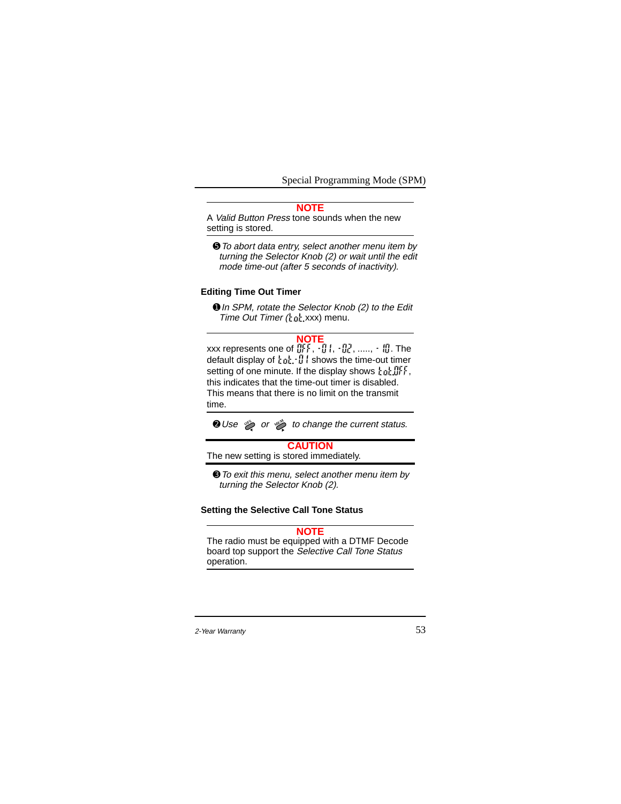## **NOTE**

A Valid Button Press tone sounds when the new setting is stored.

➎To abort data entry, select another menu item by turning the Selector Knob (2) or wait until the edit mode time-out (after 5 seconds of inactivity).

### **Editing Time Out Timer**

➊In SPM, rotate the Selector Knob (2) to the Edit Time Out Timer  $\left(\frac{1}{k} \frac{1}{k} \right)$  xxx) menu.

## **NOTE**

xxx represents one of  $\left\| \cdot \right\|$  ,  $\cdot$  ,  $\left\| \cdot \right\|$  ,  $\cdot$  , ,....,  $\cdot$  ,  $\left\| \right\|$  . The default display of  $\tt int.$  If I shows the time-out timer setting of one minute. If the display shows  $\text{rank} \mathbb{H}$ , this indicates that the time-out timer is disabled. This means that there is no limit on the transmit time.

or  $\gg$  to change the current status.

## **CAUTION**

The new setting is stored immediately.

➌To exit this menu, select another menu item by turning the Selector Knob (2).

### **Setting the Selective Call Tone Status**

# **NOTE**

The radio must be equipped with a DTMF Decode board top support the Selective Call Tone Status operation.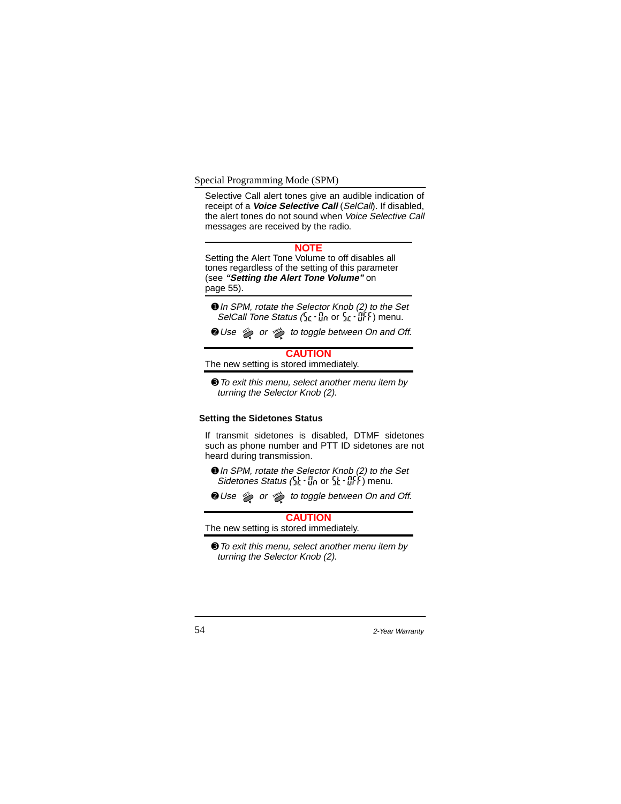Selective Call alert tones give an audible indication of receipt of a **Voice Selective Call** (SelCall). If disabled, the alert tones do not sound when Voice Selective Call messages are received by the radio.

#### **NOTE**

Setting the Alert Tone Volume to off disables all tones regardless of the setting of this parameter (see **"Setting the Alert Tone Volume"** on page 55).

- **O** In SPM, rotate the Selector Knob (2) to the Set SelCall Tone Status  $(\frac{r}{2})$   $\frac{1}{2}$  or  $\frac{r}{2}$   $\frac{1}{2}$   $\frac{1}{r}$  menu.
- ➋Use or to toggle between On and Off. **OFS MEM**

# **CAUTION**

The new setting is stored immediately.

➌To exit this menu, select another menu item by turning the Selector Knob (2).

# **Setting the Sidetones Status**

If transmit sidetones is disabled, DTMF sidetones such as phone number and PTT ID sidetones are not heard during transmission.

- ➊In SPM, rotate the Selector Knob (2) to the Set Sidetones Status ( or ) menu.
- or  $\gg$  to toggle between On and Off.

# **CAUTION**

The new setting is stored immediately.

➌To exit this menu, select another menu item by turning the Selector Knob (2).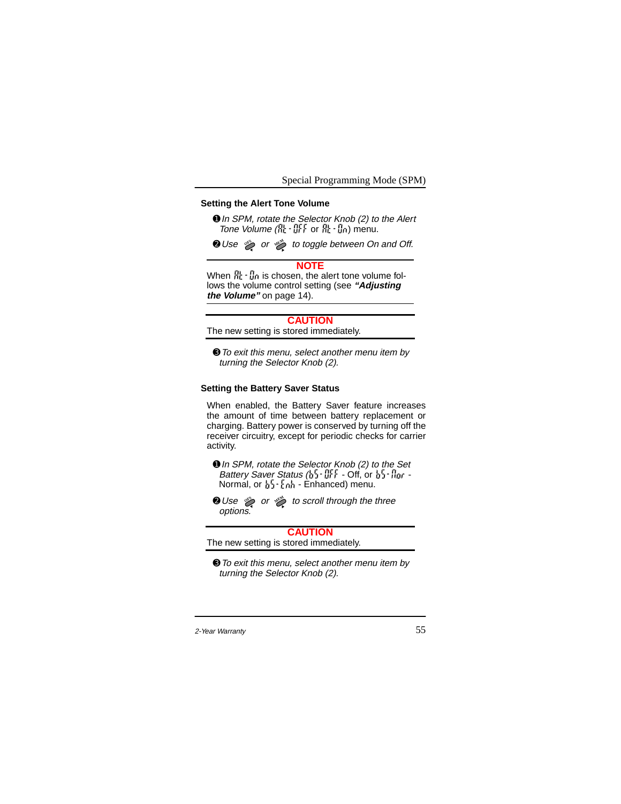### **Setting the Alert Tone Volume**

**O** In SPM, rotate the Selector Knob (2) to the Alert Tone Volume  $(\mathbb{R} \cdot \mathbb{R})$  or  $\mathbb{R} \cdot \mathbb{R}$  or  $\mathbb{R}$ .

or  $\gg$  to toggle between On and Off.

#### **NOTE**

When  $\frac{m}{m} \cdot \frac{m}{m}$  is chosen, the alert tone volume follows the volume control setting (see **"Adjusting the Volume"** on page 14).

#### **CAUTION**

The new setting is stored immediately.

➌To exit this menu, select another menu item by turning the Selector Knob (2).

### **Setting the Battery Saver Status**

When enabled, the Battery Saver feature increases the amount of time between battery replacement or charging. Battery power is conserved by turning off the receiver circuitry, except for periodic checks for carrier activity.

- ➊In SPM, rotate the Selector Knob (2) to the Set Battery Saver Status  $\left(\frac{1}{2}\right) \cdot \frac{11}{2}$ . Off, or  $\frac{1}{2} \cdot \frac{1}{2}$  or -Normal, or  $\frac{1}{2}$   $\frac{1}{2}$   $\frac{1}{2}$   $\frac{1}{2}$   $\frac{1}{2}$  = Enhanced) menu.
- or  $\gg$  to scroll through the three options.

**CAUTION** The new setting is stored immediately.

➌To exit this menu, select another menu item by turning the Selector Knob (2).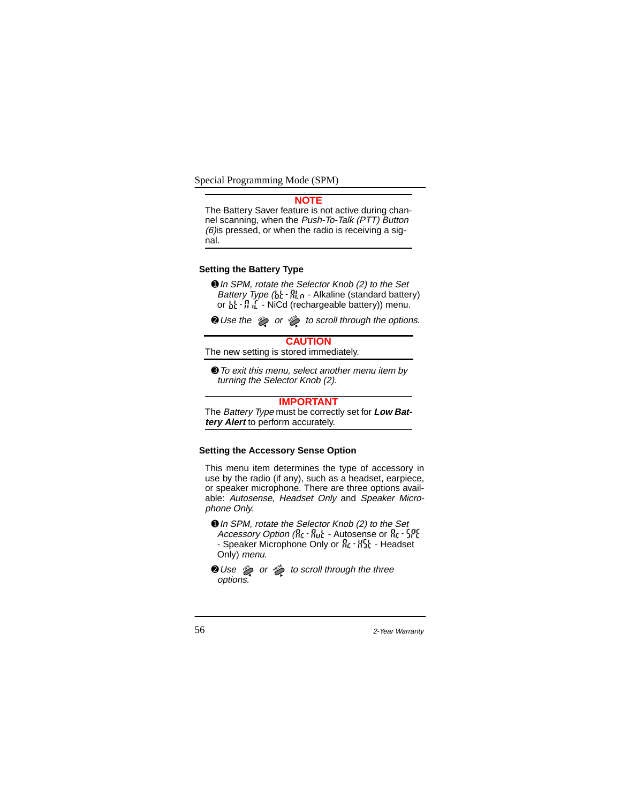#### **NOTE**

The Battery Saver feature is not active during channel scanning, when the Push-To-Talk (PTT) Button  $(6)$ is pressed, or when the radio is receiving a signal.

### **Setting the Battery Type**

**O** In SPM, rotate the Selector Knob (2) to the Set Battery Type  $\left(\frac{1}{2}\right)^{1-\frac{1}{2}}$  is - Alkaline (standard battery) or  $h: H_0$  - NiCd (rechargeable battery)) menu.

or  $\gg$  to scroll through the options.

# **CAUTION**

The new setting is stored immediately.

➌To exit this menu, select another menu item by turning the Selector Knob (2).

#### **IMPORTANT**

The Battery Type must be correctly set for **Low Battery Alert** to perform accurately.

#### **Setting the Accessory Sense Option**

This menu item determines the type of accessory in use by the radio (if any), such as a headset, earpiece, or speaker microphone. There are three options available: Autosense, Headset Only and Speaker Microphone Only.

- **O** In SPM, rotate the Selector Knob (2) to the Set Accessory Option ( $\frac{1}{10}$  -  $\frac{1}{100}$  - Autosense or  $\frac{1}{10}$  -  $\frac{1}{10}$ ) - Speaker Microphone Only or  $R_1 \cdot R_2$ . Headset Only) menu.
- **Q** Use  $\gg$  or  $\gg$  to scroll through the three options.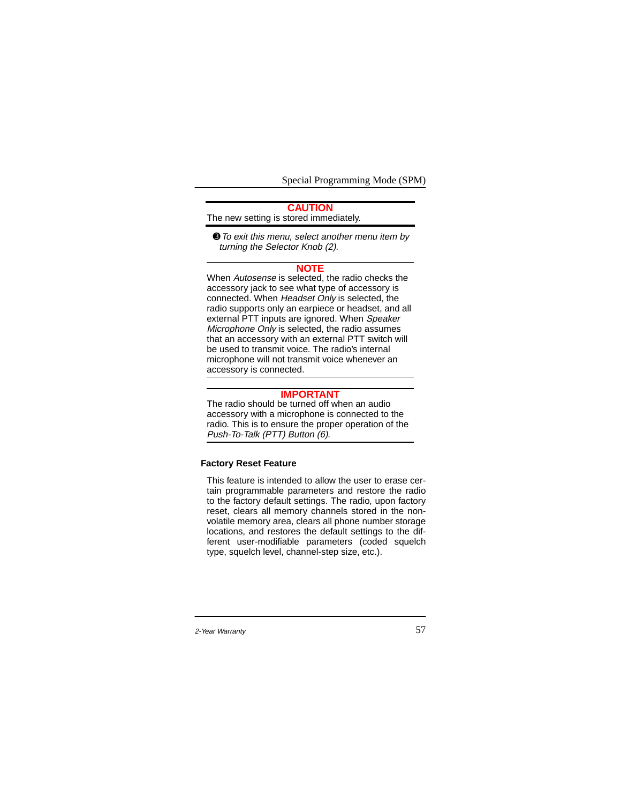# **CAUTION** The new setting is stored immediately.

➌To exit this menu, select another menu item by turning the Selector Knob (2).

#### **NOTE**

When Autosense is selected, the radio checks the accessory jack to see what type of accessory is connected. When Headset Only is selected, the radio supports only an earpiece or headset, and all external PTT inputs are ignored. When Speaker Microphone Only is selected, the radio assumes that an accessory with an external PTT switch will be used to transmit voice. The radio's internal microphone will not transmit voice whenever an accessory is connected.

### **IMPORTANT**

The radio should be turned off when an audio accessory with a microphone is connected to the radio. This is to ensure the proper operation of the Push-To-Talk (PTT) Button (6).

# **Factory Reset Feature**

This feature is intended to allow the user to erase certain programmable parameters and restore the radio to the factory default settings. The radio, upon factory reset, clears all memory channels stored in the nonvolatile memory area, clears all phone number storage locations, and restores the default settings to the different user-modifiable parameters (coded squelch type, squelch level, channel-step size, etc.).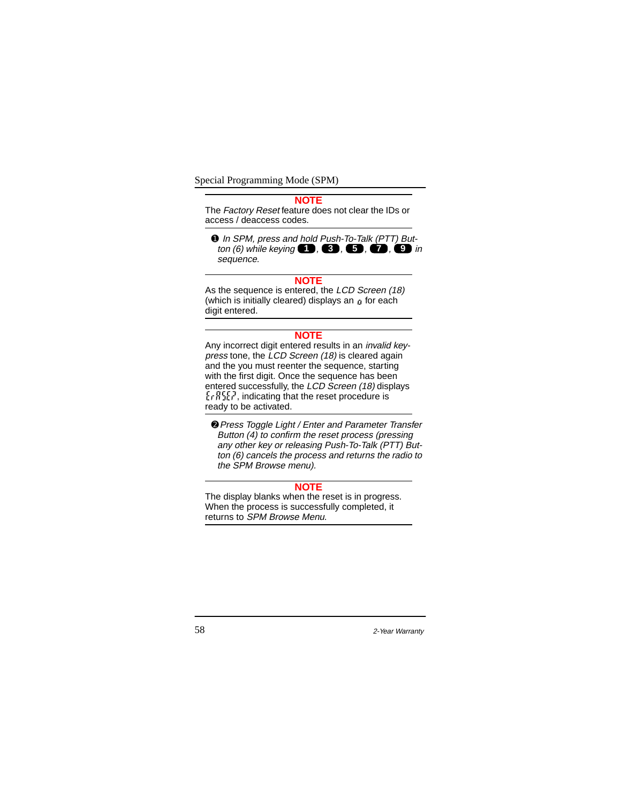#### **NOTE**

The Factory Reset feature does not clear the IDs or access / deaccess codes.

**O** In SPM, press and hold Push-To-Talk (PTT) But $tan(6)$  while keying  $\bullet$ ,  $\bullet$ ,  $\bullet$ ,  $\bullet$ ,  $\bullet$ ,  $\bullet$  in sequence.

#### **NOTE**

As the sequence is entered, the LCD Screen (18) (which is initially cleared) displays an  $\mu$  for each digit entered.

# **NOTE**

Any incorrect digit entered results in an invalid keypress tone, the LCD Screen (18) is cleared again and the you must reenter the sequence, starting with the first digit. Once the sequence has been entered successfully, the LCD Screen (18) displays  $\{rRSE\}$ , indicating that the reset procedure is ready to be activated.

➋Press Toggle Light / Enter and Parameter Transfer Button (4) to confirm the reset process (pressing any other key or releasing Push-To-Talk (PTT) Button (6) cancels the process and returns the radio to the SPM Browse menu).

### **NOTE**

The display blanks when the reset is in progress. When the process is successfully completed, it returns to SPM Browse Menu.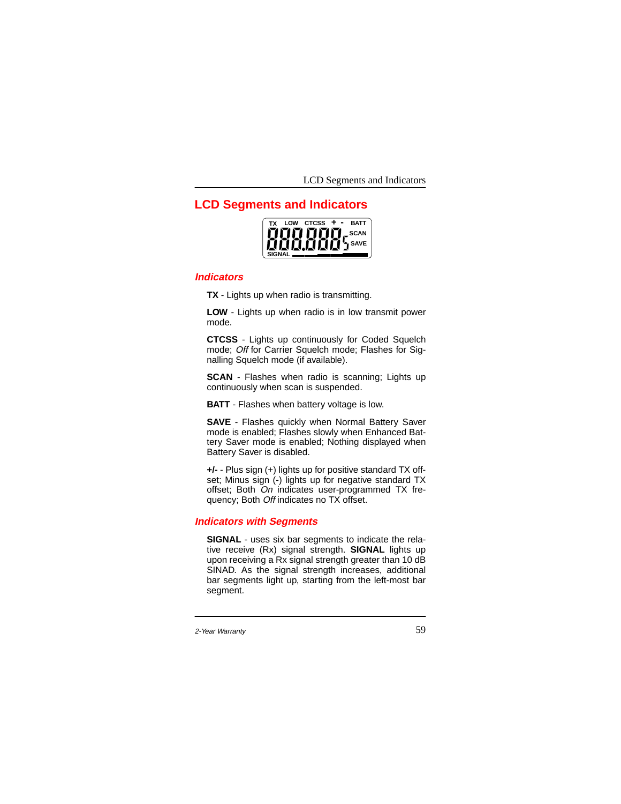LCD Segments and Indicators

# **LCD Segments and Indicators**

| тх            | <b>I</b> OW | <b>CTCSS</b>                                       | <b>BATT</b> |
|---------------|-------------|----------------------------------------------------|-------------|
|               |             |                                                    |             |
|               |             | רוחות חוזות, scan<br>תומות תומות ל <sup>SAVE</sup> | <b>SAVE</b> |
| <b>SIGNAI</b> |             |                                                    |             |

# **Indicators**

**TX** - Lights up when radio is transmitting.

**LOW** - Lights up when radio is in low transmit power mode.

**CTCSS** - Lights up continuously for Coded Squelch mode; Off for Carrier Squelch mode; Flashes for Signalling Squelch mode (if available).

**SCAN** - Flashes when radio is scanning; Lights up continuously when scan is suspended.

**BATT** - Flashes when battery voltage is low.

**SAVE** - Flashes quickly when Normal Battery Saver mode is enabled; Flashes slowly when Enhanced Battery Saver mode is enabled; Nothing displayed when Battery Saver is disabled.

**+/-** - Plus sign (+) lights up for positive standard TX offset; Minus sign (-) lights up for negative standard TX offset; Both On indicates user-programmed TX frequency; Both Off indicates no TX offset.

## **Indicators with Segments**

**SIGNAL** - uses six bar segments to indicate the relative receive (Rx) signal strength. **SIGNAL** lights up upon receiving a Rx signal strength greater than 10 dB SINAD. As the signal strength increases, additional bar segments light up, starting from the left-most bar segment.

<sup>2-</sup>Year Warranty 59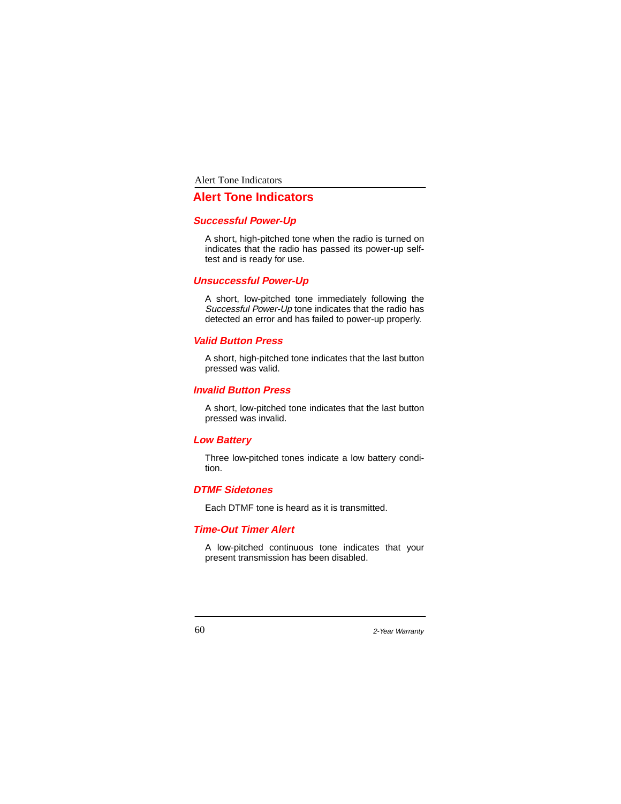Alert Tone Indicators

# **Alert Tone Indicators**

## **Successful Power-Up**

A short, high-pitched tone when the radio is turned on indicates that the radio has passed its power-up selftest and is ready for use.

# **Unsuccessful Power-Up**

A short, low-pitched tone immediately following the Successful Power-Up tone indicates that the radio has detected an error and has failed to power-up properly.

# **Valid Button Press**

A short, high-pitched tone indicates that the last button pressed was valid.

# **Invalid Button Press**

A short, low-pitched tone indicates that the last button pressed was invalid.

# **Low Battery**

Three low-pitched tones indicate a low battery condition.

# **DTMF Sidetones**

Each DTMF tone is heard as it is transmitted.

# **Time-Out Timer Alert**

A low-pitched continuous tone indicates that your present transmission has been disabled.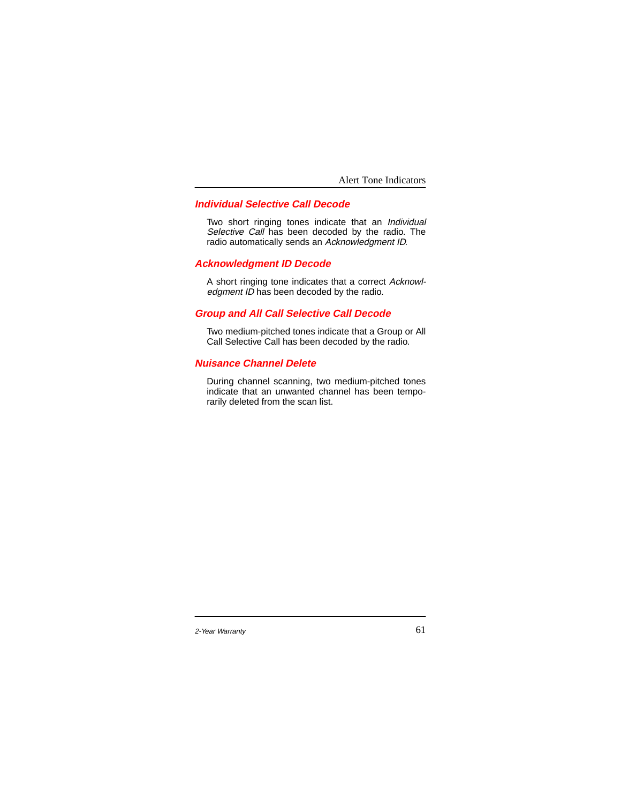Alert Tone Indicators

# **Individual Selective Call Decode**

Two short ringing tones indicate that an Individual Selective Call has been decoded by the radio. The radio automatically sends an Acknowledgment ID.

# **Acknowledgment ID Decode**

A short ringing tone indicates that a correct Acknowledgment ID has been decoded by the radio.

# **Group and All Call Selective Call Decode**

Two medium-pitched tones indicate that a Group or All Call Selective Call has been decoded by the radio.

# **Nuisance Channel Delete**

During channel scanning, two medium-pitched tones indicate that an unwanted channel has been temporarily deleted from the scan list.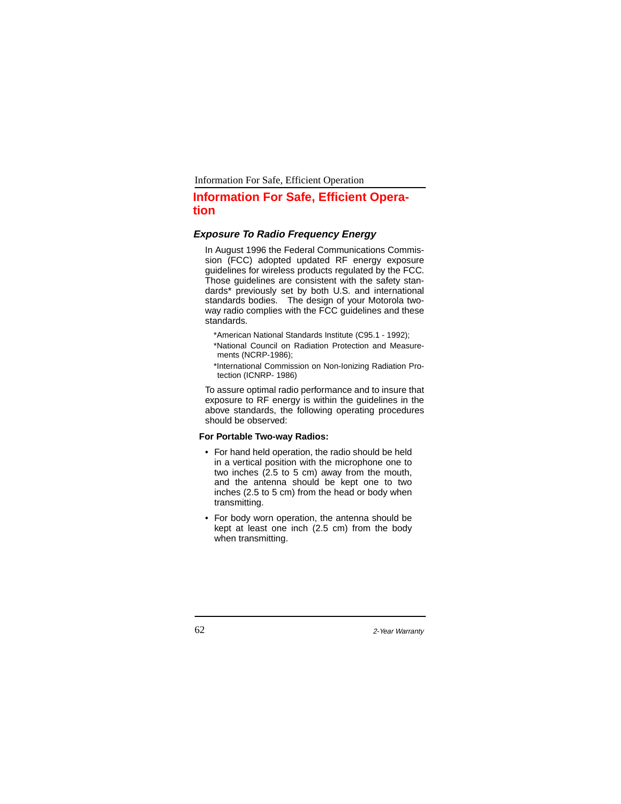Information For Safe, Efficient Operation

# **Information For Safe, Efficient Operation**

# **Exposure To Radio Frequency Energy**

In August 1996 the Federal Communications Commission (FCC) adopted updated RF energy exposure guidelines for wireless products regulated by the FCC. Those guidelines are consistent with the safety standards\* previously set by both U.S. and international standards bodies. The design of your Motorola twoway radio complies with the FCC guidelines and these standards.

\*American National Standards Institute (C95.1 - 1992);

\*National Council on Radiation Protection and Measurements (NCRP-1986);

\*International Commission on Non-Ionizing Radiation Protection (ICNRP- 1986)

To assure optimal radio performance and to insure that exposure to RF energy is within the guidelines in the above standards, the following operating procedures should be observed:

### **For Portable Two-way Radios:**

- For hand held operation, the radio should be held in a vertical position with the microphone one to two inches (2.5 to 5 cm) away from the mouth, and the antenna should be kept one to two inches (2.5 to 5 cm) from the head or body when transmitting.
- For body worn operation, the antenna should be kept at least one inch (2.5 cm) from the body when transmitting.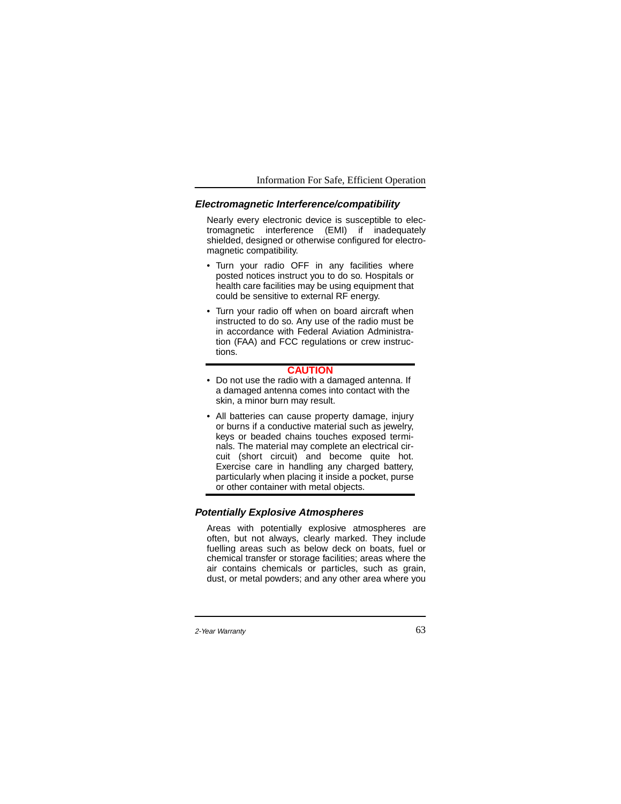#### Information For Safe, Efficient Operation

# **Electromagnetic Interference/compatibility**

Nearly every electronic device is susceptible to electromagnetic interference (EMI) if inadequately shielded, designed or otherwise configured for electromagnetic compatibility.

- Turn your radio OFF in any facilities where posted notices instruct you to do so. Hospitals or health care facilities may be using equipment that could be sensitive to external RF energy.
- Turn your radio off when on board aircraft when instructed to do so. Any use of the radio must be in accordance with Federal Aviation Administration (FAA) and FCC regulations or crew instructions.

#### **CAUTION**

- Do not use the radio with a damaged antenna. If a damaged antenna comes into contact with the skin, a minor burn may result.
- All batteries can cause property damage, injury or burns if a conductive material such as jewelry, keys or beaded chains touches exposed terminals. The material may complete an electrical circuit (short circuit) and become quite hot. Exercise care in handling any charged battery, particularly when placing it inside a pocket, purse or other container with metal objects.

### **Potentially Explosive Atmospheres**

Areas with potentially explosive atmospheres are often, but not always, clearly marked. They include fuelling areas such as below deck on boats, fuel or chemical transfer or storage facilities; areas where the air contains chemicals or particles, such as grain, dust, or metal powders; and any other area where you

<sup>2-</sup>Year Warranty 63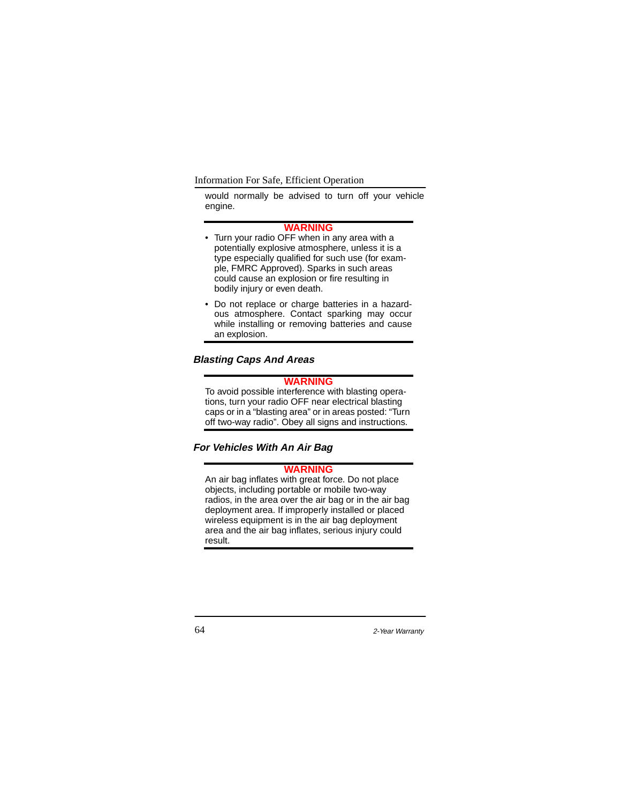Information For Safe, Efficient Operation

would normally be advised to turn off your vehicle engine.

#### **WARNING**

- Turn your radio OFF when in any area with a potentially explosive atmosphere, unless it is a type especially qualified for such use (for example, FMRC Approved). Sparks in such areas could cause an explosion or fire resulting in bodily injury or even death.
- Do not replace or charge batteries in a hazardous atmosphere. Contact sparking may occur while installing or removing batteries and cause an explosion.

# **Blasting Caps And Areas**

# **WARNING**

To avoid possible interference with blasting operations, turn your radio OFF near electrical blasting caps or in a "blasting area" or in areas posted: "Turn off two-way radio". Obey all signs and instructions.

**For Vehicles With An Air Bag**

# **WARNING**

An air bag inflates with great force. Do not place objects, including portable or mobile two-way radios, in the area over the air bag or in the air bag deployment area. If improperly installed or placed wireless equipment is in the air bag deployment area and the air bag inflates, serious injury could result.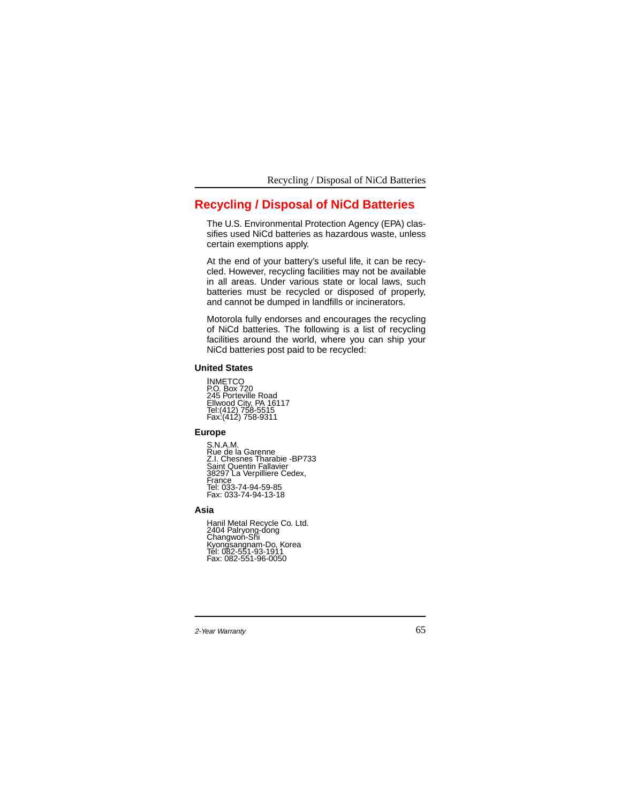Recycling / Disposal of NiCd Batteries

# **Recycling / Disposal of NiCd Batteries**

The U.S. Environmental Protection Agency (EPA) classifies used NiCd batteries as hazardous waste, unless certain exemptions apply.

At the end of your battery's useful life, it can be recycled. However, recycling facilities may not be available in all areas. Under various state or local laws, such batteries must be recycled or disposed of properly, and cannot be dumped in landfills or incinerators.

Motorola fully endorses and encourages the recycling of NiCd batteries. The following is a list of recycling facilities around the world, where you can ship your NiCd batteries post paid to be recycled:

## **United States**

INMETCO P.O. Box 720 245 Porteville Road Ellwood City, PA 16117 Tel:(412) 758-5515 Fax:(412) 758-9311

## **Europe**

S.N.A.M. Rue de la Garenne Z.I. Chesnes Tharabie -BP733 Saint Quentin Fallavier 38297 La Verpilliere Cedex, France Tel: 033-74-94-59-85 Fax: 033-74-94-13-18

### **Asia**

Hanil Metal Recycle Co. Ltd. 2404 Palryong-dong Changwon-Shi Kyongsangnam-Do, Korea Tel: 082-551-93-1911 Fax: 082-551-96-0050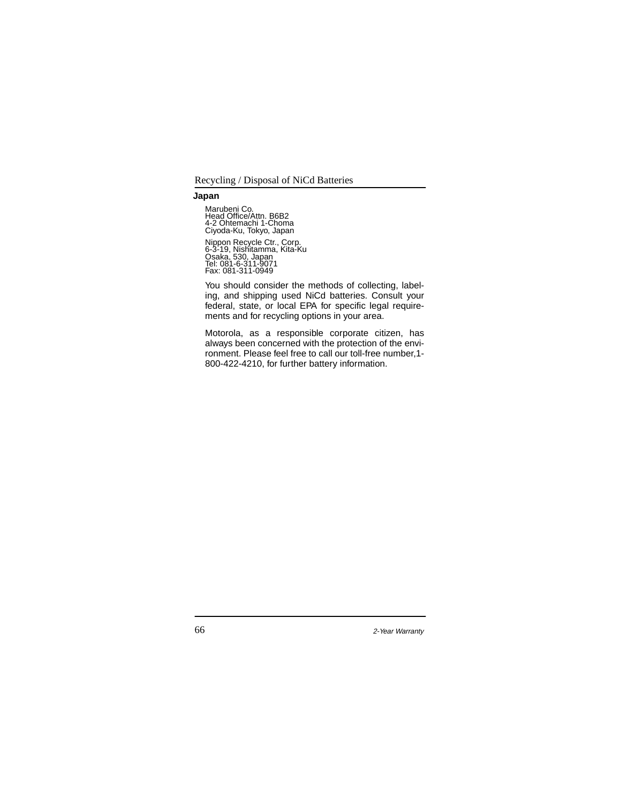Recycling / Disposal of NiCd Batteries

### **Japan**

Marubeni Co. Head Office/Attn. B6B2 4-2 Ohtemachi 1-Choma Ciyoda-Ku, Tokyo, Japan Nippon Recycle Ctr., Corp. 6-3-19, Nishitamma, Kita-Ku Osaka, 530, Japan Tel: 081-6-311-9071 Fax: 081-311-0949

You should consider the methods of collecting, labeling, and shipping used NiCd batteries. Consult your federal, state, or local EPA for specific legal requirements and for recycling options in your area.

Motorola, as a responsible corporate citizen, has always been concerned with the protection of the environment. Please feel free to call our toll-free number,1- 800-422-4210, for further battery information.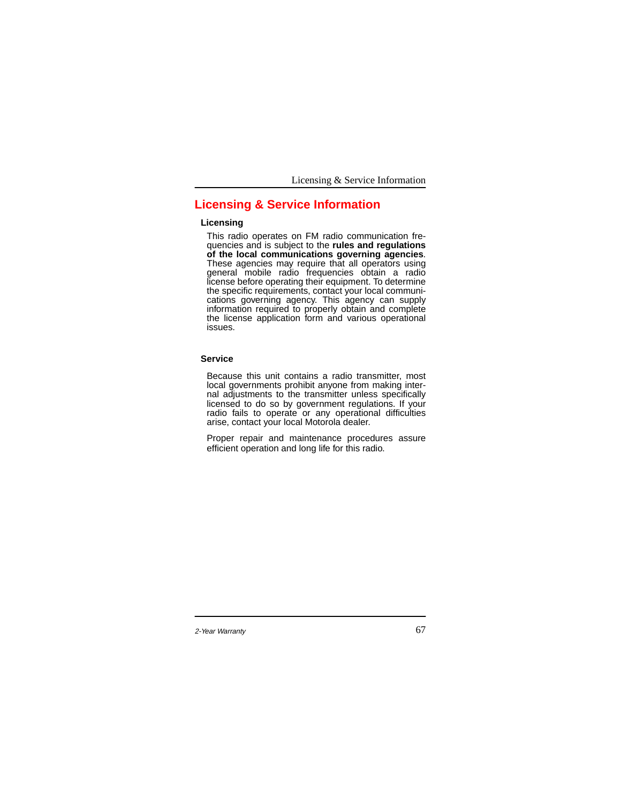Licensing & Service Information

# **Licensing & Service Information**

### **Licensing**

This radio operates on FM radio communication frequencies and is subject to the **rules and regulations of the local communications governing agencies**. These agencies may require that all operators using general mobile radio frequencies obtain a radio license before operating their equipment. To determine the specific requirements, contact your local communications governing agency. This agency can supply information required to properly obtain and complete the license application form and various operational issues.

#### **Service**

Because this unit contains a radio transmitter, most local governments prohibit anyone from making internal adjustments to the transmitter unless specifically licensed to do so by government regulations. If your radio fails to operate or any operational difficulties arise, contact your local Motorola dealer.

Proper repair and maintenance procedures assure efficient operation and long life for this radio.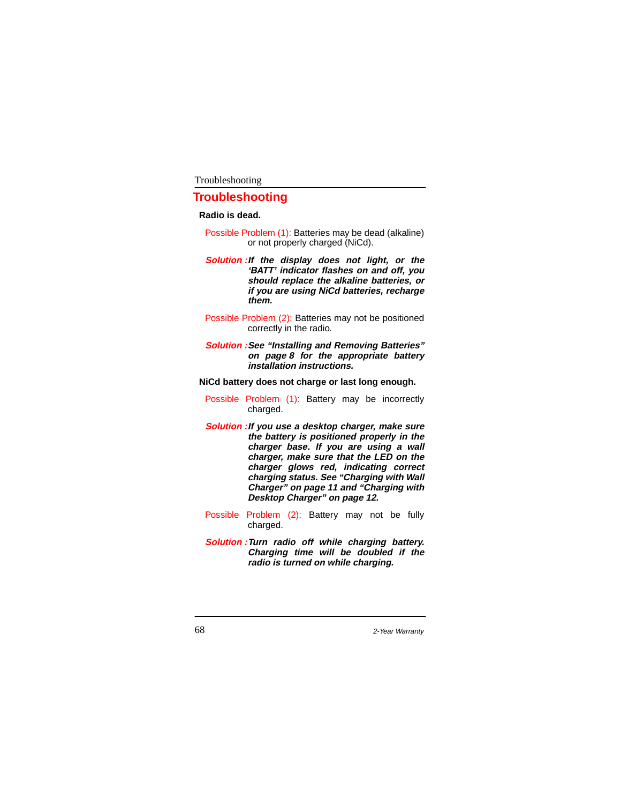# **Troubleshooting**

#### **Radio is dead.**

- Possible Problem (1): Batteries may be dead (alkaline) or not properly charged (NiCd).
- **Solution :If the display does not light, or the 'BATT' indicator flashes on and off, you should replace the alkaline batteries, or if you are using NiCd batteries, recharge them.**
- Possible Problem (2): Batteries may not be positioned correctly in the radio.
- **Solution :See "Installing and Removing Batteries" on page 8 for the appropriate battery installation instructions.**

**NiCd battery does not charge or last long enough.**

- Possible Problem (1): Battery may be incorrectly charged.
- **Solution :If you use a desktop charger, make sure the battery is positioned properly in the charger base. If you are using a wall charger, make sure that the LED on the charger glows red, indicating correct charging status. See "Charging with Wall Charger" on page 11 and "Charging with Desktop Charger" on page 12.**
- Possible Problem (2): Battery may not be fully charged.
- **Solution :Turn radio off while charging battery. Charging time will be doubled if the radio is turned on while charging.**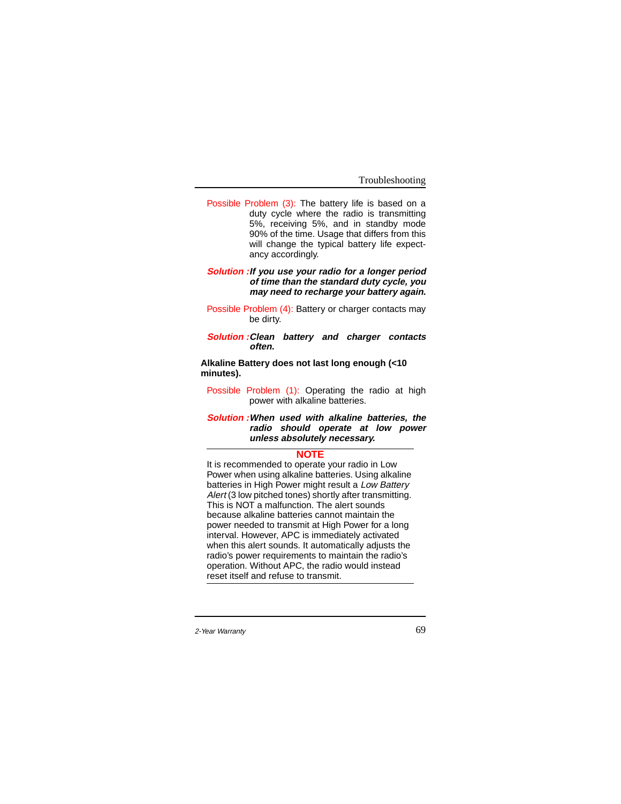Possible Problem (3): The battery life is based on a duty cycle where the radio is transmitting 5%, receiving 5%, and in standby mode 90% of the time. Usage that differs from this will change the typical battery life expectancy accordingly.

#### **Solution :If you use your radio for a longer period of time than the standard duty cycle, you may need to recharge your battery again.**

Possible Problem (4): Battery or charger contacts may be dirty.

**Solution :Clean battery and charger contacts often.**

**Alkaline Battery does not last long enough (<10 minutes).**

Possible Problem (1): Operating the radio at high power with alkaline batteries.

**Solution :When used with alkaline batteries, the radio should operate at low power unless absolutely necessary.**

#### **NOTE**

It is recommended to operate your radio in Low Power when using alkaline batteries. Using alkaline batteries in High Power might result a Low Battery Alert (3 low pitched tones) shortly after transmitting. This is NOT a malfunction. The alert sounds because alkaline batteries cannot maintain the power needed to transmit at High Power for a long interval. However, APC is immediately activated when this alert sounds. It automatically adjusts the radio's power requirements to maintain the radio's operation. Without APC, the radio would instead reset itself and refuse to transmit.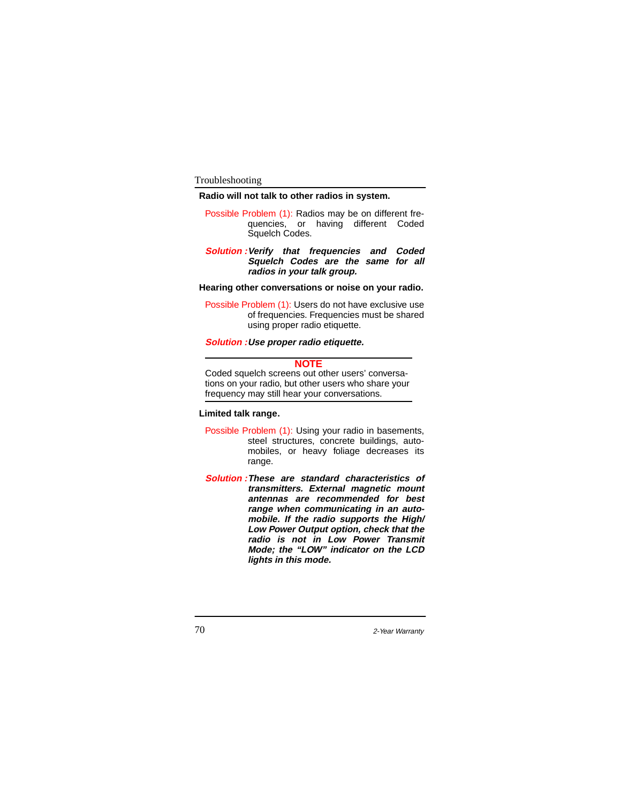## **Radio will not talk to other radios in system.**

Possible Problem (1): Radios may be on different frequencies, or having different Coded Squelch Codes.

#### **Solution :Verify that frequencies and Coded Squelch Codes are the same for all radios in your talk group.**

#### **Hearing other conversations or noise on your radio.**

Possible Problem (1): Users do not have exclusive use of frequencies. Frequencies must be shared using proper radio etiquette.

### **Solution :Use proper radio etiquette.**

#### **NOTE**

Coded squelch screens out other users' conversations on your radio, but other users who share your frequency may still hear your conversations.

## **Limited talk range.**

- Possible Problem (1): Using your radio in basements, steel structures, concrete buildings, automobiles, or heavy foliage decreases its range.
- **Solution :These are standard characteristics of transmitters. External magnetic mount antennas are recommended for best range when communicating in an automobile. If the radio supports the High/ Low Power Output option, check that the radio is not in Low Power Transmit Mode; the "LOW" indicator on the LCD lights in this mode.**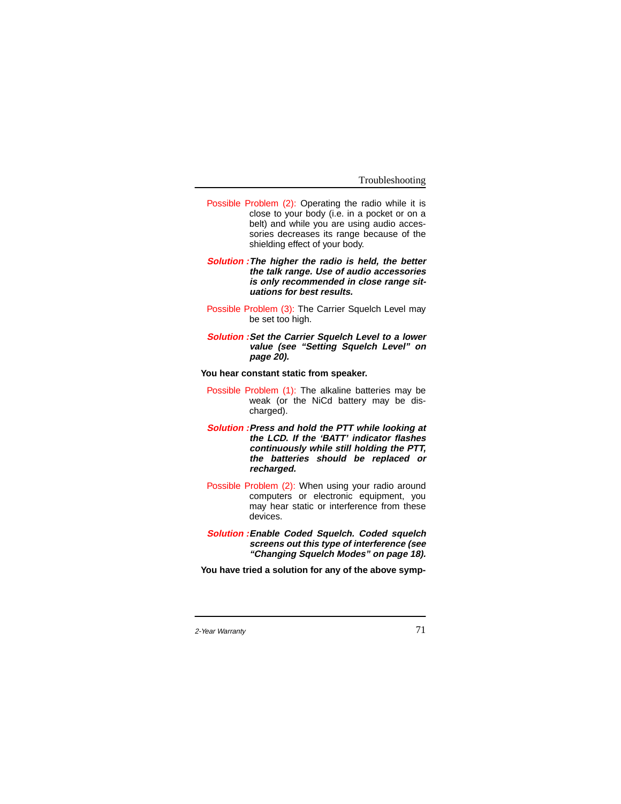- Possible Problem (2): Operating the radio while it is close to your body (i.e. in a pocket or on a belt) and while you are using audio accessories decreases its range because of the shielding effect of your body.
- **Solution :The higher the radio is held, the better the talk range. Use of audio accessories is only recommended in close range situations for best results.**
- Possible Problem (3): The Carrier Squelch Level may be set too high.
- **Solution :Set the Carrier Squelch Level to a lower value (see "Setting Squelch Level" on page 20).**
- **You hear constant static from speaker.**
	- Possible Problem (1): The alkaline batteries may be weak (or the NiCd battery may be discharged).
	- **Solution :Press and hold the PTT while looking at the LCD. If the 'BATT' indicator flashes continuously while still holding the PTT, the batteries should be replaced or recharged.**
	- Possible Problem (2): When using your radio around computers or electronic equipment, you may hear static or interference from these devices.
- **Solution :Enable Coded Squelch. Coded squelch screens out this type of interference (see "Changing Squelch Modes" on page 18).**

**You have tried a solution for any of the above symp-**

<sup>2-</sup>Year Warranty 71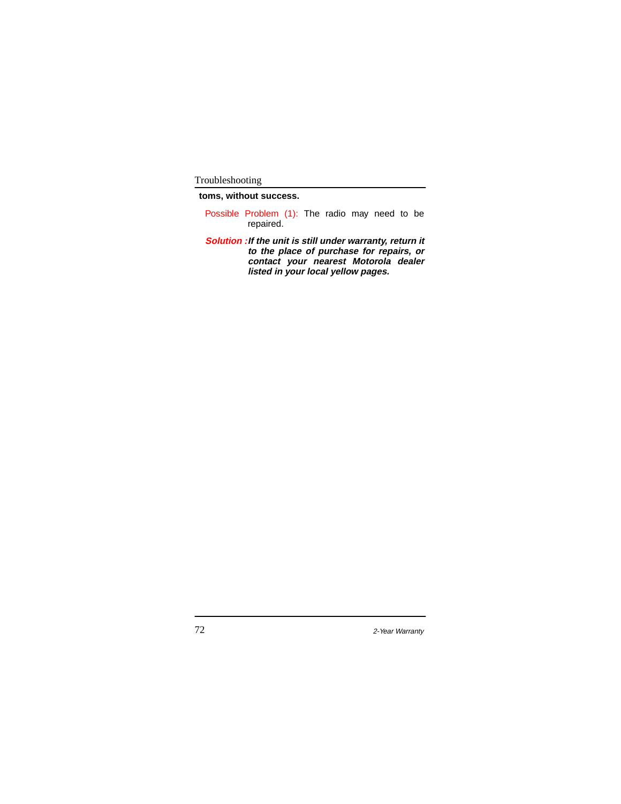**toms, without success.**

- Possible Problem (1): The radio may need to be repaired.
- **Solution :If the unit is still under warranty, return it to the place of purchase for repairs, or contact your nearest Motorola dealer listed in your local yellow pages.**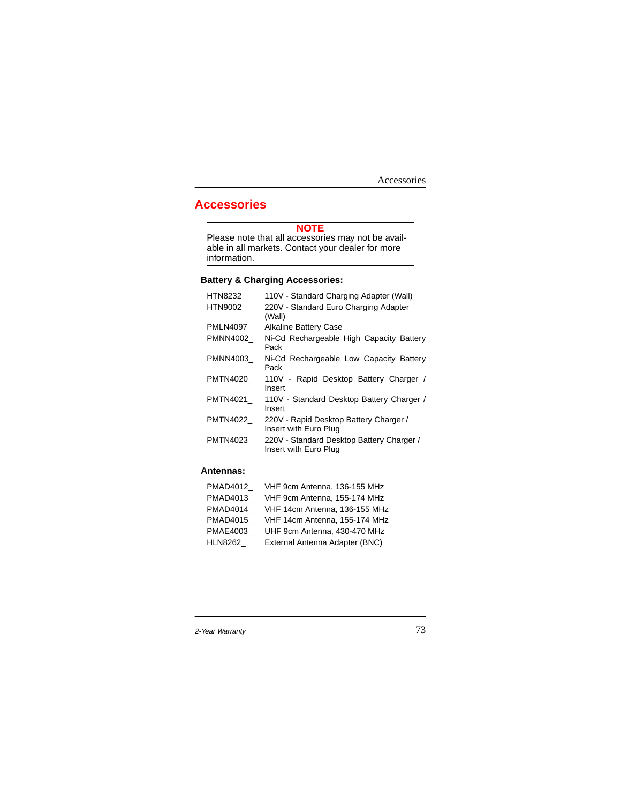Accessories

# **Accessories**

#### **NOTE**

Please note that all accessories may not be available in all markets. Contact your dealer for more information.

# **Battery & Charging Accessories:**

| HTN8232         | 110V - Standard Charging Adapter (Wall)                            |
|-----------------|--------------------------------------------------------------------|
| HTN9002         | 220V - Standard Euro Charging Adapter<br>(Wall)                    |
| PMLN4097        | <b>Alkaline Battery Case</b>                                       |
| PMNN4002        | Ni-Cd Rechargeable High Capacity Battery<br>Pack                   |
| PMNN4003        | Ni-Cd Rechargeable Low Capacity Battery<br>Pack                    |
| PMTN4020        | 110V - Rapid Desktop Battery Charger /<br>Insert                   |
| PMTN4021        | 110V - Standard Desktop Battery Charger /<br>Insert                |
| <b>PMTN4022</b> | 220V - Rapid Desktop Battery Charger /<br>Insert with Euro Plug    |
| PMTN4023        | 220V - Standard Desktop Battery Charger /<br>Insert with Euro Plug |

# **Antennas:**

| PMAD4012        | VHF 9cm Antenna, 136-155 MHz   |
|-----------------|--------------------------------|
| PMAD4013        | VHF 9cm Antenna, 155-174 MHz   |
| PMAD4014        | VHF 14cm Antenna, 136-155 MHz  |
| <b>PMAD4015</b> | VHF 14cm Antenna, 155-174 MHz  |
| PMAE4003        | UHF 9cm Antenna, 430-470 MHz   |
| HLN8262         | External Antenna Adapter (BNC) |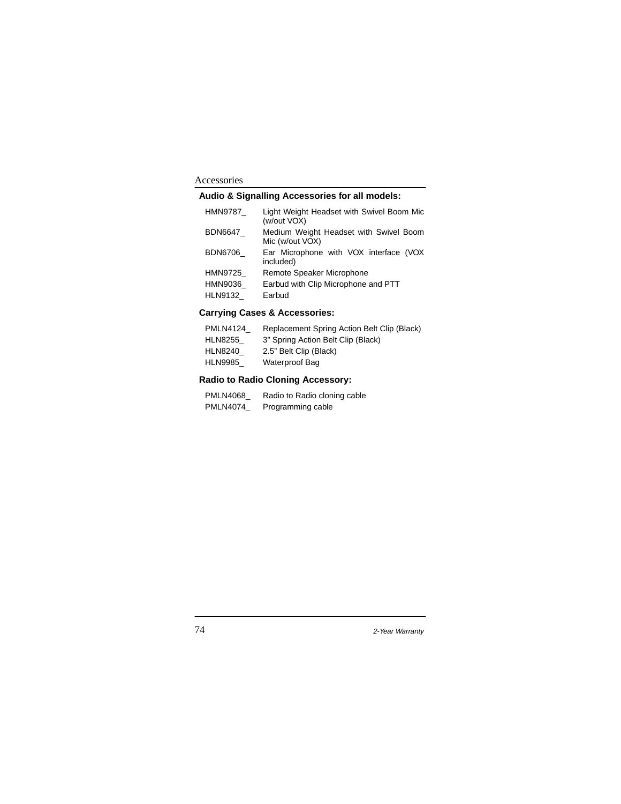# Accessories

# **Audio & Signalling Accessories for all models:**

| HMN9787        | Light Weight Headset with Swivel Boom Mic<br>(w/out VOX)  |
|----------------|-----------------------------------------------------------|
| BDN6647        | Medium Weight Headset with Swivel Boom<br>Mic (w/out VOX) |
| <b>BDN6706</b> | Ear Microphone with VOX interface (VOX<br>included)       |
| HMN9725        | Remote Speaker Microphone                                 |
| HMN9036        | Earbud with Clip Microphone and PTT                       |
| HLN9132        | Earbud                                                    |

# **Carrying Cases & Accessories:**

| <b>PMLN4124</b> | Replacement Spring Action Belt Clip (Black) |
|-----------------|---------------------------------------------|
| <b>HLN8255</b>  | 3" Spring Action Belt Clip (Black)          |
| <b>HLN8240</b>  | 2.5" Belt Clip (Black)                      |
| <b>HLN9985</b>  | Waterproof Bag                              |
|                 |                                             |

# **Radio to Radio Cloning Accessory:**

| <b>PMLN4068</b> | Radio to Radio cloning cable |
|-----------------|------------------------------|
| <b>PMLN4074</b> | Programming cable            |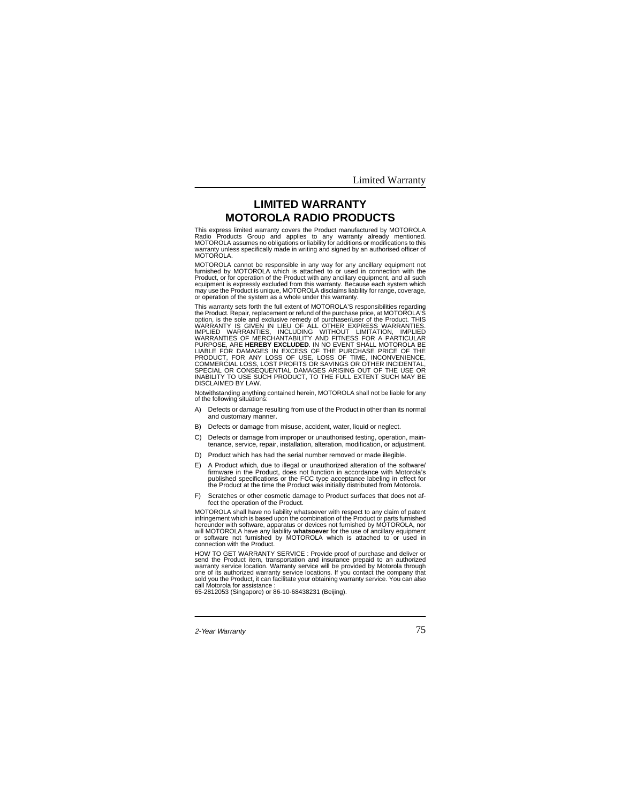Limited Warranty

# **LIMITED WARRANTY MOTOROLA RADIO PRODUCTS**

**Limited Warranty** This express limited warranty covers the Product manufactured by MOTOROLA Radio Products Group and applies to any warranty already mentioned.<br>MOTOROLA assumes no obligations or liability for additions or modifications to this<br>warranty unless specifically made in writing and signed by an authoris MOTOROLA

MOTOROLA cannot be responsible in any way for any ancillary equipment not furnished by MOTOROLA which is attached to or used in connection with the<br>Product, or for operation of the Product with any ancillary equipment, and all such<br>equipment is expressly excluded from this warranty. Because each may use the Product is unique, MOTOROLA disclaims liability for range, coverage, or operation of the system as a whole under this warranty.

This warranty sets forth the full extent of MOTOROLA'S responsibilities regarding<br>the Product. Repair, replacement or refund of the purchase price, at MOTOROLA'S<br>option, is the sole and exclusive renedy of purchase/tuser o

Notwithstanding anything contained herein, MOTOROLA shall not be liable for any of the following situations:

- A) Defects or damage resulting from use of the Product in other than its normal and customary manner.
- B) Defects or damage from misuse, accident, water, liquid or neglect.
- C) Defects or damage from improper or unauthorised testing, operation, main-tenance, service, repair, installation, alteration, modification, or adjustment.
- D) Product which has had the serial number removed or made illegible
- E) A Product which, due to illegal or unauthorized alteration of the software/ firmware in the Product, does not function in accordance with Motorola's published specifications or the FCC type acceptance labeling in effect for the Product at the time the Product was initially distributed from Motorola.
- F) Scratches or other cosmetic damage to Product surfaces that does not af-fect the operation of the Product.

MOTOROLA shall have no liability whatsoever with respect to any claim of patent<br>infringement which is based upon the combination of the Product or parts furnished<br>hereunder with software, apparatus or devices not furnished

HOW TO GET WARRANTY SERVICE : Provide proof of purchase and deliver or<br>send the Product item, transportation and insurance prepaid to an authorized<br>warranty service location. Warranty service will be provided by Motorola t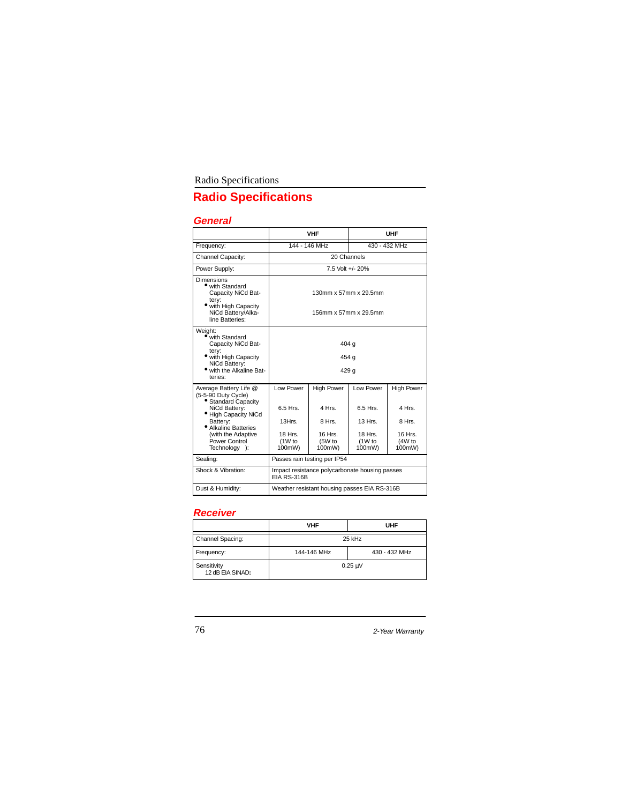# Radio Specifications

# **Radio Specifications**

# **General**

|                                                                                                                                                                                                           | <b>VHF</b>                                                        |                                                                     | UHF                                                                |                                                                      |
|-----------------------------------------------------------------------------------------------------------------------------------------------------------------------------------------------------------|-------------------------------------------------------------------|---------------------------------------------------------------------|--------------------------------------------------------------------|----------------------------------------------------------------------|
| Frequency:                                                                                                                                                                                                |                                                                   | 144 - 146 MHz                                                       | 430 - 432 MHz                                                      |                                                                      |
| Channel Capacity:                                                                                                                                                                                         | 20 Channels                                                       |                                                                     |                                                                    |                                                                      |
| Power Supply:                                                                                                                                                                                             | 7.5 Volt +/- 20%                                                  |                                                                     |                                                                    |                                                                      |
| Dimensions<br>• with Standard<br>Capacity NiCd Bat-<br>tery:<br>• with High Capacity<br>NiCd Battery/Alka-<br>line Batteries:                                                                             | 130mm x 57mm x 29.5mm<br>156mm x 57mm x 29.5mm                    |                                                                     |                                                                    |                                                                      |
| Weight:<br>$\bullet$ with Standard<br>Capacity NiCd Bat-<br>tery:<br>• with High Capacity<br>NiCd Battery:<br>• with the Alkaline Bat-<br>teries:                                                         | 404 g<br>454 g<br>429 g                                           |                                                                     |                                                                    |                                                                      |
| Average Battery Life @<br>(5-5-90 Duty Cycle)<br>• Standard Capacity<br>NiCd Battery:<br>· High Capacity NiCd<br>Battery:<br>• Alkaline Batteries<br>(with the Adaptive<br>Power Control<br>Technology™): | Low Power<br>6.5 Hrs.<br>13Hrs.<br>18 Hrs.<br>$(1W)$ to<br>100mW) | <b>High Power</b><br>4 Hrs<br>8 Hrs.<br>16 Hrs.<br>(5W to<br>100mW) | Low Power<br>6.5 Hrs.<br>13 Hrs.<br>18 Hrs.<br>$(1W)$ to<br>100mW) | <b>High Power</b><br>4 Hrs.<br>8 Hrs.<br>16 Hrs.<br>(4W to<br>100mW) |
| Sealing:                                                                                                                                                                                                  | Passes rain testing per IP54                                      |                                                                     |                                                                    |                                                                      |
| Shock & Vibration:                                                                                                                                                                                        | Impact resistance polycarbonate housing passes<br>EIA RS-316B     |                                                                     |                                                                    |                                                                      |
| Dust & Humidity:                                                                                                                                                                                          | Weather resistant housing passes EIA RS-316B                      |                                                                     |                                                                    |                                                                      |

# **Receiver**

|                                 | <b>VHF</b><br>UHF |                            |  |
|---------------------------------|-------------------|----------------------------|--|
| Channel Spacing:                | 25 kHz            |                            |  |
| Frequency:                      | 144-146 MHz       | 430 - 432 MHz              |  |
| Sensitivity<br>12 dB EIA SINAD: |                   | $0.25 \text{ }\mu\text{V}$ |  |